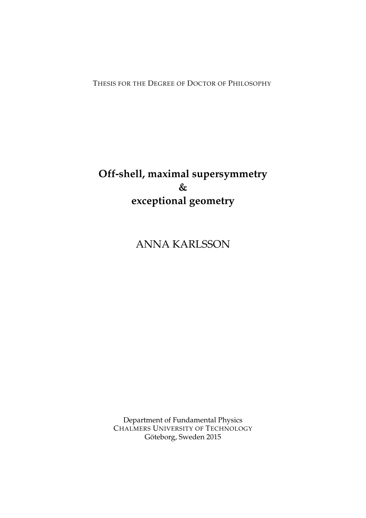THESIS FOR THE DEGREE OF DOCTOR OF PHILOSOPHY

## **Off-shell, maximal supersymmetry & exceptional geometry**

ANNA KARLSSON

Department of Fundamental Physics CHALMERS UNIVERSITY OF TECHNOLOGY Göteborg, Sweden 2015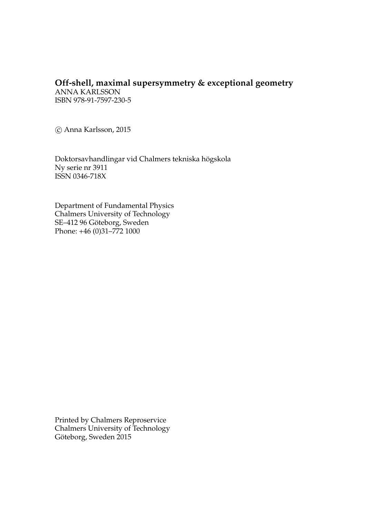### **Off-shell, maximal supersymmetry & exceptional geometry**

ANNA KARLSSON ISBN 978-91-7597-230-5

c Anna Karlsson, 2015

Doktorsavhandlingar vid Chalmers tekniska högskola Ny serie nr 3911 ISSN 0346-718X

Department of Fundamental Physics Chalmers University of Technology SE-412 96 Göteborg, Sweden Phone: +46 (0)31–772 1000

Printed by Chalmers Reproservice Chalmers University of Technology Göteborg, Sweden 2015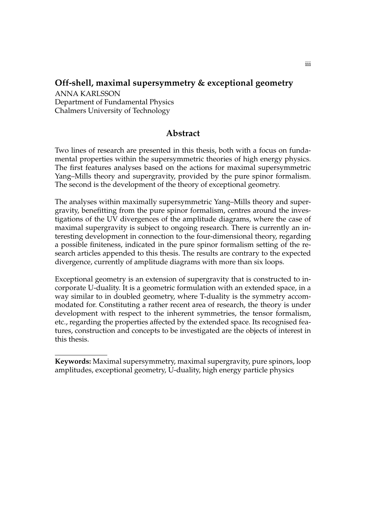#### **Off-shell, maximal supersymmetry & exceptional geometry**

ANNA KARLSSON Department of Fundamental Physics Chalmers University of Technology

#### <span id="page-2-0"></span>**Abstract**

Two lines of research are presented in this thesis, both with a focus on fundamental properties within the supersymmetric theories of high energy physics. The first features analyses based on the actions for maximal supersymmetric Yang–Mills theory and supergravity, provided by the pure spinor formalism. The second is the development of the theory of exceptional geometry.

The analyses within maximally supersymmetric Yang–Mills theory and supergravity, benefitting from the pure spinor formalism, centres around the investigations of the UV divergences of the amplitude diagrams, where the case of maximal supergravity is subject to ongoing research. There is currently an interesting development in connection to the four-dimensional theory, regarding a possible finiteness, indicated in the pure spinor formalism setting of the research articles appended to this thesis. The results are contrary to the expected divergence, currently of amplitude diagrams with more than six loops.

Exceptional geometry is an extension of supergravity that is constructed to incorporate U-duality. It is a geometric formulation with an extended space, in a way similar to in doubled geometry, where T-duality is the symmetry accommodated for. Constituting a rather recent area of research, the theory is under development with respect to the inherent symmetries, the tensor formalism, etc., regarding the properties affected by the extended space. Its recognised features, construction and concepts to be investigated are the objects of interest in this thesis.

**Keywords:** Maximal supersymmetry, maximal supergravity, pure spinors, loop amplitudes, exceptional geometry, U-duality, high energy particle physics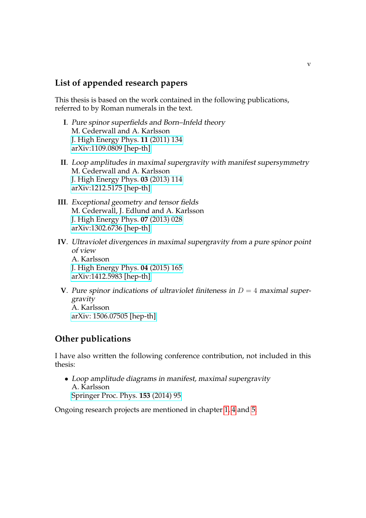#### <span id="page-4-0"></span>**List of appended research papers**

This thesis is based on the work contained in the following publications, referred to by Roman numerals in the text.

- **I**. Pure spinor superfields and Born–Infeld theory M. Cederwall and A. Karlsson [J. High Energy Phys.](http://link.springer.com/article/10.1007%2FJHEP11%282011%29134) **11** (2011) 134 [arXiv:1109.0809 \[hep-th\]](http://arxiv.org/abs/1109.0809)
- **II**. Loop amplitudes in maximal supergravity with manifest supersymmetry M. Cederwall and A. Karlsson [J. High Energy Phys.](http://link.springer.com/article/10.1007%2FJHEP03%282013%29114) **03** (2013) 114 [arXiv:1212.5175 \[hep-th\]](http://arxiv.org/abs/1212.5175)
- **III**. Exceptional geometry and tensor fields M. Cederwall, J. Edlund and A. Karlsson [J. High Energy Phys.](http://link.springer.com/article/10.1007%2FJHEP07%282013%29028) **07** (2013) 028 [arXiv:1302.6736 \[hep-th\]](http://arxiv.org/abs/1302.6736)
- **IV**. Ultraviolet divergences in maximal supergravity from a pure spinor point of view A. Karlsson [J. High Energy Phys.](http://link.springer.com/article/10.1007%2FJHEP04%282015%29165) **04** (2015) 165 [arXiv:1412.5983 \[hep-th\]](http://arxiv.org/abs/1412.5983)
- **V**. Pure spinor indications of ultraviolet finiteness in  $D = 4$  maximal supergravity A. Karlsson [arXiv: 1506.07505 \[hep-th\]](http://arxiv.org/abs/1506.07505)

#### **Other publications**

I have also written the following conference contribution, not included in this thesis:

• Loop amplitude diagrams in manifest, maximal supergravity A. Karlsson [Springer Proc. Phys.](http://link.springer.com/chapter/10.1007/978-3-319-03774-5_5) **153** (2014) 95

Ongoing research projects are mentioned in chapter [1,](#page-12-0) [4](#page-58-0) and [5.](#page-80-0)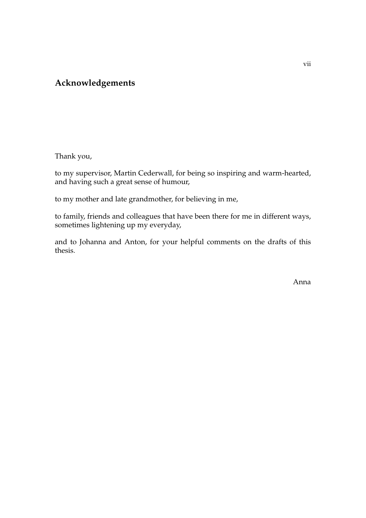#### <span id="page-6-0"></span>**Acknowledgements**

Thank you,

to my supervisor, Martin Cederwall, for being so inspiring and warm-hearted, and having such a great sense of humour,

to my mother and late grandmother, for believing in me,

to family, friends and colleagues that have been there for me in different ways, sometimes lightening up my everyday,

and to Johanna and Anton, for your helpful comments on the drafts of this thesis.

Anna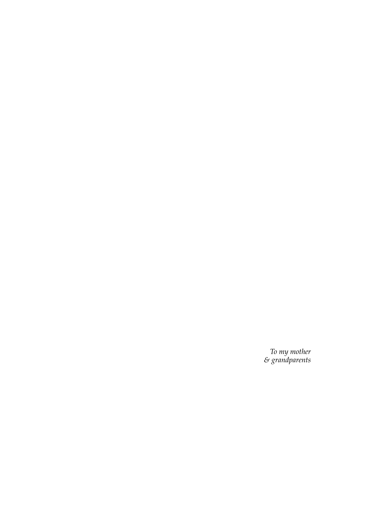*To my mother & grandparents*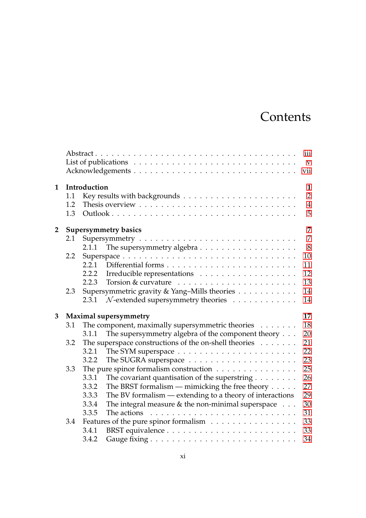# **Contents**

|                |                             |                                    | List of publications $\ldots \ldots \ldots \ldots \ldots \ldots \ldots \ldots \ldots \ldots$ | iii<br>$\mathbf{V}$<br>vii |  |  |  |
|----------------|-----------------------------|------------------------------------|----------------------------------------------------------------------------------------------|----------------------------|--|--|--|
| $\mathbf{1}$   |                             | Introduction<br>$\mathbf{1}$       |                                                                                              |                            |  |  |  |
|                | 1.1                         |                                    |                                                                                              | $\overline{2}$             |  |  |  |
|                | 1.2                         |                                    |                                                                                              | $\overline{4}$             |  |  |  |
|                | 1.3                         |                                    |                                                                                              | 5                          |  |  |  |
| $\overline{2}$ | <b>Supersymmetry basics</b> |                                    |                                                                                              |                            |  |  |  |
|                | 2.1                         |                                    |                                                                                              | $\overline{7}$             |  |  |  |
|                |                             | 2.1.1                              |                                                                                              | 8                          |  |  |  |
|                | 2.2                         |                                    |                                                                                              | $10\,$                     |  |  |  |
|                |                             | 2.2.1                              |                                                                                              | 11                         |  |  |  |
|                |                             | 2.2.2                              |                                                                                              | 12                         |  |  |  |
|                |                             | 2.2.3                              | Torsion & curvature $\dots \dots \dots \dots \dots \dots \dots$                              | 13                         |  |  |  |
|                | 2.3                         |                                    | Supersymmetric gravity & Yang-Mills theories                                                 | 14                         |  |  |  |
|                |                             | 2.3.1                              | $N$ -extended supersymmetry theories $\ldots \ldots \ldots$                                  | 14                         |  |  |  |
| 3              |                             | 17<br><b>Maximal supersymmetry</b> |                                                                                              |                            |  |  |  |
|                | 3.1                         |                                    | The component, maximally supersymmetric theories $\dots \dots$                               | 18                         |  |  |  |
|                |                             | 3.1.1                              | The supersymmetry algebra of the component theory $\ldots$                                   | 20                         |  |  |  |
|                | 3.2                         |                                    | The superspace constructions of the on-shell theories                                        | 21                         |  |  |  |
|                |                             | 3.2.1                              |                                                                                              | 22                         |  |  |  |
|                |                             | 3.2.2                              |                                                                                              | 23                         |  |  |  |
|                | 3.3                         |                                    | The pure spinor formalism construction $\dots \dots \dots \dots \dots$                       | 25                         |  |  |  |
|                |                             | 3.3.1                              | The covariant quantisation of the superstring $\ldots \ldots$                                | 26                         |  |  |  |
|                |                             | 3.3.2                              | The BRST formalism — mimicking the free theory $\dots$ .                                     | 27                         |  |  |  |
|                |                             | 3.3.3                              | The BV formalism — extending to a theory of interactions                                     | 29                         |  |  |  |
|                |                             | 3.3.4                              | The integral measure $&$ the non-minimal superspace $\ldots$                                 | 30                         |  |  |  |
|                |                             | 3.3.5                              | The actions $\ldots \ldots \ldots \ldots \ldots \ldots \ldots \ldots \ldots$                 | 31                         |  |  |  |
|                | 3.4                         |                                    | Features of the pure spinor formalism                                                        | 33                         |  |  |  |
|                |                             | 3.4.1                              |                                                                                              | 33                         |  |  |  |
|                |                             | 3.4.2                              |                                                                                              | 34                         |  |  |  |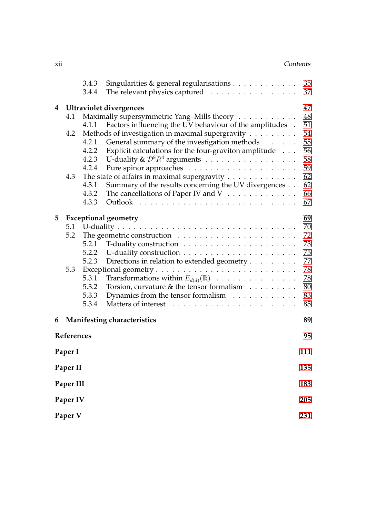#### xii Contents

|                  |                                      | 3.4.3 | Singularities & general regularisations                             | 35  |  |  |  |  |
|------------------|--------------------------------------|-------|---------------------------------------------------------------------|-----|--|--|--|--|
|                  |                                      | 3.4.4 | The relevant physics captured                                       | 37  |  |  |  |  |
| 4                | <b>Ultraviolet divergences</b><br>47 |       |                                                                     |     |  |  |  |  |
|                  | 4.1                                  |       | Maximally supersymmetric Yang-Mills theory                          | 48  |  |  |  |  |
|                  |                                      | 4.1.1 | Factors influencing the UV behaviour of the amplitudes .            | 51  |  |  |  |  |
|                  | 4.2                                  |       | Methods of investigation in maximal supergravity                    | 54  |  |  |  |  |
|                  |                                      | 4.2.1 | General summary of the investigation methods                        | 55  |  |  |  |  |
|                  |                                      | 4.2.2 | Explicit calculations for the four-graviton amplitude               | 56  |  |  |  |  |
|                  |                                      | 4.2.3 | U-duality & $\mathcal{D}^8R^4$ arguments                            | 58  |  |  |  |  |
|                  |                                      | 4.2.4 |                                                                     | 59  |  |  |  |  |
|                  | 4.3                                  |       | The state of affairs in maximal supergravity                        | 62  |  |  |  |  |
|                  |                                      | 4.3.1 | Summary of the results concerning the UV divergences                | 62  |  |  |  |  |
|                  |                                      | 4.3.2 | The cancellations of Paper IV and V                                 | 66  |  |  |  |  |
|                  |                                      | 4.3.3 |                                                                     | 67  |  |  |  |  |
| 5                | <b>Exceptional geometry</b>          |       |                                                                     |     |  |  |  |  |
|                  | 5.1                                  |       |                                                                     | 70  |  |  |  |  |
|                  | 5.2                                  |       |                                                                     | 72  |  |  |  |  |
|                  |                                      | 5.2.1 |                                                                     | 73  |  |  |  |  |
|                  |                                      | 5.2.2 |                                                                     | 75  |  |  |  |  |
|                  |                                      | 5.2.3 | Directions in relation to extended geometry                         | 77  |  |  |  |  |
|                  | 5.3                                  |       |                                                                     | 78  |  |  |  |  |
|                  |                                      | 5.3.1 | Transformations within $E_{d(d)}(\mathbb{R})$                       | 78  |  |  |  |  |
|                  |                                      | 5.3.2 | Torsion, curvature $\&$ the tensor formalism $\ldots \ldots \ldots$ | 80  |  |  |  |  |
|                  |                                      | 5.3.3 | Dynamics from the tensor formalism                                  | 83  |  |  |  |  |
|                  |                                      | 5.3.4 |                                                                     | 85  |  |  |  |  |
| 6                |                                      |       | Manifesting characteristics                                         | 89  |  |  |  |  |
| References<br>95 |                                      |       |                                                                     |     |  |  |  |  |
|                  | Paper I                              |       |                                                                     | 111 |  |  |  |  |
|                  |                                      |       |                                                                     | 135 |  |  |  |  |
| Paper II         |                                      |       |                                                                     |     |  |  |  |  |
| Paper III        |                                      |       |                                                                     |     |  |  |  |  |
| Paper IV         |                                      |       |                                                                     |     |  |  |  |  |
| Paper V          |                                      |       |                                                                     |     |  |  |  |  |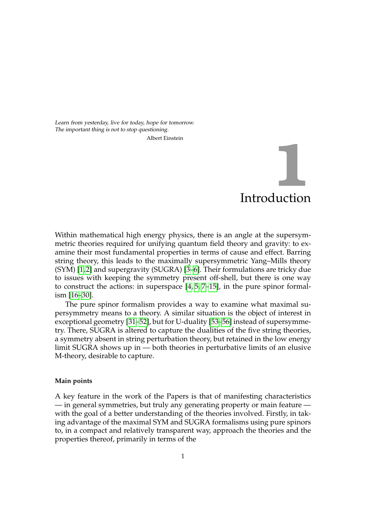<span id="page-12-0"></span>Learn from yesterday, live for today, hope for tomorrow. The important thing is not to stop questioning. Albert Einstein

# Introduction **1**

Within mathematical high energy physics, there is an angle at the supersymmetric theories required for unifying quantum field theory and gravity: to examine their most fundamental properties in terms of cause and effect. Barring string theory, this leads to the maximally supersymmetric Yang–Mills theory (SYM) [\[1,](#page-106-1) [2\]](#page-106-2) and supergravity (SUGRA) [\[3](#page-106-3)[–6\]](#page-106-4). Their formulations are tricky due to issues with keeping the symmetry present off-shell, but there is one way to construct the actions: in superspace [\[4,](#page-106-5) [5,](#page-106-6) [7](#page-106-7)[–15\]](#page-107-0), in the pure spinor formalism [\[16](#page-107-1)[–30\]](#page-108-0).

The pure spinor formalism provides a way to examine what maximal supersymmetry means to a theory. A similar situation is the object of interest in exceptional geometry [\[31–](#page-108-1)[52\]](#page-109-0), but for U-duality [\[53–](#page-109-1)[56\]](#page-109-2) instead of supersymmetry. There, SUGRA is altered to capture the dualities of the five string theories, a symmetry absent in string perturbation theory, but retained in the low energy limit SUGRA shows up in — both theories in perturbative limits of an elusive M-theory, desirable to capture.

#### **Main points**

A key feature in the work of the Papers is that of manifesting characteristics — in general symmetries, but truly any generating property or main feature with the goal of a better understanding of the theories involved. Firstly, in taking advantage of the maximal SYM and SUGRA formalisms using pure spinors to, in a compact and relatively transparent way, approach the theories and the properties thereof, primarily in terms of the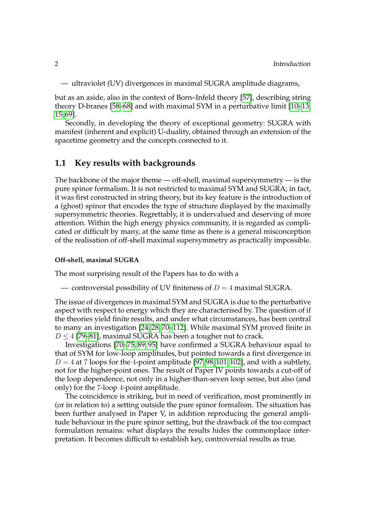— ultraviolet (UV) divergences in maximal SUGRA amplitude diagrams,

but as an aside, also in the context of Born–Infeld theory [\[57\]](#page-109-3), describing string theory D-branes [\[58](#page-109-4)[–68\]](#page-110-0) and with maximal SYM in a perturbative limit [\[10](#page-106-8)[–13,](#page-106-9) [15,](#page-107-0) [69\]](#page-110-1).

Secondly, in developing the theory of exceptional geometry: SUGRA with manifest (inherent and explicit) U-duality, obtained through an extension of the spacetime geometry and the concepts connected to it.

#### <span id="page-13-0"></span>**1.1 Key results with backgrounds**

The backbone of the major theme — off-shell, maximal supersymmetry — is the pure spinor formalism. It is not restricted to maximal SYM and SUGRA; in fact, it was first constructed in string theory, but its key feature is the introduction of a (ghost) spinor that encodes the type of structure displayed by the maximally supersymmetric theories. Regrettably, it is undervalued and deserving of more attention. Within the high energy physics community, it is regarded as complicated or difficult by many, at the same time as there is a general misconception of the realisation of off-shell maximal supersymmetry as practically impossible.

#### **Off-shell, maximal SUGRA**

The most surprising result of the Papers has to do with a

— controversial possibility of UV finiteness of  $D = 4$  maximal SUGRA.

The issue of divergences in maximal SYM and SUGRA is due to the perturbative aspect with respect to energy which they are characterised by. The question of if the theories yield finite results, and under what circumstances, has been central to many an investigation [\[24,](#page-107-2) [28,](#page-108-2) [70](#page-110-2)[–112\]](#page-113-0). While maximal SYM proved finite in  $D < 4$  [\[79](#page-111-0)[–81\]](#page-111-1), maximal SUGRA has been a tougher nut to crack.

Investigations [\[70–](#page-110-2)[75,](#page-111-2) [89,](#page-111-3) [95\]](#page-112-0) have confirmed a SUGRA behaviour equal to that of SYM for low-loop amplitudes, but pointed towards a first divergence in  $D = 4$  at 7 loops for the 4-point amplitude [\[97,](#page-112-1)98,101,102], and with a subtlety, not for the higher-point ones. The result of Paper IV points towards a cut-off of the loop dependence, not only in a higher-than-seven loop sense, but also (and only) for the 7-loop 4-point amplitude.

The coincidence is striking, but in need of verification, most prominently in (or in relation to) a setting outside the pure spinor formalism. The situation has been further analysed in Paper V, in addition reproducing the general amplitude behaviour in the pure spinor setting, but the drawback of the too compact formulation remains: what displays the results hides the commonplace interpretation. It becomes difficult to establish key, controversial results as true.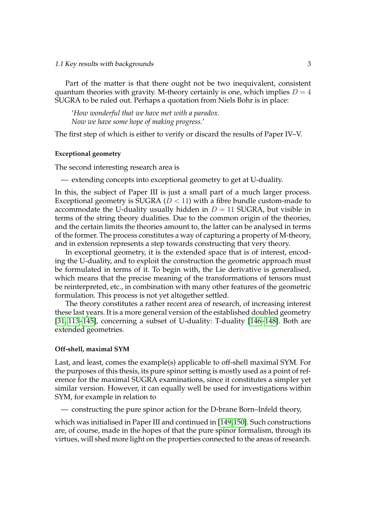1.1 Key results with backgrounds 3

Part of the matter is that there ought not be two inequivalent, consistent quantum theories with gravity. M-theory certainly is one, which implies  $D = 4$ SUGRA to be ruled out. Perhaps a quotation from Niels Bohr is in place:

'*How wonderful that we have met with a paradox. Now we have some hope of making progress.*'

The first step of which is either to verify or discard the results of Paper IV–V.

#### **Exceptional geometry**

The second interesting research area is

— extending concepts into exceptional geometry to get at U-duality.

In this, the subject of Paper III is just a small part of a much larger process. Exceptional geometry is SUGRA ( $D < 11$ ) with a fibre bundle custom-made to accommodate the U-duality usually hidden in  $D = 11$  SUGRA, but visible in terms of the string theory dualities. Due to the common origin of the theories, and the certain limits the theories amount to, the latter can be analysed in terms of the former. The process constitutes a way of capturing a property of M-theory, and in extension represents a step towards constructing that very theory.

In exceptional geometry, it is the extended space that is of interest, encoding the U-duality, and to exploit the construction the geometric approach must be formulated in terms of it. To begin with, the Lie derivative is generalised, which means that the precise meaning of the transformations of tensors must be reinterpreted, etc., in combination with many other features of the geometric formulation. This process is not yet altogether settled.

The theory constitutes a rather recent area of research, of increasing interest these last years. It is a more general version of the established doubled geometry [\[31,](#page-108-1) [113–](#page-113-1)[145\]](#page-115-0), concerning a subset of U-duality: T-duality [\[146](#page-115-1)[–148\]](#page-115-2). Both are extended geometries.

#### **Off-shell, maximal SYM**

Last, and least, comes the example(s) applicable to off-shell maximal SYM. For the purposes of this thesis, its pure spinor setting is mostly used as a point of reference for the maximal SUGRA examinations, since it constitutes a simpler yet similar version. However, it can equally well be used for investigations within SYM, for example in relation to

— constructing the pure spinor action for the D-brane Born–Infeld theory,

which was initialised in Paper III and continued in [\[149,](#page-115-3)[150\]](#page-115-4). Such constructions are, of course, made in the hopes of that the pure spinor formalism, through its virtues, will shed more light on the properties connected to the areas of research.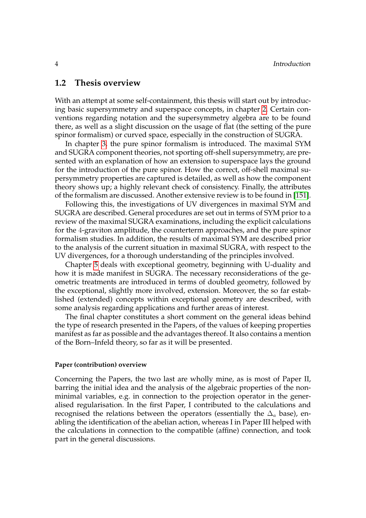#### <span id="page-15-0"></span>**1.2 Thesis overview**

With an attempt at some self-containment, this thesis will start out by introducing basic supersymmetry and superspace concepts, in chapter [2.](#page-18-0) Certain conventions regarding notation and the supersymmetry algebra are to be found there, as well as a slight discussion on the usage of flat (the setting of the pure spinor formalism) or curved space, especially in the construction of SUGRA.

In chapter [3,](#page-28-0) the pure spinor formalism is introduced. The maximal SYM and SUGRA component theories, not sporting off-shell supersymmetry, are presented with an explanation of how an extension to superspace lays the ground for the introduction of the pure spinor. How the correct, off-shell maximal supersymmetry properties are captured is detailed, as well as how the component theory shows up; a highly relevant check of consistency. Finally, the attributes of the formalism are discussed. Another extensive review is to be found in [\[151\]](#page-115-5).

Following this, the investigations of UV divergences in maximal SYM and SUGRA are described. General procedures are set out in terms of SYM prior to a review of the maximal SUGRA examinations, including the explicit calculations for the 4-graviton amplitude, the counterterm approaches, and the pure spinor formalism studies. In addition, the results of maximal SYM are described prior to the analysis of the current situation in maximal SUGRA, with respect to the UV divergences, for a thorough understanding of the principles involved.

Chapter [5](#page-80-0) deals with exceptional geometry, beginning with U-duality and how it is made manifest in SUGRA. The necessary reconsiderations of the geometric treatments are introduced in terms of doubled geometry, followed by the exceptional, slightly more involved, extension. Moreover, the so far established (extended) concepts within exceptional geometry are described, with some analysis regarding applications and further areas of interest.

The final chapter constitutes a short comment on the general ideas behind the type of research presented in the Papers, of the values of keeping properties manifest as far as possible and the advantages thereof. It also contains a mention of the Born–Infeld theory, so far as it will be presented.

#### **Paper (contribution) overview**

Concerning the Papers, the two last are wholly mine, as is most of Paper II, barring the initial idea and the analysis of the algebraic properties of the nonminimal variables, e.g. in connection to the projection operator in the generalised regularisation. In the first Paper, I contributed to the calculations and recognised the relations between the operators (essentially the  $\Delta_a$  base), enabling the identification of the abelian action, whereas I in Paper III helped with the calculations in connection to the compatible (affine) connection, and took part in the general discussions.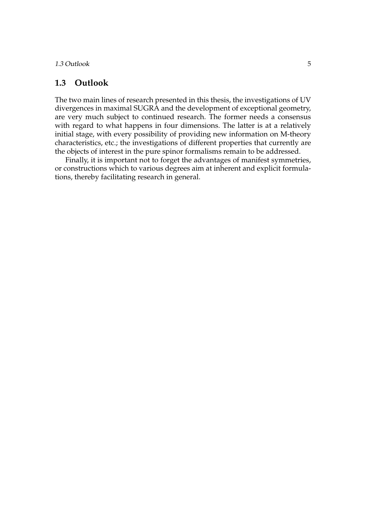1.3 Outlook 5

#### <span id="page-16-0"></span>**1.3 Outlook**

The two main lines of research presented in this thesis, the investigations of UV divergences in maximal SUGRA and the development of exceptional geometry, are very much subject to continued research. The former needs a consensus with regard to what happens in four dimensions. The latter is at a relatively initial stage, with every possibility of providing new information on M-theory characteristics, etc.; the investigations of different properties that currently are the objects of interest in the pure spinor formalisms remain to be addressed.

Finally, it is important not to forget the advantages of manifest symmetries, or constructions which to various degrees aim at inherent and explicit formulations, thereby facilitating research in general.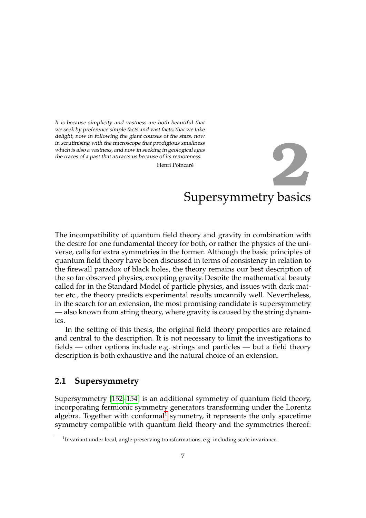<span id="page-18-0"></span>It is because simplicity and vastness are both beautiful that we seek by preference simple facts and vast facts; that we take delight, now in following the giant courses of the stars, now in scrutinising with the microscope that prodigious smallness which is also a vastness, and now in seeking in geological ages the traces of a past that attracts us because of its remoteness.

Henri Poincar

# Supersymmetry basics e´ **2**

The incompatibility of quantum field theory and gravity in combination with the desire for one fundamental theory for both, or rather the physics of the universe, calls for extra symmetries in the former. Although the basic principles of quantum field theory have been discussed in terms of consistency in relation to the firewall paradox of black holes, the theory remains our best description of the so far observed physics, excepting gravity. Despite the mathematical beauty called for in the Standard Model of particle physics, and issues with dark matter etc., the theory predicts experimental results uncannily well. Nevertheless, in the search for an extension, the most promising candidate is supersymmetry — also known from string theory, where gravity is caused by the string dynamics.

In the setting of this thesis, the original field theory properties are retained and central to the description. It is not necessary to limit the investigations to fields — other options include e.g. strings and particles — but a field theory description is both exhaustive and the natural choice of an extension.

#### <span id="page-18-1"></span>**2.1 Supersymmetry**

Supersymmetry [\[152–](#page-115-6)[154\]](#page-116-0) is an additional symmetry of quantum field theory, incorporating fermionic symmetry generators transforming under the Lorentz algebra. Together with conformal<sup>[1](#page-18-2)</sup> symmetry, it represents the only spacetime symmetry compatible with quantum field theory and the symmetries thereof:

<span id="page-18-2"></span> $1$ Invariant under local, angle-preserving transformations, e.g. including scale invariance.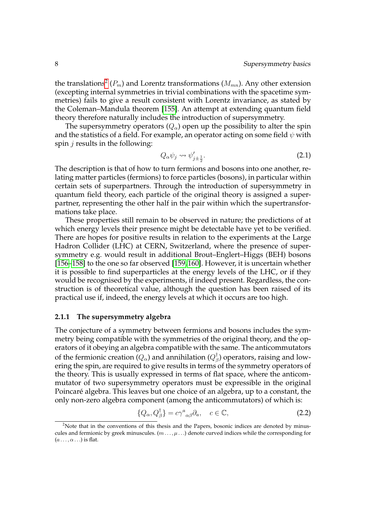the translations<sup>[2](#page-19-1)</sup>  $(P_m)$  and Lorentz transformations  $(M_{mn})$ . Any other extension (excepting internal symmetries in trivial combinations with the spacetime symmetries) fails to give a result consistent with Lorentz invariance, as stated by the Coleman–Mandula theorem [\[155\]](#page-116-1). An attempt at extending quantum field theory therefore naturally includes the introduction of supersymmetry.

The supersymmetry operators  $(Q_{\alpha})$  open up the possibility to alter the spin and the statistics of a field. For example, an operator acting on some field  $\psi$  with spin  $j$  results in the following:

$$
Q_{\alpha}\psi_j \leadsto \psi_{j\pm\frac{1}{2}}'.\tag{2.1}
$$

The description is that of how to turn fermions and bosons into one another, relating matter particles (fermions) to force particles (bosons), in particular within certain sets of superpartners. Through the introduction of supersymmetry in quantum field theory, each particle of the original theory is assigned a superpartner, representing the other half in the pair within which the supertransformations take place.

These properties still remain to be observed in nature; the predictions of at which energy levels their presence might be detectable have yet to be verified. There are hopes for positive results in relation to the experiments at the Large Hadron Collider (LHC) at CERN, Switzerland, where the presence of supersymmetry e.g. would result in additional Brout–Englert–Higgs (BEH) bosons [\[156](#page-116-2)[–158\]](#page-116-3) to the one so far observed [\[159,](#page-116-4)160]. However, it is uncertain whether it is possible to find superparticles at the energy levels of the LHC, or if they would be recognised by the experiments, if indeed present. Regardless, the construction is of theoretical value, although the question has been raised of its practical use if, indeed, the energy levels at which it occurs are too high.

#### <span id="page-19-0"></span>**2.1.1 The supersymmetry algebra**

The conjecture of a symmetry between fermions and bosons includes the symmetry being compatible with the symmetries of the original theory, and the operators of it obeying an algebra compatible with the same. The anticommutators of the fermionic creation  $(Q_{\alpha})$  and annihilation  $(Q_{\beta}^{\intercal})$  operators, raising and lowering the spin, are required to give results in terms of the symmetry operators of the theory. This is usually expressed in terms of flat space, where the anticommutator of two supersymmetry operators must be expressible in the original Poincaré algebra. This leaves but one choice of an algebra, up to a constant, the only non-zero algebra component (among the anticommutators) of which is:

<span id="page-19-2"></span>
$$
\{Q_{\alpha}, Q_{\beta}^{\dagger}\} = c\gamma^{a}{}_{\alpha\beta}\partial_{a}, \quad c \in \mathbb{C}, \tag{2.2}
$$

<span id="page-19-1"></span><sup>&</sup>lt;sup>2</sup>Note that in the conventions of this thesis and the Papers, bosonic indices are denoted by minuscules and fermionic by greek minuscules.  $(m \dots, \mu \dots)$  denote curved indices while the corresponding for  $(a \ldots, \alpha \ldots)$  is flat.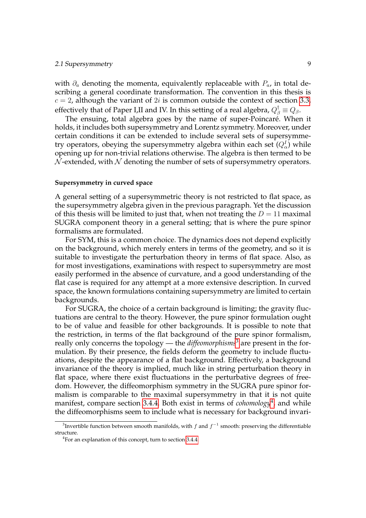#### 2.1 Supersymmetry 9

with  $\partial_a$  denoting the momenta, equivalently replaceable with  $P_a$ , in total describing a general coordinate transformation. The convention in this thesis is  $c = 2$ , although the variant of 2*i* is common outside the context of section [3.3,](#page-36-0) effectively that of Paper I,II and IV. In this setting of a real algebra,  $Q_{\beta}^{\dagger} \equiv Q_{\beta}$ .

The ensuing, total algebra goes by the name of super-Poincaré. When it holds, it includes both supersymmetry and Lorentz symmetry. Moreover, under certain conditions it can be extended to include several sets of supersymmetry operators, obeying the supersymmetry algebra within each set  $(Q^I_\alpha)$  while opening up for non-trivial relations otherwise. The algebra is then termed to be  $\mathcal N$ -extended, with  $\mathcal N$  denoting the number of sets of supersymmetry operators.

#### <span id="page-20-2"></span>**Supersymmetry in curved space**

A general setting of a supersymmetric theory is not restricted to flat space, as the supersymmetry algebra given in the previous paragraph. Yet the discussion of this thesis will be limited to just that, when not treating the  $D = 11$  maximal SUGRA component theory in a general setting; that is where the pure spinor formalisms are formulated.

For SYM, this is a common choice. The dynamics does not depend explicitly on the background, which merely enters in terms of the geometry, and so it is suitable to investigate the perturbation theory in terms of flat space. Also, as for most investigations, examinations with respect to supersymmetry are most easily performed in the absence of curvature, and a good understanding of the flat case is required for any attempt at a more extensive description. In curved space, the known formulations containing supersymmetry are limited to certain backgrounds.

For SUGRA, the choice of a certain background is limiting; the gravity fluctuations are central to the theory. However, the pure spinor formulation ought to be of value and feasible for other backgrounds. It is possible to note that the restriction, in terms of the flat background of the pure spinor formalism, really only concerns the topology — the *diffeomorphisms*<sup>[3](#page-20-0)</sup> are present in the formulation. By their presence, the fields deform the geometry to include fluctuations, despite the appearance of a flat background. Effectively, a background invariance of the theory is implied, much like in string perturbation theory in flat space, where there exist fluctuations in the perturbative degrees of freedom. However, the diffeomorphism symmetry in the SUGRA pure spinor formalism is comparable to the maximal supersymmetry in that it is not quite manifest, compare section [3.4.4.](#page-48-0) Both exist in terms of *cohomology*[4](#page-20-1) , and while the diffeomorphisms seem to include what is necessary for background invari-

<span id="page-20-0"></span> ${}^{3}$ Invertible function between smooth manifolds, with  $f$  and  $f^{-1}$  smooth: preserving the differentiable structure.

<span id="page-20-1"></span><sup>&</sup>lt;sup>4</sup> For an explanation of this concept, turn to section [3.4.4.](#page-48-0)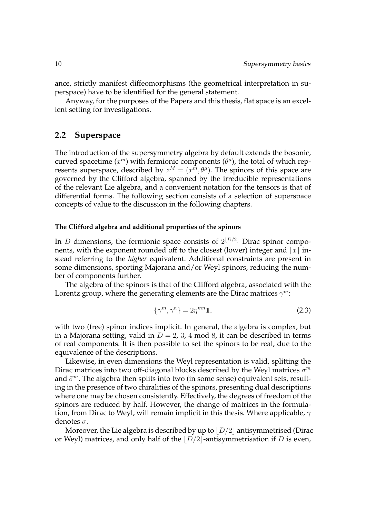ance, strictly manifest diffeomorphisms (the geometrical interpretation in superspace) have to be identified for the general statement.

Anyway, for the purposes of the Papers and this thesis, flat space is an excellent setting for investigations.

#### <span id="page-21-0"></span>**2.2 Superspace**

The introduction of the supersymmetry algebra by default extends the bosonic, curved spacetime  $(x^m)$  with fermionic components  $(\theta^{\mu})$ , the total of which represents superspace, described by  $z^M = (x^m, \theta^{\mu})$ . The spinors of this space are governed by the Clifford algebra, spanned by the irreducible representations of the relevant Lie algebra, and a convenient notation for the tensors is that of differential forms. The following section consists of a selection of superspace concepts of value to the discussion in the following chapters.

#### **The Clifford algebra and additional properties of the spinors**

In *D* dimensions, the fermionic space consists of  $2^{[D/2]}$  Dirac spinor components, with the exponent rounded off to the closest (lower) integer and  $\lceil x \rceil$  instead referring to the *higher* equivalent. Additional constraints are present in some dimensions, sporting Majorana and/or Weyl spinors, reducing the number of components further.

The algebra of the spinors is that of the Clifford algebra, associated with the Lorentz group, where the generating elements are the Dirac matrices  $\gamma^m$ :

$$
\{\gamma^m, \gamma^n\} = 2\eta^{mn} \mathbb{1},\tag{2.3}
$$

with two (free) spinor indices implicit. In general, the algebra is complex, but in a Majorana setting, valid in  $D = 2$ , 3, 4 mod 8, it can be described in terms of real components. It is then possible to set the spinors to be real, due to the equivalence of the descriptions.

Likewise, in even dimensions the Weyl representation is valid, splitting the Dirac matrices into two off-diagonal blocks described by the Weyl matrices  $\sigma^m$ and  $\bar{\sigma}^m$ . The algebra then splits into two (in some sense) equivalent sets, resulting in the presence of two chiralities of the spinors, presenting dual descriptions where one may be chosen consistently. Effectively, the degrees of freedom of the spinors are reduced by half. However, the change of matrices in the formulation, from Dirac to Weyl, will remain implicit in this thesis. Where applicable,  $\gamma$ denotes  $\sigma$ .

Moreover, the Lie algebra is described by up to  $\lfloor D/2 \rfloor$  antisymmetrised (Dirac or Weyl) matrices, and only half of the  $\lfloor D/2 \rfloor$ -antisymmetrisation if D is even,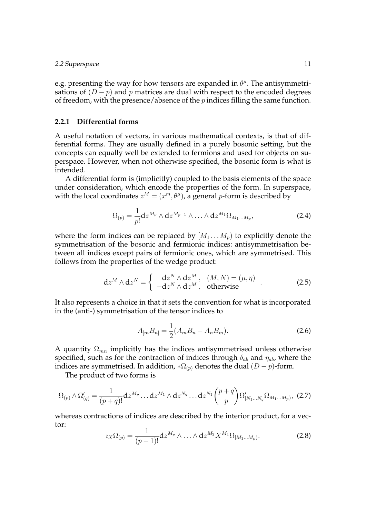e.g. presenting the way for how tensors are expanded in  $\theta^{\mu}$ . The antisymmetrisations of  $(D - p)$  and p matrices are dual with respect to the encoded degrees of freedom, with the presence/absence of the  $p$  indices filling the same function.

#### <span id="page-22-0"></span>**2.2.1 Differential forms**

A useful notation of vectors, in various mathematical contexts, is that of differential forms. They are usually defined in a purely bosonic setting, but the concepts can equally well be extended to fermions and used for objects on superspace. However, when not otherwise specified, the bosonic form is what is intended.

A differential form is (implicitly) coupled to the basis elements of the space under consideration, which encode the properties of the form. In superspace, with the local coordinates  $z^M = (x^m, \theta^{\mu})$ , a general p-form is described by

$$
\Omega_{(p)} = \frac{1}{p!} \mathrm{d} z^{M_p} \wedge \mathrm{d} z^{M_{p-1}} \wedge \ldots \wedge \mathrm{d} z^{M_1} \Omega_{M_1 \ldots M_p},\tag{2.4}
$$

where the form indices can be replaced by  $[M_1 \dots M_p]$  to explicitly denote the symmetrisation of the bosonic and fermionic indices: antisymmetrisation between all indices except pairs of fermionic ones, which are symmetrised. This follows from the properties of the wedge product:

$$
dz^{M} \wedge dz^{N} = \begin{cases} dz^{N} \wedge dz^{M} , & (M, N) = (\mu, \eta) \\ -dz^{N} \wedge dz^{M} , & \text{otherwise} \end{cases}
$$
 (2.5)

It also represents a choice in that it sets the convention for what is incorporated in the (anti-) symmetrisation of the tensor indices to

$$
A_{[m}B_{n]} = \frac{1}{2}(A_m B_n - A_n B_m).
$$
 (2.6)

A quantity  $\Omega_{mn}$  implicitly has the indices antisymmetrised unless otherwise specified, such as for the contraction of indices through  $\delta_{ab}$  and  $\eta_{ab}$ , where the indices are symmetrised. In addition,  $\ast \Omega_{(p)}$  denotes the dual  $(D - p)$ -form.

The product of two forms is

$$
\Omega_{(p)} \wedge \Omega'_{(q)} = \frac{1}{(p+q)!} dz^{M_p} \dots dz^{M_1} \wedge dz^{N_q} \dots dz^{N_1} {p+q \choose p} \Omega'_{[N_1 \dots N_q} \Omega_{M_1 \dots M_p)},
$$
 (2.7)

whereas contractions of indices are described by the interior product, for a vector:

$$
i_X\Omega_{(p)} = \frac{1}{(p-1)!} \mathrm{d} z^{M_p} \wedge \ldots \wedge \mathrm{d} z^{M_2} X^{M_1} \Omega_{[M_1 \ldots M_p)}.
$$
 (2.8)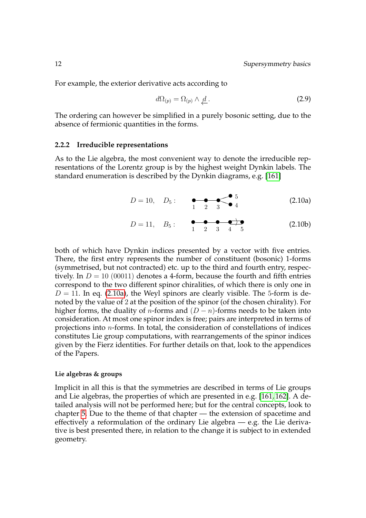For example, the exterior derivative acts according to

<span id="page-23-2"></span>
$$
d\Omega_{(p)} = \Omega_{(p)} \wedge \underline{d} \,.
$$
\n(2.9)

The ordering can however be simplified in a purely bosonic setting, due to the absence of fermionic quantities in the forms.

#### <span id="page-23-0"></span>**2.2.2 Irreducible representations**

As to the Lie algebra, the most convenient way to denote the irreducible representations of the Lorentz group is by the highest weight Dynkin labels. The standard enumeration is described by the Dynkin diagrams, e.g. [\[161\]](#page-116-6)

<span id="page-23-1"></span>
$$
D = 10, \quad D_5: \quad \bullet \quad \bullet \quad \bullet \quad \bullet \quad \bullet \quad \bullet
$$
\n
$$
1 \quad 2 \quad 3 \quad \bullet \quad 4 \tag{2.10a}
$$

<span id="page-23-3"></span>
$$
D = 11, \quad B_5: \qquad \begin{array}{c} \bullet \bullet \bullet \bullet \bullet \bullet \\ 1 \quad 2 \quad 3 \quad 4 \quad 5 \end{array} \tag{2.10b}
$$

both of which have Dynkin indices presented by a vector with five entries. There, the first entry represents the number of constituent (bosonic) 1-forms (symmetrised, but not contracted) etc. up to the third and fourth entry, respectively. In  $D = 10$  (00011) denotes a 4-form, because the fourth and fifth entries correspond to the two different spinor chiralities, of which there is only one in  $D = 11$ . In eq. [\(2.10a\)](#page-23-1), the Weyl spinors are clearly visible. The 5-form is denoted by the value of 2 at the position of the spinor (of the chosen chirality). For higher forms, the duality of *n*-forms and  $(D - n)$ -forms needs to be taken into consideration. At most one spinor index is free; pairs are interpreted in terms of projections into n-forms. In total, the consideration of constellations of indices constitutes Lie group computations, with rearrangements of the spinor indices given by the Fierz identities. For further details on that, look to the appendices of the Papers.

#### **Lie algebras & groups**

Implicit in all this is that the symmetries are described in terms of Lie groups and Lie algebras, the properties of which are presented in e.g. [\[161,](#page-116-6) [162\]](#page-116-7). A detailed analysis will not be performed here; but for the central concepts, look to chapter [5.](#page-80-0) Due to the theme of that chapter — the extension of spacetime and effectively a reformulation of the ordinary Lie algebra — e.g. the Lie derivative is best presented there, in relation to the change it is subject to in extended geometry.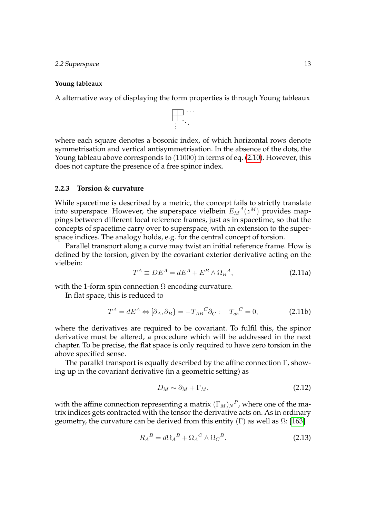#### 2.2 Superspace 13

#### **Young tableaux**

A alternative way of displaying the form properties is through Young tableaux



where each square denotes a bosonic index, of which horizontal rows denote symmetrisation and vertical antisymmetrisation. In the absence of the dots, the Young tableau above corresponds to (11000) in terms of eq. [\(2.10\)](#page-23-2). However, this does not capture the presence of a free spinor index.

#### <span id="page-24-0"></span>**2.2.3 Torsion & curvature**

While spacetime is described by a metric, the concept fails to strictly translate into superspace. However, the superspace vielbein  $E_M{}^A(z^M)$  provides mappings between different local reference frames, just as in spacetime, so that the concepts of spacetime carry over to superspace, with an extension to the superspace indices. The analogy holds, e.g. for the central concept of torsion.

Parallel transport along a curve may twist an initial reference frame. How is defined by the torsion, given by the covariant exterior derivative acting on the vielbein:

$$
T^{A} \equiv DE^{A} = dE^{A} + E^{B} \wedge \Omega_{B}{}^{A}, \qquad (2.11a)
$$

with the 1-form spin connection  $\Omega$  encoding curvature.

In flat space, this is reduced to

$$
T^{A} = dE^{A} \Leftrightarrow [\partial_{A}, \partial_{B}] = -T_{AB}{}^{C} \partial_{C} : T_{ab}{}^{C} = 0,
$$
 (2.11b)

where the derivatives are required to be covariant. To fulfil this, the spinor derivative must be altered, a procedure which will be addressed in the next chapter. To be precise, the flat space is only required to have zero torsion in the above specified sense.

The parallel transport is equally described by the affine connection  $\Gamma$ , showing up in the covariant derivative (in a geometric setting) as

$$
D_M \sim \partial_M + \Gamma_M, \tag{2.12}
$$

with the affine connection representing a matrix  $(\Gamma_M)_N{}^P$ , where one of the matrix indices gets contracted with the tensor the derivative acts on. As in ordinary geometry, the curvature can be derived from this entity  $(Γ)$  as well as  $Ω$ : [\[163\]](#page-116-8)

$$
R_A{}^B = d\Omega_A{}^B + \Omega_A{}^C \wedge \Omega_C{}^B. \tag{2.13}
$$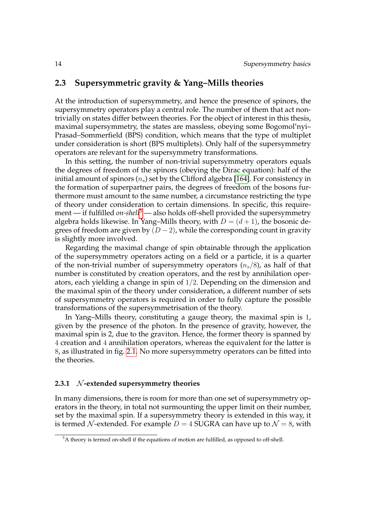#### <span id="page-25-0"></span>**2.3 Supersymmetric gravity & Yang–Mills theories**

At the introduction of supersymmetry, and hence the presence of spinors, the supersymmetry operators play a central role. The number of them that act nontrivially on states differ between theories. For the object of interest in this thesis, maximal supersymmetry, the states are massless, obeying some Bogomol'nyi– Prasad–Sommerfield (BPS) condition, which means that the type of multiplet under consideration is short (BPS multiplets). Only half of the supersymmetry operators are relevant for the supersymmetry transformations.

In this setting, the number of non-trivial supersymmetry operators equals the degrees of freedom of the spinors (obeying the Dirac equation): half of the initial amount of spinors  $(n_s)$  set by the Clifford algebra [\[164\]](#page-116-9). For consistency in the formation of superpartner pairs, the degrees of freedom of the bosons furthermore must amount to the same number, a circumstance restricting the type of theory under consideration to certain dimensions. In specific, this requirement — if fulfilled *on-shell*<sup>[5](#page-25-2)</sup> — also holds off-shell provided the supersymmetry algebra holds likewise. In Yang–Mills theory, with  $D = (d + 1)$ , the bosonic degrees of freedom are given by  $(D-2)$ , while the corresponding count in gravity is slightly more involved.

Regarding the maximal change of spin obtainable through the application of the supersymmetry operators acting on a field or a particle, it is a quarter of the non-trivial number of supersymmetry operators  $(n_s/8)$ , as half of that number is constituted by creation operators, and the rest by annihilation operators, each yielding a change in spin of 1/2. Depending on the dimension and the maximal spin of the theory under consideration, a different number of sets of supersymmetry operators is required in order to fully capture the possible transformations of the supersymmetrisation of the theory.

In Yang–Mills theory, constituting a gauge theory, the maximal spin is 1, given by the presence of the photon. In the presence of gravity, however, the maximal spin is 2, due to the graviton. Hence, the former theory is spanned by 4 creation and 4 annihilation operators, whereas the equivalent for the latter is 8, as illustrated in fig. [2.1.](#page-26-0) No more supersymmetry operators can be fitted into the theories.

#### <span id="page-25-1"></span>**2.3.1** N **-extended supersymmetry theories**

In many dimensions, there is room for more than one set of supersymmetry operators in the theory, in total not surmounting the upper limit on their number, set by the maximal spin. If a supersymmetry theory is extended in this way, it is termed N-extended. For example  $D = 4$  SUGRA can have up to  $\mathcal{N} = 8$ , with

<span id="page-25-2"></span><sup>&</sup>lt;sup>5</sup>A theory is termed on-shell if the equations of motion are fulfilled, as opposed to off-shell.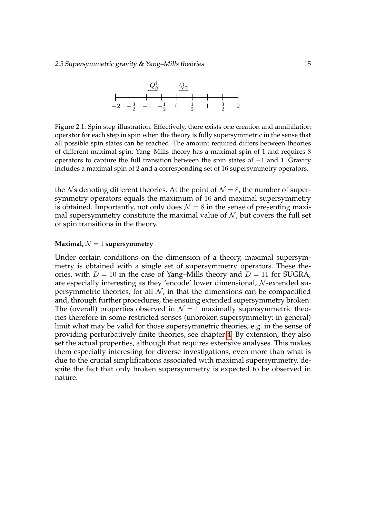

<span id="page-26-0"></span>Figure 2.1: Spin step illustration. Effectively, there exists one creation and annihilation operator for each step in spin when the theory is fully supersymmetric in the sense that all possible spin states can be reached. The amount required differs between theories of different maximal spin: Yang–Mills theory has a maximal spin of 1 and requires 8 operators to capture the full transition between the spin states of −1 and 1. Gravity includes a maximal spin of 2 and a corresponding set of 16 supersymmetry operators.

the Ns denoting different theories. At the point of  $\mathcal{N} = 8$ , the number of supersymmetry operators equals the maximum of 16 and maximal supersymmetry is obtained. Importantly, not only does  $\mathcal{N} = 8$  in the sense of presenting maximal supersymmetry constitute the maximal value of  $N$ , but covers the full set of spin transitions in the theory.

#### **Maximal,**  $\mathcal{N} = 1$  **supersymmetry**

Under certain conditions on the dimension of a theory, maximal supersymmetry is obtained with a single set of supersymmetry operators. These theories, with  $D = 10$  in the case of Yang–Mills theory and  $D = 11$  for SUGRA, are especially interesting as they 'encode' lower dimensional, N -extended supersymmetric theories, for all  $N$ , in that the dimensions can be compactified and, through further procedures, the ensuing extended supersymmetry broken. The (overall) properties observed in  $\mathcal{N} = 1$  maximally supersymmetric theories therefore in some restricted senses (unbroken supersymmetry: in general) limit what may be valid for those supersymmetric theories, e.g. in the sense of providing perturbatively finite theories, see chapter [4.](#page-58-0) By extension, they also set the actual properties, although that requires extensive analyses. This makes them especially interesting for diverse investigations, even more than what is due to the crucial simplifications associated with maximal supersymmetry, despite the fact that only broken supersymmetry is expected to be observed in nature.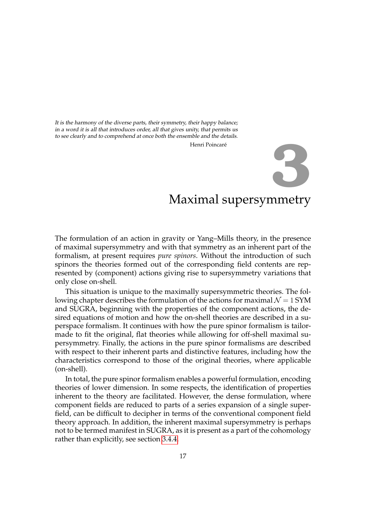<span id="page-28-0"></span>It is the harmony of the diverse parts, their symmetry, their happy balance; in a word it is all that introduces order, all that gives unity, that permits us to see clearly and to comprehend at once both the ensemble and the details.

Henri Poincaré

# **3**

## Maximal supersymmetry

The formulation of an action in gravity or Yang–Mills theory, in the presence of maximal supersymmetry and with that symmetry as an inherent part of the formalism, at present requires *pure spinors*. Without the introduction of such spinors the theories formed out of the corresponding field contents are represented by (component) actions giving rise to supersymmetry variations that only close on-shell.

This situation is unique to the maximally supersymmetric theories. The following chapter describes the formulation of the actions for maximal  $\mathcal{N} = 1$  SYM and SUGRA, beginning with the properties of the component actions, the desired equations of motion and how the on-shell theories are described in a superspace formalism. It continues with how the pure spinor formalism is tailormade to fit the original, flat theories while allowing for off-shell maximal supersymmetry. Finally, the actions in the pure spinor formalisms are described with respect to their inherent parts and distinctive features, including how the characteristics correspond to those of the original theories, where applicable (on-shell).

In total, the pure spinor formalism enables a powerful formulation, encoding theories of lower dimension. In some respects, the identification of properties inherent to the theory are facilitated. However, the dense formulation, where component fields are reduced to parts of a series expansion of a single superfield, can be difficult to decipher in terms of the conventional component field theory approach. In addition, the inherent maximal supersymmetry is perhaps not to be termed manifest in SUGRA, as it is present as a part of the cohomology rather than explicitly, see section [3.4.4.](#page-48-0)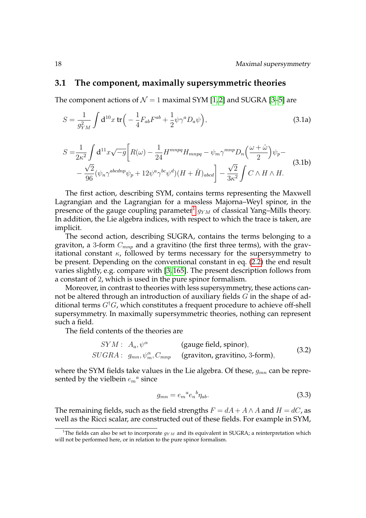#### <span id="page-29-0"></span>**3.1 The component, maximally supersymmetric theories**

The component actions of  $\mathcal{N} = 1$  maximal SYM [\[1,](#page-106-1)2] and SUGRA [\[3](#page-106-3)[–5\]](#page-106-6) are

<span id="page-29-3"></span>
$$
S = \frac{1}{g_{YM}^2} \int d^{10}x \, \text{tr} \Big( -\frac{1}{4} F_{ab} F^{ab} + \frac{1}{2} \psi \gamma^a D_a \psi \Big), \tag{3.1a}
$$

<span id="page-29-2"></span>
$$
S = \frac{1}{2\kappa^2} \int d^{11}x \sqrt{-g} \left[ R(\omega) - \frac{1}{24} H^{mnpq} H_{mnpq} - \psi_m \gamma^{mnp} D_n \left( \frac{\omega + \hat{\omega}}{2} \right) \psi_p - \right. \\
\left. - \frac{\sqrt{2}}{96} (\psi_n \gamma^{abcdnp} \psi_p + 12 \psi^a \gamma^{bc} \psi^d) (H + \hat{H})_{abcd} \right] - \frac{\sqrt{2}}{3\kappa^2} \int C \wedge H \wedge H.
$$
\n(3.1b)

The first action, describing SYM, contains terms representing the Maxwell Lagrangian and the Lagrangian for a massless Majorna–Weyl spinor, in the presence of the gauge coupling parameter $^{1}$  $^{1}$  $^{1}$   $g_{YM}$  of classical Yang–Mills theory. In addition, the Lie algebra indices, with respect to which the trace is taken, are implicit.

The second action, describing SUGRA, contains the terms belonging to a graviton, a 3-form  $C_{mnp}$  and a gravitino (the first three terms), with the gravitational constant  $\kappa$ , followed by terms necessary for the supersymmetry to be present. Depending on the conventional constant in eq. [\(2.2\)](#page-19-2) the end result varies slightly, e.g. compare with [\[3,](#page-106-3) [165\]](#page-116-10). The present description follows from a constant of 2, which is used in the pure spinor formalism.

Moreover, in contrast to theories with less supersymmetry, these actions cannot be altered through an introduction of auxiliary fields G in the shape of additional terms  $G^{\dagger}G$ , which constitutes a frequent procedure to achieve off-shell supersymmetry. In maximally supersymmetric theories, nothing can represent such a field.

The field contents of the theories are

$$
SYM: A_a, \psi^{\alpha} \qquad \text{(gauge field, spinor)},
$$
  

$$
SUGRA: g_{mn}, \psi^{\alpha}_m, C_{mnp} \qquad \text{(graviton, gravitino, 3-form)},
$$
 (3.2)

where the SYM fields take values in the Lie algebra. Of these,  $g_{mn}$  can be represented by the vielbein  $e_m{}^a$  since

$$
g_{mn} = e_m{}^a e_n{}^b \eta_{ab}.\tag{3.3}
$$

The remaining fields, such as the field strengths  $F = dA + A \wedge A$  and  $H = dC$ , as well as the Ricci scalar, are constructed out of these fields. For example in SYM,

<span id="page-29-1"></span><sup>&</sup>lt;sup>1</sup>The fields can also be set to incorporate  $g_{YM}$  and its equivalent in SUGRA; a reinterpretation which will not be performed here, or in relation to the pure spinor formalism.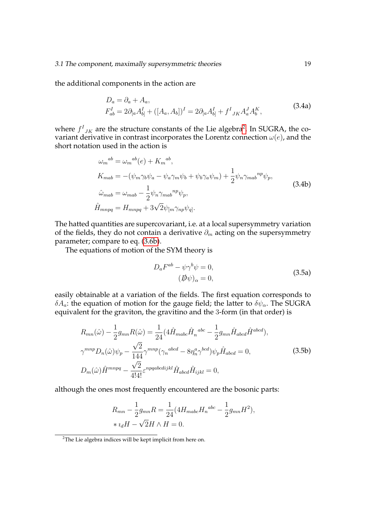the additional components in the action are

$$
D_a = \partial_a + A_a,
$$
  
\n
$$
F_{ab}^I = 2\partial_{[a}A_{b]}^I + ([A_a, A_b])^I = 2\partial_{[a}A_{b]}^I + f^I{}_{JK}A_a^J A_b^K,
$$
\n(3.4a)

where  $f_{JK}^I$  are the structure constants of the Lie algebra<sup>[2](#page-30-0)</sup>. In SUGRA, the covariant derivative in contrast incorporates the Lorentz connection  $\omega(e)$ , and the short notation used in the action is

$$
\omega_m^{ab} = \omega_m^{ab}(e) + K_m^{ab},
$$
  
\n
$$
K_{mab} = -(\psi_m \gamma_b \psi_a - \psi_a \gamma_m \psi_b + \psi_b \gamma_a \psi_m) + \frac{1}{2} \psi_n \gamma_{mab}^{np} \psi_p,
$$
  
\n
$$
\hat{\omega}_{mab} = \omega_{mab} - \frac{1}{2} \psi_n \gamma_{mab}^{np} \psi_p,
$$
  
\n
$$
\hat{H}_{mnpq} = H_{mnpq} + 3\sqrt{2} \psi_{[m} \gamma_{np} \psi_q].
$$
\n(3.4b)

The hatted quantities are supercovariant, i.e. at a local supersymmetry variation of the fields, they do not contain a derivative  $\partial_m$  acting on the supersymmetry parameter; compare to eq. [\(3.6b\)](#page-29-2).

The equations of motion of the SYM theory is

<span id="page-30-1"></span>
$$
D_a F^{ab} - \psi \gamma^b \psi = 0,
$$
  
\n
$$
(\not{D}\psi)_\alpha = 0,
$$
\n(3.5a)

easily obtainable at a variation of the fields. The first equation corresponds to  $\delta A_a$ : the equation of motion for the gauge field; the latter to  $\delta \psi_\alpha$ . The SUGRA equivalent for the graviton, the gravitino and the 3-form (in that order) is

$$
R_{mn}(\hat{\omega}) - \frac{1}{2}g_{mn}R(\hat{\omega}) = \frac{1}{24}(4\hat{H}_{mabc}\hat{H}_n^{abc} - \frac{1}{2}g_{mn}\hat{H}_{abcd}\hat{H}^{abcd}),
$$
  

$$
\gamma^{mnp}D_n(\hat{\omega})\psi_p - \frac{\sqrt{2}}{144}\gamma^{mnp}(\gamma_n^{abcd} - 8\eta_n^a\gamma^{bcd})\psi_p\hat{H}_{abcd} = 0,
$$
 (3.5b)  

$$
D_m(\hat{\omega})\hat{H}^{mnpq} - \frac{\sqrt{2}}{4!4!}\varepsilon^{npqabcdijkl}\hat{H}_{abcd}\hat{H}_{ijkl} = 0,
$$

although the ones most frequently encountered are the bosonic parts:

$$
R_{mn} - \frac{1}{2}g_{mn}R = \frac{1}{24}(4H_{mabc}H_n^{abc} - \frac{1}{2}g_{mn}H^2),
$$
  
\*  $i_dH - \sqrt{2}H \wedge H = 0.$ 

<span id="page-30-0"></span><sup>&</sup>lt;sup>2</sup>The Lie algebra indices will be kept implicit from here on.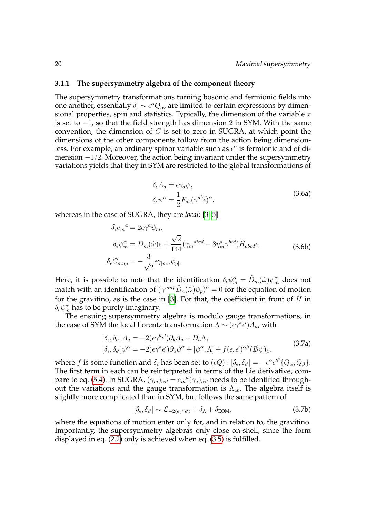#### <span id="page-31-0"></span>**3.1.1 The supersymmetry algebra of the component theory**

The supersymmetry transformations turning bosonic and fermionic fields into one another, essentially  $\delta_{\epsilon} \sim \epsilon^{\alpha} Q_{\alpha}$ , are limited to certain expressions by dimensional properties, spin and statistics. Typically, the dimension of the variable  $x$ is set to −1, so that the field strength has dimension 2 in SYM. With the same convention, the dimension of  $C$  is set to zero in SUGRA, at which point the dimensions of the other components follow from the action being dimensionless. For example, an ordinary spinor variable such as  $\epsilon^{\alpha}$  is fermionic and of dimension  $-1/2$ . Moreover, the action being invariant under the supersymmetry variations yields that they in SYM are restricted to the global transformations of

$$
\delta_{\epsilon} A_{a} = \epsilon \gamma_{a} \psi,
$$
  
\n
$$
\delta_{\epsilon} \psi^{\alpha} = \frac{1}{2} F_{ab} (\gamma^{ab} \epsilon)^{\alpha},
$$
\n(3.6a)

whereas in the case of SUGRA, they are *local*: [\[3](#page-106-3)[–5\]](#page-106-6)

$$
\delta_{\epsilon} e_m^a = 2\epsilon \gamma^a \psi_m,
$$
\n
$$
\delta_{\epsilon} \psi_m^{\alpha} = D_m(\hat{\omega}) \epsilon + \frac{\sqrt{2}}{144} (\gamma_m^{abcd} - 8\eta_m^a \gamma^{bcd}) \hat{H}_{abcd} \epsilon,
$$
\n
$$
\delta_{\epsilon} C_{mnp} = -\frac{3}{\sqrt{2}} \epsilon \gamma_{[mn} \psi_{p]}.
$$
\n(3.6b)

Here, it is possible to note that the identification  $\delta_\epsilon \psi_m^\alpha = \hat{D}_m(\hat{\omega}) \psi_m^\alpha$  does not match with an identification of  $(\gamma^{mnp}\hat{D}_n(\hat{\omega})\psi_p)^{\alpha}=0$  for the equation of motion for the gravitino, as is the case in [\[3\]](#page-106-3). For that, the coefficient in front of  $\hat{H}$  in  $\delta_{\epsilon}\psi^{\alpha}_{m}$  has to be purely imaginary.

The ensuing supersymmetry algebra is modulo gauge transformations, in the case of SYM the local Lorentz transformation  $\Lambda \sim (\epsilon \gamma^a \epsilon') A_a$ , with

$$
[\delta_{\epsilon}, \delta_{\epsilon'}] A_a = -2(\epsilon \gamma^b \epsilon') \partial_b A_a + D_a \Lambda,
$$
  
\n
$$
[\delta_{\epsilon}, \delta_{\epsilon'}] \psi^{\alpha} = -2(\epsilon \gamma^a \epsilon') \partial_a \psi^{\alpha} + [\psi^{\alpha}, \Lambda] + f(\epsilon, \epsilon')^{\alpha \beta} (\not{D} \psi)_{\beta},
$$
\n(3.7a)

where f is some function and  $\delta_{\epsilon}$  has been set to  $(\epsilon Q)$  :  $[\delta_{\epsilon}, \delta_{\epsilon'}] = -\epsilon^{\alpha} \epsilon'^{\beta} \{Q_{\alpha}, Q_{\beta}\}.$ The first term in each can be reinterpreted in terms of the Lie derivative, com-pare to eq. [\(5.4\)](#page-84-1). In SUGRA,  $(\gamma_m)_{\alpha\beta} = e_m{}^a(\gamma_a)_{\alpha\beta}$  needs to be identified throughout the variations and the gauge transformation is  $\Lambda_{ab}$ . The algebra itself is slightly more complicated than in SYM, but follows the same pattern of

$$
[\delta_{\epsilon}, \delta_{\epsilon'}] \sim \mathcal{L}_{-2(\epsilon \gamma^a \epsilon')} + \delta_{\Lambda} + \delta_{\text{EOM}},
$$
\n(3.7b)

where the equations of motion enter only for, and in relation to, the gravitino. Importantly, the supersymmetry algebras only close on-shell, since the form displayed in eq. [\(2.2\)](#page-19-2) only is achieved when eq. [\(3.5\)](#page-30-1) is fulfilled.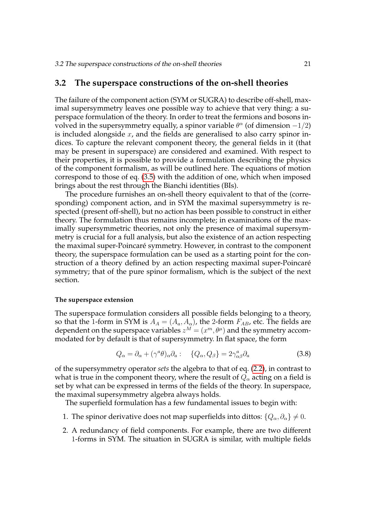#### <span id="page-32-0"></span>**3.2 The superspace constructions of the on-shell theories**

The failure of the component action (SYM or SUGRA) to describe off-shell, maximal supersymmetry leaves one possible way to achieve that very thing: a superspace formulation of the theory. In order to treat the fermions and bosons involved in the supersymmetry equally, a spinor variable  $\theta^{\alpha}$  (of dimension  $-1/2$ ) is included alongside  $x$ , and the fields are generalised to also carry spinor indices. To capture the relevant component theory, the general fields in it (that may be present in superspace) are considered and examined. With respect to their properties, it is possible to provide a formulation describing the physics of the component formalism, as will be outlined here. The equations of motion correspond to those of eq. [\(3.5\)](#page-30-1) with the addition of one, which when imposed brings about the rest through the Bianchi identities (BIs).

The procedure furnishes an on-shell theory equivalent to that of the (corresponding) component action, and in SYM the maximal supersymmetry is respected (present off-shell), but no action has been possible to construct in either theory. The formulation thus remains incomplete; in examinations of the maximally supersymmetric theories, not only the presence of maximal supersymmetry is crucial for a full analysis, but also the existence of an action respecting the maximal super-Poincaré symmetry. However, in contrast to the component theory, the superspace formulation can be used as a starting point for the construction of a theory defined by an action respecting maximal super-Poincaré symmetry; that of the pure spinor formalism, which is the subject of the next section.

#### **The superspace extension**

The superspace formulation considers all possible fields belonging to a theory, so that the 1-form in SYM is  $A_A = (A_a, A_\alpha)$ , the 2-form  $F_{AB}$ , etc. The fields are dependent on the superspace variables  $z^M = (x^m, \theta^{\mu})$  and the symmetry accommodated for by default is that of supersymmetry. In flat space, the form

$$
Q_{\alpha} = \partial_{\alpha} + (\gamma^{a} \theta)_{\alpha} \partial_{a} : \quad \{Q_{\alpha}, Q_{\beta}\} = 2 \gamma^{a}_{\alpha \beta} \partial_{a}
$$
 (3.8)

of the supersymmetry operator *sets* the algebra to that of eq. [\(2.2\)](#page-19-2), in contrast to what is true in the component theory, where the result of  $Q_{\alpha}$  acting on a field is set by what can be expressed in terms of the fields of the theory. In superspace, the maximal supersymmetry algebra always holds.

The superfield formulation has a few fundamental issues to begin with:

- 1. The spinor derivative does not map superfields into dittos:  $\{Q_\alpha, \partial_\alpha\} \neq 0$ .
- 2. A redundancy of field components. For example, there are two different 1-forms in SYM. The situation in SUGRA is similar, with multiple fields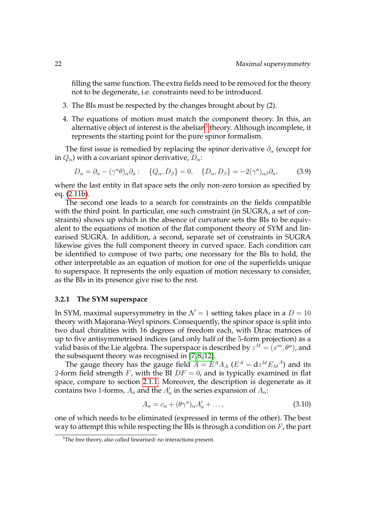filling the same function. The extra fields need to be removed for the theory not to be degenerate, i.e. constraints need to be introduced.

- 3. The BIs must be respected by the changes brought about by (2).
- 4. The equations of motion must match the component theory. In this, an alternative object of interest is the abelian $^3$  $^3$  theory. Although incomplete, it represents the starting point for the pure spinor formalism.

The first issue is remedied by replacing the spinor derivative  $\partial_{\alpha}$  (except for in  $Q_{\alpha}$ ) with a covariant spinor derivative,  $D_{\alpha}$ :

<span id="page-33-2"></span>
$$
D_{\alpha} = \partial_{\alpha} - (\gamma^{a} \theta)_{\alpha} \partial_{a} : \quad \{Q_{\alpha}, D_{\beta}\} = 0, \quad \{D_{\alpha}, D_{\beta}\} = -2(\gamma^{a})_{\alpha \beta} \partial_{a}, \tag{3.9}
$$

where the last entity in flat space sets the only non-zero torsion as specified by eq. [\(2.11b\)](#page-23-3).

The second one leads to a search for constraints on the fields compatible with the third point. In particular, one such constraint (in SUGRA, a set of constraints) shows up which in the absence of curvature sets the BIs to be equivalent to the equations of motion of the flat component theory of SYM and linearised SUGRA. In addition, a second, separate set of constraints in SUGRA likewise gives the full component theory in curved space. Each condition can be identified to compose of two parts; one necessary for the BIs to hold, the other interpretable as an equation of motion for one of the superfields unique to superspace. It represents the only equation of motion necessary to consider, as the BIs in its presence give rise to the rest.

#### <span id="page-33-0"></span>**3.2.1 The SYM superspace**

In SYM, maximal supersymmetry in the  $\mathcal{N} = 1$  setting takes place in a  $D = 10$ theory with Majorana-Weyl spinors. Consequently, the spinor space is split into two dual chiralities with 16 degrees of freedom each, with Dirac matrices of up to five antisymmetrised indices (and only half of the 5-form projection) as a valid basis of the Lie algebra. The superspace is described by  $z^M = (x^m, \theta^{\mu})$ , and the subsequent theory was recognised in [\[7,](#page-106-7) [8,](#page-106-10) [12\]](#page-106-11).

The gauge theory has the gauge field  $A = E^{A} A_{A}$  ( $E^{A} = dz^{M} E_{M}{}^{A}$ ) and its 2-form field strength F, with the BI  $DF = 0$ , and is typically examined in flat space, compare to section [2.1.1.](#page-20-2) Moreover, the description is degenerate as it contains two 1-forms,  $A_a$  and the  $A_a^\prime$  in the series expansion of  $A_\alpha$ :

$$
A_{\alpha} = c_{\alpha} + (\theta \gamma^a)_{\alpha} A'_{a} + \dots,
$$
\n(3.10)

one of which needs to be eliminated (expressed in terms of the other). The best way to attempt this while respecting the BIs is through a condition on  $F$ , the part

<span id="page-33-1"></span><sup>&</sup>lt;sup>3</sup>The free theory, also called linearised: no interactions present.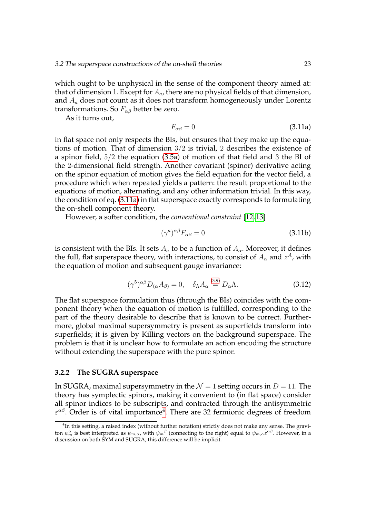which ought to be unphysical in the sense of the component theory aimed at: that of dimension 1. Except for  $A_a$ , there are no physical fields of that dimension, and  $A_a$  does not count as it does not transform homogeneously under Lorentz transformations. So  $F_{\alpha\beta}$  better be zero.

<span id="page-34-1"></span>As it turns out,

$$
F_{\alpha\beta} = 0 \tag{3.11a}
$$

in flat space not only respects the BIs, but ensures that they make up the equations of motion. That of dimension 3/2 is trivial, 2 describes the existence of a spinor field, 5/2 the equation [\(3.5a\)](#page-29-3) of motion of that field and 3 the BI of the 2-dimensional field strength. Another covariant (spinor) derivative acting on the spinor equation of motion gives the field equation for the vector field, a procedure which when repeated yields a pattern: the result proportional to the equations of motion, alternating, and any other information trivial. In this way, the condition of eq. [\(3.11a\)](#page-34-1) in flat superspace exactly corresponds to formulating the on-shell component theory.

However, a softer condition, the *conventional constraint* [\[12,](#page-106-11) [13\]](#page-106-9)

$$
(\gamma^a)^{\alpha\beta}F_{\alpha\beta}=0\tag{3.11b}
$$

is consistent with the BIs. It sets  $A_a$  to be a function of  $A_\alpha$ . Moreover, it defines the full, flat superspace theory, with interactions, to consist of  $A_\alpha$  and  $z^A$ , with the equation of motion and subsequent gauge invariance:

$$
(\gamma^5)^{\alpha\beta}D_{(\alpha}A_{\beta)} = 0, \quad \delta_{\Lambda}A_{\alpha} \stackrel{(3.9)}{=} D_{\alpha}\Lambda.
$$
 (3.12)

The flat superspace formulation thus (through the BIs) coincides with the component theory when the equation of motion is fulfilled, corresponding to the part of the theory desirable to describe that is known to be correct. Furthermore, global maximal supersymmetry is present as superfields transform into superfields; it is given by Killing vectors on the background superspace. The problem is that it is unclear how to formulate an action encoding the structure without extending the superspace with the pure spinor.

#### <span id="page-34-0"></span>**3.2.2 The SUGRA superspace**

In SUGRA, maximal supersymmetry in the  $\mathcal{N} = 1$  setting occurs in  $D = 11$ . The theory has symplectic spinors, making it convenient to (in flat space) consider all spinor indices to be subscripts, and contracted through the antisymmetric  $\varepsilon^{\alpha\beta}$ . Order is of vital importance<sup>[4](#page-34-2)</sup>. There are 32 fermionic degrees of freedom

<span id="page-34-2"></span><sup>&</sup>lt;sup>4</sup>In this setting, a raised index (without further notation) strictly does not make any sense. The graviton  $\psi_m^\alpha$  is best interpreted as  $\psi_{m,\alpha}$ , with  $\psi_m{}^\beta$  (connecting to the right) equal to  $\psi_{m,\alpha} \varepsilon^{\alpha\beta}.$  However, in a discussion on both SYM and SUGRA, this difference will be implicit.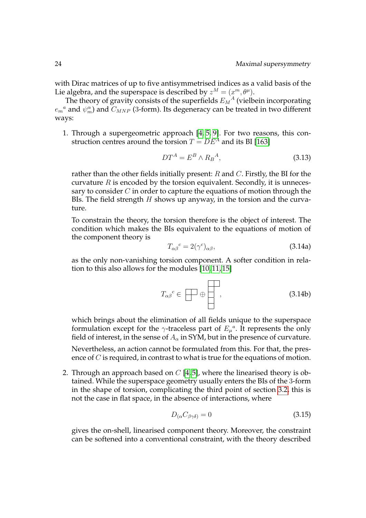with Dirac matrices of up to five antisymmetrised indices as a valid basis of the Lie algebra, and the superspace is described by  $z^M = (x^m, \theta^{\mu}).$ 

The theory of gravity consists of the superfields  $E_M{}^A$  (vielbein incorporating  $e_m{}^a$  and  $\psi_m^\alpha$ ) and  $C_{MNP}$  (3-form). Its degeneracy can be treated in two different ways:

1. Through a supergeometric approach [\[4,](#page-106-5) [5,](#page-106-6) [9\]](#page-106-12). For two reasons, this construction centres around the torsion  $T = DE^{A}$  and its BI [\[163\]](#page-116-8)

$$
DT^A = E^B \wedge R_B{}^A,\tag{3.13}
$$

rather than the other fields initially present:  $R$  and  $C$ . Firstly, the BI for the curvature  $R$  is encoded by the torsion equivalent. Secondly, it is unnecessary to consider  $C$  in order to capture the equations of motion through the BIs. The field strength  $H$  shows up anyway, in the torsion and the curvature.

To constrain the theory, the torsion therefore is the object of interest. The condition which makes the BIs equivalent to the equations of motion of the component theory is

$$
T_{\alpha\beta}{}^c = 2(\gamma^c)_{\alpha\beta},\tag{3.14a}
$$

as the only non-vanishing torsion component. A softer condition in relation to this also allows for the modules [\[10,](#page-106-8) [11,](#page-106-13) [15\]](#page-107-0)

$$
T_{\alpha\beta}{}^{c} \in \boxed{\longrightarrow} \oplus \boxed{\phantom{0}}\,,\tag{3.14b}
$$

which brings about the elimination of all fields unique to the superspace formulation except for the  $\gamma$ -traceless part of  $E_{\mu}^{a}$ . It represents the only field of interest, in the sense of  $A_{\alpha}$  in SYM, but in the presence of curvature.

Nevertheless, an action cannot be formulated from this. For that, the presence of *C* is required, in contrast to what is true for the equations of motion.

2. Through an approach based on  $C$  [\[4,](#page-106-5)5], where the linearised theory is obtained. While the superspace geometry usually enters the BIs of the 3-form in the shape of torsion, complicating the third point of section [3.2,](#page-32-0) this is not the case in flat space, in the absence of interactions, where

$$
D_{(\alpha}C_{\beta\gamma\delta)} = 0\tag{3.15}
$$

gives the on-shell, linearised component theory. Moreover, the constraint can be softened into a conventional constraint, with the theory described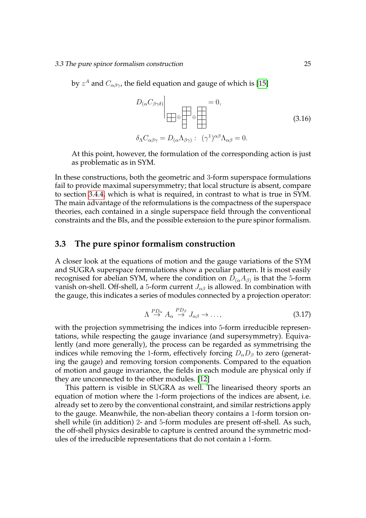by  $z^A$  and  $C_{\alpha\beta\gamma}$ , the field equation and gauge of which is [\[15\]](#page-107-0)

<span id="page-36-0"></span>
$$
D_{(\alpha}C_{\beta\gamma\delta)}\Big|_{\text{max}} = 0,
$$
\n
$$
\delta_{\Lambda}C_{\alpha\beta\gamma} = D_{(\alpha}\Lambda_{\beta\gamma)} : (\gamma^1)^{\alpha\beta}\Lambda_{\alpha\beta} = 0.
$$
\n(3.16)

At this point, however, the formulation of the corresponding action is just as problematic as in SYM.

In these constructions, both the geometric and 3-form superspace formulations fail to provide maximal supersymmetry; that local structure is absent, compare to section [3.4.4,](#page-48-0) which is what is required, in contrast to what is true in SYM. The main advantage of the reformulations is the compactness of the superspace theories, each contained in a single superspace field through the conventional constraints and the BIs, and the possible extension to the pure spinor formalism.

# **3.3 The pure spinor formalism construction**

A closer look at the equations of motion and the gauge variations of the SYM and SUGRA superspace formulations show a peculiar pattern. It is most easily recognised for abelian SYM, where the condition on  $D_{(\alpha}A_{\beta)}$  is that the 5-form vanish on-shell. Off-shell, a 5-form current  $J_{\alpha\beta}$  is allowed. In combination with the gauge, this indicates a series of modules connected by a projection operator:

$$
\Lambda \stackrel{PD_{\alpha}}{\to} A_{\alpha} \stackrel{PD_{\beta}}{\to} J_{\alpha\beta} \to \dots,
$$
\n(3.17)

with the projection symmetrising the indices into 5-form irreducible representations, while respecting the gauge invariance (and supersymmetry). Equivalently (and more generally), the process can be regarded as symmetrising the indices while removing the 1-form, effectively forcing  $D_{\alpha}D_{\beta}$  to zero (generating the gauge) and removing torsion components. Compared to the equation of motion and gauge invariance, the fields in each module are physical only if they are unconnected to the other modules. [\[12\]](#page-106-0)

This pattern is visible in SUGRA as well. The linearised theory sports an equation of motion where the 1-form projections of the indices are absent, i.e. already set to zero by the conventional constraint, and similar restrictions apply to the gauge. Meanwhile, the non-abelian theory contains a 1-form torsion onshell while (in addition) 2- and 5-form modules are present off-shell. As such, the off-shell physics desirable to capture is centred around the symmetric modules of the irreducible representations that do not contain a 1-form.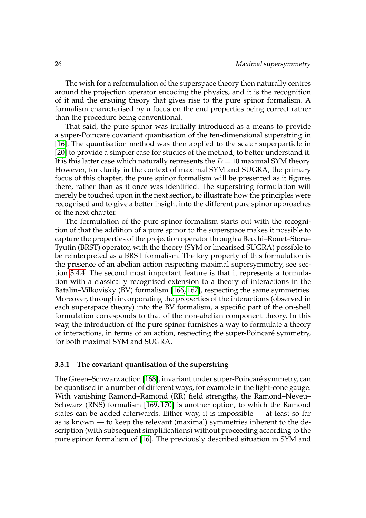The wish for a reformulation of the superspace theory then naturally centres around the projection operator encoding the physics, and it is the recognition of it and the ensuing theory that gives rise to the pure spinor formalism. A formalism characterised by a focus on the end properties being correct rather than the procedure being conventional.

That said, the pure spinor was initially introduced as a means to provide a super-Poincaré covariant quantisation of the ten-dimensional superstring in [\[16\]](#page-107-1). The quantisation method was then applied to the scalar superparticle in [\[20\]](#page-107-2) to provide a simpler case for studies of the method, to better understand it. It is this latter case which naturally represents the  $D = 10$  maximal SYM theory. However, for clarity in the context of maximal SYM and SUGRA, the primary focus of this chapter, the pure spinor formalism will be presented as it figures there, rather than as it once was identified. The superstring formulation will merely be touched upon in the next section, to illustrate how the principles were recognised and to give a better insight into the different pure spinor approaches of the next chapter.

The formulation of the pure spinor formalism starts out with the recognition of that the addition of a pure spinor to the superspace makes it possible to capture the properties of the projection operator through a Becchi–Rouet–Stora– Tyutin (BRST) operator, with the theory (SYM or linearised SUGRA) possible to be reinterpreted as a BRST formalism. The key property of this formulation is the presence of an abelian action respecting maximal supersymmetry, see section [3.4.4.](#page-48-0) The second most important feature is that it represents a formulation with a classically recognised extension to a theory of interactions in the Batalin–Vilkovisky (BV) formalism [\[166,](#page-116-0) [167\]](#page-116-1), respecting the same symmetries. Moreover, through incorporating the properties of the interactions (observed in each superspace theory) into the BV formalism, a specific part of the on-shell formulation corresponds to that of the non-abelian component theory. In this way, the introduction of the pure spinor furnishes a way to formulate a theory of interactions, in terms of an action, respecting the super-Poincaré symmetry, for both maximal SYM and SUGRA.

#### **3.3.1 The covariant quantisation of the superstring**

The Green–Schwarz action [\[168\]](#page-116-2), invariant under super-Poincaré symmetry, can be quantised in a number of different ways, for example in the light-cone gauge. With vanishing Ramond–Ramond (RR) field strengths, the Ramond–Neveu– Schwarz (RNS) formalism [\[169,](#page-116-3) [170\]](#page-116-4) is another option, to which the Ramond states can be added afterwards. Either way, it is impossible — at least so far as is known — to keep the relevant (maximal) symmetries inherent to the description (with subsequent simplifications) without proceeding according to the pure spinor formalism of [\[16\]](#page-107-1). The previously described situation in SYM and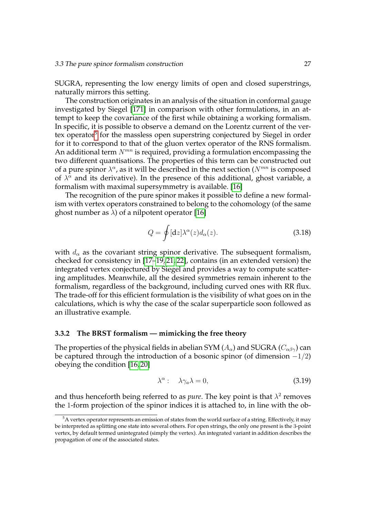SUGRA, representing the low energy limits of open and closed superstrings, naturally mirrors this setting.

The construction originates in an analysis of the situation in conformal gauge investigated by Siegel [\[171\]](#page-117-0) in comparison with other formulations, in an attempt to keep the covariance of the first while obtaining a working formalism. In specific, it is possible to observe a demand on the Lorentz current of the ver-tex operator<sup>[5](#page-38-0)</sup> for the massless open superstring conjectured by Siegel in order for it to correspond to that of the gluon vertex operator of the RNS formalism. An additional term  $N^{mn}$  is required, providing a formulation encompassing the two different quantisations. The properties of this term can be constructed out of a pure spinor  $\lambda^{\alpha}$ , as it will be described in the next section ( $N^{mn}$  is composed of  $\lambda^{\alpha}$  and its derivative). In the presence of this additional, ghost variable, a formalism with maximal supersymmetry is available. [\[16\]](#page-107-1)

The recognition of the pure spinor makes it possible to define a new formalism with vertex operators constrained to belong to the cohomology (of the same ghost number as  $\lambda$ ) of a nilpotent operator [\[16\]](#page-107-1)

$$
Q = \oint [\mathrm{d}z] \lambda^{\alpha}(z) d_{\alpha}(z). \tag{3.18}
$$

with  $d_{\alpha}$  as the covariant string spinor derivative. The subsequent formalism, checked for consistency in [\[17–](#page-107-3)[19,](#page-107-4) [21,](#page-107-5) [22\]](#page-107-6), contains (in an extended version) the integrated vertex conjectured by Siegel and provides a way to compute scattering amplitudes. Meanwhile, all the desired symmetries remain inherent to the formalism, regardless of the background, including curved ones with RR flux. The trade-off for this efficient formulation is the visibility of what goes on in the calculations, which is why the case of the scalar superparticle soon followed as an illustrative example.

# <span id="page-38-1"></span>**3.3.2 The BRST formalism — mimicking the free theory**

The properties of the physical fields in abelian SYM  $(A_{\alpha})$  and SUGRA  $(C_{\alpha\beta\gamma})$  can be captured through the introduction of a bosonic spinor (of dimension  $-1/2$ ) obeying the condition [\[16,](#page-107-1) [20\]](#page-107-2)

$$
\lambda^{\alpha}: \quad \lambda \gamma_a \lambda = 0, \tag{3.19}
$$

and thus henceforth being referred to as *pure*. The key point is that  $\lambda^2$  removes the 1-form projection of the spinor indices it is attached to, in line with the ob-

<span id="page-38-0"></span> $5A$  vertex operator represents an emission of states from the world surface of a string. Effectively, it may be interpreted as splitting one state into several others. For open strings, the only one present is the 3-point vertex, by default termed unintegrated (simply the vertex). An integrated variant in addition describes the propagation of one of the associated states.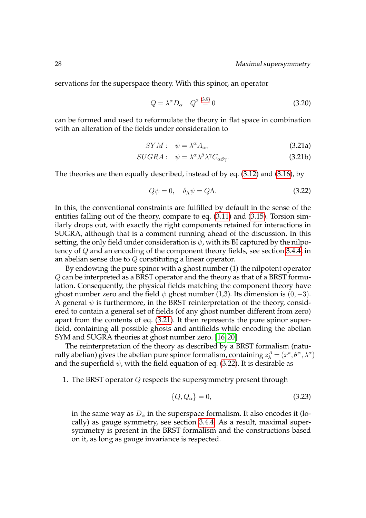servations for the superspace theory. With this spinor, an operator

<span id="page-39-0"></span>
$$
Q = \lambda^{\alpha} D_{\alpha} \quad Q^2 \stackrel{(3.9)}{=} 0 \tag{3.20}
$$

can be formed and used to reformulate the theory in flat space in combination with an alteration of the fields under consideration to

$$
SYM: \quad \psi = \lambda^{\alpha} A_{\alpha}, \tag{3.21a}
$$

$$
SUGRA: \quad \psi = \lambda^{\alpha} \lambda^{\beta} \lambda^{\gamma} C_{\alpha\beta\gamma}.
$$

The theories are then equally described, instead of by eq. [\(3.12\)](#page-34-0) and [\(3.16\)](#page-36-0), by

<span id="page-39-1"></span>
$$
Q\psi = 0, \quad \delta_{\Lambda}\psi = Q\Lambda. \tag{3.22}
$$

In this, the conventional constraints are fulfilled by default in the sense of the entities falling out of the theory, compare to eq. [\(3.11\)](#page-34-1) and [\(3.15\)](#page-35-0). Torsion similarly drops out, with exactly the right components retained for interactions in SUGRA, although that is a comment running ahead of the discussion. In this setting, the only field under consideration is  $\psi$ , with its BI captured by the nilpotency of Q and an encoding of the component theory fields, see section [3.4.4,](#page-48-0) in an abelian sense due to Q constituting a linear operator.

By endowing the pure spinor with a ghost number (1) the nilpotent operator Q can be interpreted as a BRST operator and the theory as that of a BRST formulation. Consequently, the physical fields matching the component theory have ghost number zero and the field  $\psi$  ghost number (1,3). Its dimension is (0, -3). A general  $\psi$  is furthermore, in the BRST reinterpretation of the theory, considered to contain a general set of fields (of any ghost number different from zero) apart from the contents of eq. [\(3.21\)](#page-39-0). It then represents the pure spinor superfield, containing all possible ghosts and antifields while encoding the abelian SYM and SUGRA theories at ghost number zero. [\[16,](#page-107-1) [20\]](#page-107-2)

The reinterpretation of the theory as described by a BRST formalism (naturally abelian) gives the abelian pure spinor formalism, containing  $z_\lambda^A=(x^a, \theta^\alpha, \lambda^\alpha)$ and the superfield  $\psi$ , with the field equation of eq. [\(3.22\)](#page-39-1). It is desirable as

1. The BRST operator  $Q$  respects the supersymmetry present through

$$
\{Q, Q_{\alpha}\} = 0,\tag{3.23}
$$

in the same way as  $D_{\alpha}$  in the superspace formalism. It also encodes it (locally) as gauge symmetry, see section [3.4.4.](#page-48-0) As a result, maximal supersymmetry is present in the BRST formalism and the constructions based on it, as long as gauge invariance is respected.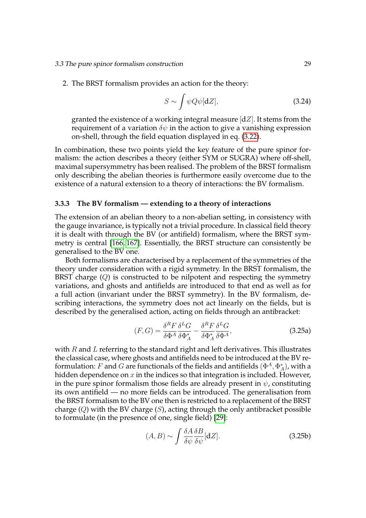2. The BRST formalism provides an action for the theory:

<span id="page-40-0"></span>
$$
S \sim \int \psi Q \psi[dZ], \tag{3.24}
$$

granted the existence of a working integral measure  $\lfloor dZ \rfloor$ . It stems from the requirement of a variation  $\delta\psi$  in the action to give a vanishing expression on-shell, through the field equation displayed in eq. [\(3.22\)](#page-39-1).

In combination, these two points yield the key feature of the pure spinor formalism: the action describes a theory (either SYM or SUGRA) where off-shell, maximal supersymmetry has been realised. The problem of the BRST formalism only describing the abelian theories is furthermore easily overcome due to the existence of a natural extension to a theory of interactions: the BV formalism.

#### **3.3.3 The BV formalism — extending to a theory of interactions**

The extension of an abelian theory to a non-abelian setting, in consistency with the gauge invariance, is typically not a trivial procedure. In classical field theory it is dealt with through the BV (or antifield) formalism, where the BRST symmetry is central [\[166,](#page-116-0) [167\]](#page-116-1). Essentially, the BRST structure can consistently be generalised to the BV one.

Both formalisms are characterised by a replacement of the symmetries of the theory under consideration with a rigid symmetry. In the BRST formalism, the BRST charge  $(Q)$  is constructed to be nilpotent and respecting the symmetry variations, and ghosts and antifields are introduced to that end as well as for a full action (invariant under the BRST symmetry). In the BV formalism, describing interactions, the symmetry does not act linearly on the fields, but is described by the generalised action, acting on fields through an antibracket:

$$
(F, G) = \frac{\delta^R F}{\delta \Phi^A} \frac{\delta^L G}{\delta \Phi_A^*} - \frac{\delta^R F}{\delta \Phi_A^*} \frac{\delta^L G}{\delta \Phi^A},
$$
\n(3.25a)

with  $R$  and  $L$  referring to the standard right and left derivatives. This illustrates the classical case, where ghosts and antifields need to be introduced at the BV reformulation:  $F$  and  $G$  are functionals of the fields and antifields  $(\Phi^{A}, \Phi_{A}^{\ast})$ , with a hidden dependence on  $x$  in the indices so that integration is included. However, in the pure spinor formalism those fields are already present in  $\psi$ , constituting its own antifield — no more fields can be introduced. The generalisation from the BRST formalism to the BV one then is restricted to a replacement of the BRST charge  $(Q)$  with the BV charge  $(S)$ , acting through the only antibracket possible to formulate (in the presence of one, single field) [\[29\]](#page-108-0):

$$
(A, B) \sim \int \frac{\delta A}{\delta \psi} \frac{\delta B}{\delta \psi} [\mathrm{d}Z]. \tag{3.25b}
$$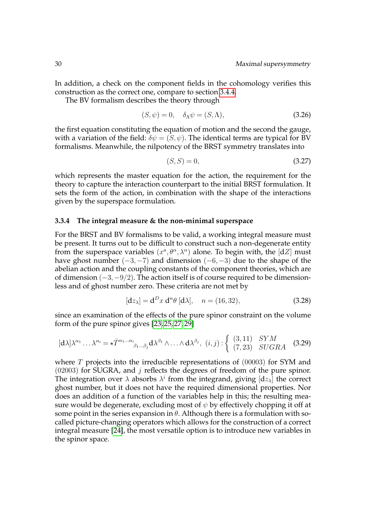In addition, a check on the component fields in the cohomology verifies this construction as the correct one, compare to section [3.4.4.](#page-48-0)

The BV formalism describes the theory through

$$
(S, \psi) = 0, \quad \delta_{\Lambda} \psi = (S, \Lambda), \tag{3.26}
$$

the first equation constituting the equation of motion and the second the gauge, with a variation of the field:  $\delta \psi = (\bar{S}, \psi)$ . The identical terms are typical for BV formalisms. Meanwhile, the nilpotency of the BRST symmetry translates into

$$
(S, S) = 0,\t(3.27)
$$

which represents the master equation for the action, the requirement for the theory to capture the interaction counterpart to the initial BRST formulation. It sets the form of the action, in combination with the shape of the interactions given by the superspace formulation.

# **3.3.4 The integral measure & the non-minimal superspace**

For the BRST and BV formalisms to be valid, a working integral measure must be present. It turns out to be difficult to construct such a non-degenerate entity from the superspace variables  $(x^a, \theta^\alpha, \lambda^\alpha)$  alone. To begin with, the [dZ] must have ghost number  $(-3, -7)$  and dimension  $(-6, -3)$  due to the shape of the abelian action and the coupling constants of the component theories, which are of dimension (−3,−9/2). The action itself is of course required to be dimensionless and of ghost number zero. These criteria are not met by

<span id="page-41-0"></span>
$$
[dz_{\lambda}] = d^D x d^n \theta [d\lambda], \quad n = (16, 32), \tag{3.28}
$$

since an examination of the effects of the pure spinor constraint on the volume form of the pure spinor gives [\[23,](#page-107-7) [25,](#page-107-8) [27,](#page-107-9) [29\]](#page-108-0)

$$
[\mathbf{d}\lambda]\lambda^{\alpha_1}\dots\lambda^{\alpha_i} = \star \bar{T}^{\alpha_1\dots\alpha_i}{}_{\beta_1\dots\beta_j}\mathbf{d}\lambda^{\beta_1}\wedge\dots\wedge\mathbf{d}\lambda^{\beta_j},\ (i,j): \left\{ \begin{array}{ll} (3,11) & SYM \\ (7,23) & SUGRA \end{array} \right.\n\tag{3.29}
$$

where  $T$  projects into the irreducible representations of  $(00003)$  for SYM and  $(02003)$  for SUGRA, and j reflects the degrees of freedom of the pure spinor. The integration over  $\lambda$  absorbs  $\lambda^i$  from the integrand, giving  $[dz_\lambda]$  the correct ghost number, but it does not have the required dimensional properties. Nor does an addition of a function of the variables help in this; the resulting measure would be degenerate, excluding most of  $\psi$  by effectively chopping it off at some point in the series expansion in  $\theta$ . Although there is a formulation with socalled picture-changing operators which allows for the construction of a correct integral measure [\[24\]](#page-107-10), the most versatile option is to introduce new variables in the spinor space.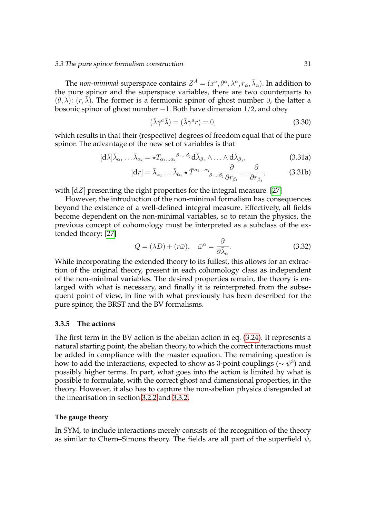#### 3.3 The pure spinor formalism construction 31

The *non-minimal* superspace contains  $Z^A = (x^a, \theta^\alpha, \lambda^\alpha, r_\alpha, \bar{\lambda}_\alpha)$ . In addition to the pure spinor and the superspace variables, there are two counterparts to  $(\theta, \lambda)$ :  $(r, \overline{\lambda})$ . The former is a fermionic spinor of ghost number 0, the latter a bosonic spinor of ghost number −1. Both have dimension 1/2, and obey

<span id="page-42-0"></span>
$$
(\bar{\lambda}\gamma^a \bar{\lambda}) = (\bar{\lambda}\gamma^a r) = 0,
$$
\n(3.30)

which results in that their (respective) degrees of freedom equal that of the pure spinor. The advantage of the new set of variables is that

$$
[\mathbf{d}\bar{\lambda}]\bar{\lambda}_{\alpha_1} \dots \bar{\lambda}_{\alpha_i} = \star T_{\alpha_1 \dots \alpha_i}{}^{\beta_1 \dots \beta_j} \mathbf{d}\bar{\lambda}_{\beta_1} \wedge \dots \wedge \mathbf{d}\bar{\lambda}_{\beta_j},
$$
\n(3.31a)

$$
[\mathrm{d}r] = \bar{\lambda}_{\alpha_1} \dots \bar{\lambda}_{\alpha_i} \star \bar{T}^{\alpha_1 \dots \alpha_i}{}_{\beta_1 \dots \beta_j} \frac{\partial}{\partial r_{\beta_1}} \dots \frac{\partial}{\partial r_{\beta_j}},\tag{3.31b}
$$

with  $\lfloor dZ \rfloor$  presenting the right properties for the integral measure. [\[27\]](#page-107-9)

However, the introduction of the non-minimal formalism has consequences beyond the existence of a well-defined integral measure. Effectively, all fields become dependent on the non-minimal variables, so to retain the physics, the previous concept of cohomology must be interpreted as a subclass of the extended theory: [\[27\]](#page-107-9)

$$
Q = (\lambda D) + (r\bar{\omega}), \quad \bar{\omega}^{\alpha} = \frac{\partial}{\partial \bar{\lambda}_{\alpha}}.
$$
 (3.32)

While incorporating the extended theory to its fullest, this allows for an extraction of the original theory, present in each cohomology class as independent of the non-minimal variables. The desired properties remain, the theory is enlarged with what is necessary, and finally it is reinterpreted from the subsequent point of view, in line with what previously has been described for the pure spinor, the BRST and the BV formalisms.

## **3.3.5 The actions**

The first term in the BV action is the abelian action in eq. [\(3.24\)](#page-40-0). It represents a natural starting point, the abelian theory, to which the correct interactions must be added in compliance with the master equation. The remaining question is how to add the interactions, expected to show as 3-point couplings ( $\sim \psi^3$ ) and possibly higher terms. In part, what goes into the action is limited by what is possible to formulate, with the correct ghost and dimensional properties, in the theory. However, it also has to capture the non-abelian physics disregarded at the linearisation in section [3.2.2](#page-34-2) and [3.3.2.](#page-38-1)

#### **The gauge theory**

In SYM, to include interactions merely consists of the recognition of the theory as similar to Chern–Simons theory. The fields are all part of the superfield  $\psi$ ,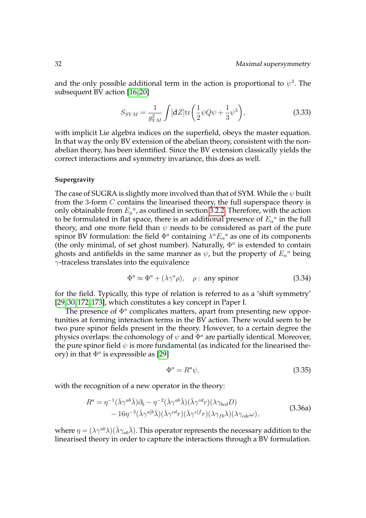and the only possible additional term in the action is proportional to  $\psi^3$ . The subsequent BV action [\[16,](#page-107-1) [20\]](#page-107-2)

<span id="page-43-0"></span>
$$
S_{SYM} = \frac{1}{g_{YM}^2} \int [\mathrm{d}Z] \mathrm{tr} \left( \frac{1}{2} \psi Q \psi + \frac{1}{3} \psi^3 \right), \tag{3.33}
$$

with implicit Lie algebra indices on the superfield, obeys the master equation. In that way the only BV extension of the abelian theory, consistent with the nonabelian theory, has been identified. Since the BV extension classically yields the correct interactions and symmetry invariance, this does as well.

## **Supergravity**

The case of SUGRA is slightly more involved than that of SYM. While the  $\psi$  built from the 3-form C contains the linearised theory, the full superspace theory is only obtainable from  $E_{\mu}^{a}$ , as outlined in section [3.2.2.](#page-34-2) Therefore, with the action to be formulated in flat space, there is an additional presence of  $E_{\alpha}{}^a$  in the full theory, and one more field than  $\psi$  needs to be considered as part of the pure spinor BV formulation: the field  $\Phi^a$  containing  $\lambda^{\alpha} E_{\alpha}^{\ \ a}$  as one of its components (the only minimal, of set ghost number). Naturally,  $\Phi^a$  is extended to contain ghosts and antifields in the same manner as  $\psi$ , but the property of  $E_{\alpha}{}^a$  being  $\gamma$ -traceless translates into the equivalence

$$
\Phi^a \approx \Phi^a + (\lambda \gamma^a \rho), \quad \rho : \text{ any spinor} \tag{3.34}
$$

for the field. Typically, this type of relation is referred to as a 'shift symmetry' [\[29,](#page-108-0) [30,](#page-108-1) [172,](#page-117-1) [173\]](#page-117-2), which constitutes a key concept in Paper I.

The presence of  $\Phi^a$  complicates matters, apart from presenting new opportunities at forming interaction terms in the BV action. There would seem to be two pure spinor fields present in the theory. However, to a certain degree the physics overlaps: the cohomology of  $\psi$  and  $\Phi^a$  are partially identical. Moreover, the pure spinor field  $\psi$  is more fundamental (as indicated for the linearised theory) in that  $\Phi^a$  is expressible as [\[29\]](#page-108-0)

$$
\Phi^a = R^a \psi,\tag{3.35}
$$

with the recognition of a new operator in the theory:

$$
R^{a} = \eta^{-1}(\bar{\lambda}\gamma^{ab}\bar{\lambda})\partial_{b} - \eta^{-2}(\bar{\lambda}\gamma^{ab}\bar{\lambda})(\bar{\lambda}\gamma^{cd}r)(\lambda\gamma_{bcd}D)
$$
  
- 16 $\eta^{-3}(\bar{\lambda}\gamma^{ab}\bar{\lambda})(\bar{\lambda}\gamma^{cd}r)(\bar{\lambda}\gamma^{el}f_{r})(\lambda\gamma_{fb}\lambda)(\lambda\gamma_{cde}\omega),$  (3.36a)

where  $\eta = (\lambda \gamma^{ab} \lambda)(\bar{\lambda}\gamma_{ab}\bar{\lambda})$ . This operator represents the necessary addition to the linearised theory in order to capture the interactions through a BV formulation.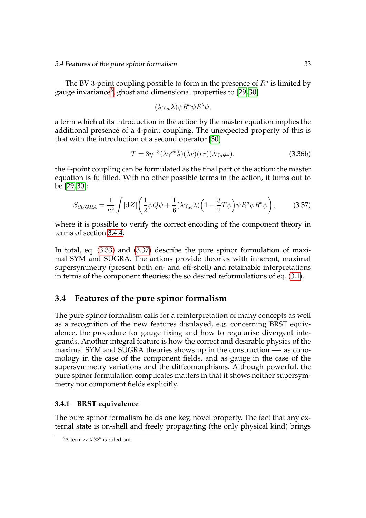The BV 3-point coupling possible to form in the presence of  $R^a$  is limited by gauge invariance<sup>[6](#page-44-0)</sup>, ghost and dimensional properties to [\[29,](#page-108-0)30]

$$
(\lambda \gamma_{ab} \lambda) \psi R^a \psi R^b \psi,
$$

a term which at its introduction in the action by the master equation implies the additional presence of a 4-point coupling. The unexpected property of this is that with the introduction of a second operator [\[30\]](#page-108-1)

$$
T = 8\eta^{-3}(\bar{\lambda}\gamma^{ab}\bar{\lambda})(\bar{\lambda}r)(rr)(\lambda\gamma_{ab}\omega), \tag{3.36b}
$$

the 4-point coupling can be formulated as the final part of the action: the master equation is fulfilled. With no other possible terms in the action, it turns out to be [\[29,](#page-108-0) [30\]](#page-108-1):

<span id="page-44-1"></span>
$$
S_{SUGRA} = \frac{1}{\kappa^2} \int [\mathrm{d}Z] \left( \frac{1}{2} \psi Q \psi + \frac{1}{6} (\lambda \gamma_{ab} \lambda) \left( 1 - \frac{3}{2} T \psi \right) \psi R^a \psi R^b \psi \right), \tag{3.37}
$$

where it is possible to verify the correct encoding of the component theory in terms of section [3.4.4.](#page-48-0)

In total, eq. [\(3.33\)](#page-43-0) and [\(3.37\)](#page-44-1) describe the pure spinor formulation of maximal SYM and SUGRA. The actions provide theories with inherent, maximal supersymmetry (present both on- and off-shell) and retainable interpretations in terms of the component theories; the so desired reformulations of eq. [\(3.1\)](#page-29-0).

# **3.4 Features of the pure spinor formalism**

The pure spinor formalism calls for a reinterpretation of many concepts as well as a recognition of the new features displayed, e.g. concerning BRST equivalence, the procedure for gauge fixing and how to regularise divergent integrands. Another integral feature is how the correct and desirable physics of the maximal SYM and SUGRA theories shows up in the construction —- as cohomology in the case of the component fields, and as gauge in the case of the supersymmetry variations and the diffeomorphisms. Although powerful, the pure spinor formulation complicates matters in that it shows neither supersymmetry nor component fields explicitly.

# **3.4.1 BRST equivalence**

The pure spinor formalism holds one key, novel property. The fact that any external state is on-shell and freely propagating (the only physical kind) brings

<span id="page-44-0"></span><sup>&</sup>lt;sup>6</sup>A term  $\sim \lambda^2 \Phi^5$  is ruled out.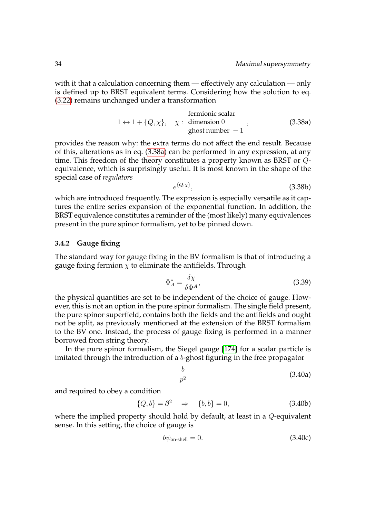with it that a calculation concerning them — effectively any calculation — only is defined up to BRST equivalent terms. Considering how the solution to eq. [\(3.22\)](#page-39-1) remains unchanged under a transformation

fermionic scalar  
\n
$$
1 \leftrightarrow 1 + \{Q, \chi\}, \quad \chi: \text{ dimension } 0
$$
, (3.38a)  
\nghost number - 1 (3.38b)

provides the reason why: the extra terms do not affect the end result. Because of this, alterations as in eq. [\(3.38a\)](#page-45-0) can be performed in any expression, at any time. This freedom of the theory constitutes a property known as BRST or Qequivalence, which is surprisingly useful. It is most known in the shape of the special case of *regulators*

<span id="page-45-1"></span><span id="page-45-0"></span>
$$
e^{\{Q,\chi\}},\tag{3.38b}
$$

which are introduced frequently. The expression is especially versatile as it captures the entire series expansion of the exponential function. In addition, the BRST equivalence constitutes a reminder of the (most likely) many equivalences present in the pure spinor formalism, yet to be pinned down.

# **3.4.2 Gauge fixing**

The standard way for gauge fixing in the BV formalism is that of introducing a gauge fixing fermion  $\chi$  to eliminate the antifields. Through

$$
\Phi_A^* = \frac{\delta \chi}{\delta \Phi^A},\tag{3.39}
$$

the physical quantities are set to be independent of the choice of gauge. However, this is not an option in the pure spinor formalism. The single field present, the pure spinor superfield, contains both the fields and the antifields and ought not be split, as previously mentioned at the extension of the BRST formalism to the BV one. Instead, the process of gauge fixing is performed in a manner borrowed from string theory.

In the pure spinor formalism, the Siegel gauge [\[174\]](#page-117-3) for a scalar particle is imitated through the introduction of a b-ghost figuring in the free propagator

$$
\frac{b}{p^2} \tag{3.40a}
$$

and required to obey a condition

$$
\{Q, b\} = \partial^2 \quad \Rightarrow \quad \{b, b\} = 0,\tag{3.40b}
$$

where the implied property should hold by default, at least in a Q-equivalent sense. In this setting, the choice of gauge is

$$
b\psi_{\text{on-shell}} = 0. \tag{3.40c}
$$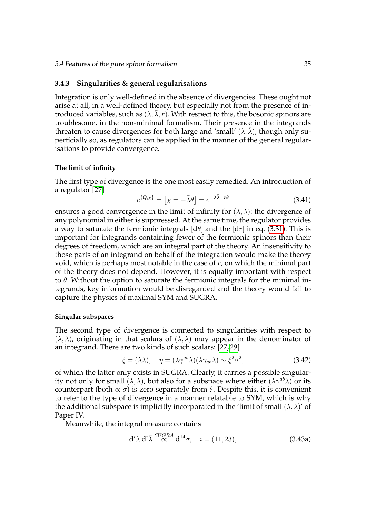#### **3.4.3 Singularities & general regularisations**

Integration is only well-defined in the absence of divergencies. These ought not arise at all, in a well-defined theory, but especially not from the presence of introduced variables, such as  $(\lambda, \lambda, r)$ . With respect to this, the bosonic spinors are troublesome, in the non-minimal formalism. Their presence in the integrands threaten to cause divergences for both large and 'small'  $(\lambda, \overline{\lambda})$ , though only superficially so, as regulators can be applied in the manner of the general regularisations to provide convergence.

#### **The limit of infinity**

The first type of divergence is the one most easily remedied. An introduction of a regulator [\[27\]](#page-107-9)

<span id="page-46-0"></span>
$$
e^{\{Q,\chi\}} = \left[\chi = -\bar{\lambda}\theta\right] = e^{-\lambda\bar{\lambda}-r\theta} \tag{3.41}
$$

ensures a good convergence in the limit of infinity for  $(\lambda, \overline{\lambda})$ : the divergence of any polynomial in either is suppressed. At the same time, the regulator provides a way to saturate the fermionic integrals  $\left[\frac{d\theta}{d\theta}\right]$  and the  $\left[\frac{dr}{d\theta}\right]$  in eq. [\(3.31\)](#page-42-0). This is important for integrands containing fewer of the fermionic spinors than their degrees of freedom, which are an integral part of the theory. An insensitivity to those parts of an integrand on behalf of the integration would make the theory void, which is perhaps most notable in the case of  $r$ , on which the minimal part of the theory does not depend. However, it is equally important with respect to  $\theta$ . Without the option to saturate the fermionic integrals for the minimal integrands, key information would be disregarded and the theory would fail to capture the physics of maximal SYM and SUGRA.

## **Singular subspaces**

The second type of divergence is connected to singularities with respect to  $(\lambda, \lambda)$ , originating in that scalars of  $(\lambda, \lambda)$  may appear in the denominator of an integrand. There are two kinds of such scalars: [\[27,](#page-107-9) [29\]](#page-108-0)

$$
\xi = (\lambda \bar{\lambda}), \quad \eta = (\lambda \gamma^{ab} \lambda)(\bar{\lambda} \gamma_{ab} \bar{\lambda}) \sim \xi^2 \sigma^2,
$$
\n(3.42)

of which the latter only exists in SUGRA. Clearly, it carries a possible singularity not only for small  $(\lambda, \bar{\lambda})$ , but also for a subspace where either  $(\lambda \gamma^{ab} \lambda)$  or its counterpart (both  $\propto \sigma$ ) is zero separately from ξ. Despite this, it is convenient to refer to the type of divergence in a manner relatable to SYM, which is why the additional subspace is implicitly incorporated in the 'limit of small  $(\lambda, \overline{\lambda})'$  of Paper IV.

Meanwhile, the integral measure contains

$$
\mathbf{d}^i \lambda \, \mathbf{d}^i \bar{\lambda} \stackrel{SUGRA}{\propto} \mathbf{d}^{14} \sigma, \quad i = (11, 23), \tag{3.43a}
$$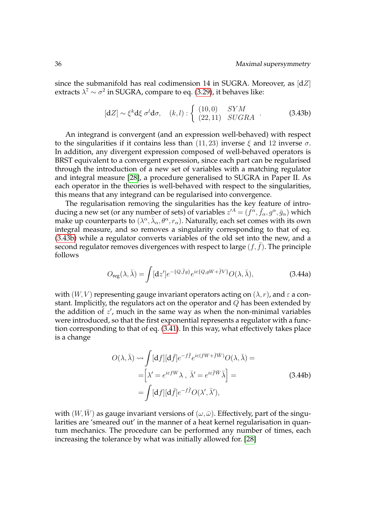since the submanifold has real codimension 14 in SUGRA. Moreover, as  $\lfloor dZ \rfloor$ extracts  $\lambda^7 \sim \sigma^2$  in SUGRA, compare to eq. [\(3.29\)](#page-41-0), it behaves like:

$$
[dZ] \sim \xi^k d\xi \sigma^l d\sigma, \quad (k,l) : \begin{cases} (10,0) & SYM \\ (22,11) & SUGRA \end{cases} . \tag{3.43b}
$$

An integrand is convergent (and an expression well-behaved) with respect to the singularities if it contains less than (11, 23) inverse  $\xi$  and 12 inverse  $\sigma$ . In addition, any divergent expression composed of well-behaved operators is BRST equivalent to a convergent expression, since each part can be regularised through the introduction of a new set of variables with a matching regulator and integral measure [\[28\]](#page-108-2), a procedure generalised to SUGRA in Paper II. As each operator in the theories is well-behaved with respect to the singularities, this means that any integrand can be regularised into convergence.

The regularisation removing the singularities has the key feature of introducing a new set (or any number of sets) of variables  $z^{A} = (f^{\alpha}, \bar{f}_{\alpha}, g^{\alpha}, \bar{g}_{\alpha})$  which make up counterparts to  $(\lambda^{\alpha}, \bar{\lambda}_{\alpha}, \theta^{\alpha}, r_{\alpha})$ . Naturally, each set comes with its own integral measure, and so removes a singularity corresponding to that of eq. [\(3.43b\)](#page-45-1) while a regulator converts variables of the old set into the new, and a second regulator removes divergences with respect to large  $(f, \bar{f})$ . The principle follows

$$
O_{\text{reg}}(\lambda,\bar{\lambda}) = \int [dz'] e^{-\{Q,\bar{f}g\}} e^{i\varepsilon \{Q,gW + \bar{f}V\}} O(\lambda,\bar{\lambda}), \qquad (3.44a)
$$

with  $(W, V)$  representing gauge invariant operators acting on  $(\lambda, r)$ , and  $\varepsilon$  a constant. Implicitly, the regulators act on the operator and  $Q$  has been extended by the addition of  $z'$ , much in the same way as when the non-minimal variables were introduced, so that the first exponential represents a regulator with a function corresponding to that of eq. [\(3.41\)](#page-46-0). In this way, what effectively takes place is a change

$$
O(\lambda, \bar{\lambda}) \rightsquigarrow \int [\mathrm{d}f] [\mathrm{d}\bar{f}] e^{-f\bar{f}} e^{i\varepsilon (fW + \bar{f}\bar{W})} O(\lambda, \bar{\lambda}) =
$$
  
= 
$$
\left[ \lambda' = e^{i\varepsilon fW} \lambda, \ \bar{\lambda}' = e^{i\varepsilon \bar{f}\bar{W}} \bar{\lambda} \right] =
$$
  
= 
$$
\int [\mathrm{d}f] [\mathrm{d}\bar{f}] e^{-f\bar{f}} O(\lambda', \bar{\lambda}'),
$$
 (3.44b)

with  $(W, \bar{W})$  as gauge invariant versions of  $(\omega, \bar{\omega})$ . Effectively, part of the singularities are 'smeared out' in the manner of a heat kernel regularisation in quantum mechanics. The procedure can be performed any number of times, each increasing the tolerance by what was initially allowed for. [\[28\]](#page-108-2)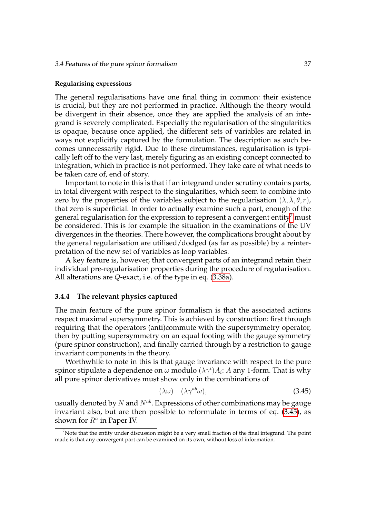#### **Regularising expressions**

The general regularisations have one final thing in common: their existence is crucial, but they are not performed in practice. Although the theory would be divergent in their absence, once they are applied the analysis of an integrand is severely complicated. Especially the regularisation of the singularities is opaque, because once applied, the different sets of variables are related in ways not explicitly captured by the formulation. The description as such becomes unnecessarily rigid. Due to these circumstances, regularisation is typically left off to the very last, merely figuring as an existing concept connected to integration, which in practice is not performed. They take care of what needs to be taken care of, end of story.

Important to note in this is that if an integrand under scrutiny contains parts, in total divergent with respect to the singularities, which seem to combine into zero by the properties of the variables subject to the regularisation  $(\lambda, \overline{\lambda}, \theta, r)$ , that zero is superficial. In order to actually examine such a part, enough of the general regularisation for the expression to represent a convergent entity<sup>[7](#page-48-1)</sup> must be considered. This is for example the situation in the examinations of the UV divergences in the theories. There however, the complications brought about by the general regularisation are utilised/dodged (as far as possible) by a reinterpretation of the new set of variables as loop variables.

A key feature is, however, that convergent parts of an integrand retain their individual pre-regularisation properties during the procedure of regularisation. All alterations are Q-exact, i.e. of the type in eq. [\(3.38a\)](#page-45-0).

# <span id="page-48-0"></span>**3.4.4 The relevant physics captured**

The main feature of the pure spinor formalism is that the associated actions respect maximal supersymmetry. This is achieved by construction: first through requiring that the operators (anti)commute with the supersymmetry operator, then by putting supersymmetry on an equal footing with the gauge symmetry (pure spinor construction), and finally carried through by a restriction to gauge invariant components in the theory.

Worthwhile to note in this is that gauge invariance with respect to the pure spinor stipulate a dependence on  $\omega$  modulo  $(\lambda \gamma^i) A_i$ :  $A$  any 1-form. That is why all pure spinor derivatives must show only in the combinations of

<span id="page-48-2"></span>
$$
(\lambda \omega) \quad (\lambda \gamma^{ab} \omega), \tag{3.45}
$$

usually denoted by N and  $N^{ab}$ . Expressions of other combinations may be gauge invariant also, but are then possible to reformulate in terms of eq. [\(3.45\)](#page-48-2), as shown for  $R^a$  in Paper IV.

<span id="page-48-1"></span><sup>&</sup>lt;sup>7</sup>Note that the entity under discussion might be a very small fraction of the final integrand. The point made is that any convergent part can be examined on its own, without loss of information.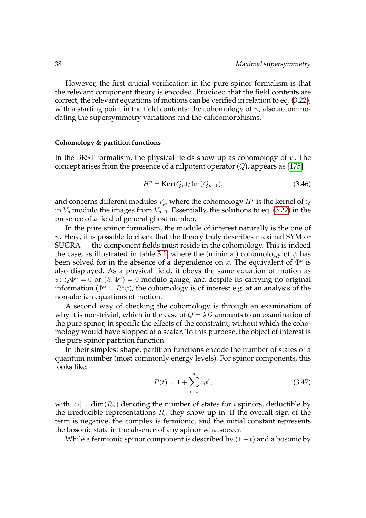However, the first crucial verification in the pure spinor formalism is that the relevant component theory is encoded. Provided that the field contents are correct, the relevant equations of motions can be verified in relation to eq. [\(3.22\)](#page-39-1), with a starting point in the field contents: the cohomology of  $\psi$ , also accommodating the supersymmetry variations and the diffeomorphisms.

#### **Cohomology & partition functions**

In the BRST formalism, the physical fields show up as cohomology of  $\psi$ . The concept arises from the presence of a nilpotent operator  $(Q)$ , appears as [\[175\]](#page-117-4)

$$
Hp = \text{Ker}(Q_p)/\text{Im}(Q_{p-1}),\tag{3.46}
$$

and concerns different modules  $V_p$ , where the cohomology  $H^p$  is the kernel of  $Q$ in  $V_p$  modulo the images from  $V_{p-1}$ . Essentially, the solutions to eq. [\(3.22\)](#page-39-1) in the presence of a field of general ghost number.

In the pure spinor formalism, the module of interest naturally is the one of  $\psi$ . Here, it is possible to check that the theory truly describes maximal SYM or SUGRA — the component fields must reside in the cohomology. This is indeed the case, as illustrated in table [3.1,](#page-49-0) where the (minimal) cohomology of  $\psi$  has been solved for in the absence of a dependence on x. The equivalent of  $\Phi^a$  is also displayed. As a physical field, it obeys the same equation of motion as  $\psi$ :  $Q\Phi^a = 0$  or  $(S, \Phi^a) = 0$  modulo gauge, and despite its carrying no original information ( $\Phi^a = R^a \psi$ ), the cohomology is of interest e.g. at an analysis of the non-abelian equations of motion.

A second way of checking the cohomology is through an examination of why it is non-trivial, which in the case of  $Q = \lambda D$  amounts to an examination of the pure spinor, in specific the effects of the constraint, without which the cohomology would have stopped at a scalar. To this purpose, the object of interest is the pure spinor partition function.

In their simplest shape, partition functions encode the number of states of a quantum number (most commonly energy levels). For spinor components, this looks like:

<span id="page-49-0"></span>
$$
P(t) = 1 + \sum_{i=1}^{\infty} c_i t^i,
$$
\n(3.47)

with  $|c_i| = \dim(R_n)$  denoting the number of states for *i* spinors, deductible by the irreducible representations  $R_n$  they show up in. If the overall sign of the term is negative, the complex is fermionic, and the initial constant represents the bosonic state in the absence of any spinor whatsoever.

While a fermionic spinor component is described by  $(1 - t)$  and a bosonic by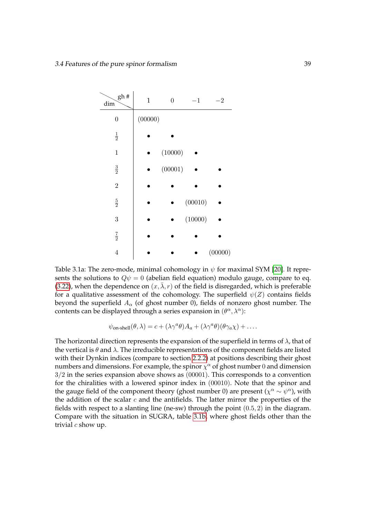<span id="page-50-0"></span>

Table 3.1a: The zero-mode, minimal cohomology in  $\psi$  for maximal SYM [\[20\]](#page-107-2). It represents the solutions to  $Q\psi = 0$  (abelian field equation) modulo gauge, compare to eq. [\(3.22\)](#page-39-1), when the dependence on  $(x, \bar{\lambda}, r)$  of the field is disregarded, which is preferable for a qualitative assessment of the cohomology. The superfield  $\psi(Z)$  contains fields beyond the superfield  $A_{\alpha}$  (of ghost number 0), fields of nonzero ghost number. The contents can be displayed through a series expansion in  $(\theta^{\alpha}, \lambda^{\alpha})$ :

$$
\psi_{\text{on-shell}}(\theta,\lambda) = c + (\lambda \gamma^a \theta) A_a + (\lambda \gamma^a \theta) (\theta \gamma_a \chi) + \dots
$$

The horizontal direction represents the expansion of the superfield in terms of  $\lambda$ , that of the vertical is  $\theta$  and  $\lambda$ . The irreducible representations of the component fields are listed with their Dynkin indices (compare to section [2.2.2\)](#page-23-0) at positions describing their ghost numbers and dimensions. For example, the spinor  $\chi^{\alpha}$  of ghost number 0 and dimension 3/2 in the series expansion above shows as (00001). This corresponds to a convention for the chiralities with a lowered spinor index in (00010). Note that the spinor and the gauge field of the component theory (ghost number 0) are present ( $\chi^{\alpha} \sim \psi^{\alpha}$ ), with the addition of the scalar  $c$  and the antifields. The latter mirror the properties of the fields with respect to a slanting line (ne-sw) through the point  $(0.5, 2)$  in the diagram. Compare with the situation in SUGRA, table [3.1b,](#page-51-0) where ghost fields other than the trivial  $c$  show up.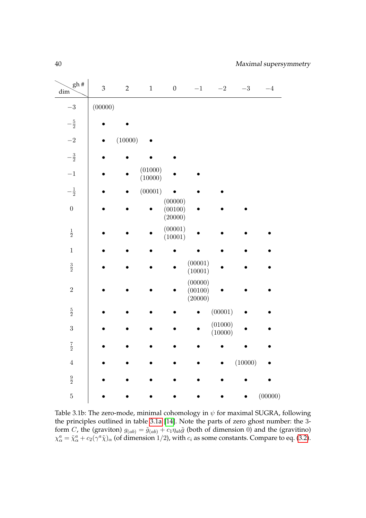<span id="page-51-0"></span>

| gh#<br>dim       | $\ensuremath{\mathfrak{Z}}$ | $\overline{2}$ | $\mathbf 1$        | $\boldsymbol{0}$              | $-1$                          | $-2$               | $-3\,$  | $-4\,$  |
|------------------|-----------------------------|----------------|--------------------|-------------------------------|-------------------------------|--------------------|---------|---------|
| $-3\,$           | (00000)                     |                |                    |                               |                               |                    |         |         |
| $-\frac{5}{2}$   |                             |                |                    |                               |                               |                    |         |         |
| $-2\,$           |                             | (10000)        |                    |                               |                               |                    |         |         |
| $-\frac{3}{2}$   |                             |                |                    |                               |                               |                    |         |         |
| $-1\,$           |                             |                | (01000)<br>(10000) |                               |                               |                    |         |         |
| $-\frac{1}{2}$   |                             |                | (00001)            |                               |                               |                    |         |         |
| $\boldsymbol{0}$ |                             |                |                    | (00000)<br>(00100)<br>(20000) |                               |                    |         |         |
| $\frac{1}{2}$    |                             |                |                    | (00001)<br>(10001)            |                               |                    |         |         |
| $\,1\,$          |                             |                |                    |                               |                               |                    |         |         |
| $\frac{3}{2}$    |                             |                |                    |                               | (00001)<br>(10001)            |                    |         |         |
| $\overline{2}$   |                             |                |                    |                               | (00000)<br>(00100)<br>(20000) |                    |         |         |
| $\frac{5}{2}$    |                             |                |                    |                               |                               | (00001)            |         |         |
| $\overline{3}$   |                             |                |                    |                               |                               | (01000)<br>(10000) |         |         |
| $\frac{7}{2}$    |                             |                |                    |                               |                               |                    |         |         |
| $\,4\,$          |                             |                |                    |                               |                               |                    | (10000) |         |
| $\frac{9}{2}$    |                             |                |                    |                               |                               |                    |         |         |
| $\overline{5}$   |                             |                |                    |                               |                               |                    |         | (00000) |

Table 3.1b: The zero-mode, minimal cohomology in  $\psi$  for maximal SUGRA, following the principles outlined in table [3.1a](#page-50-0) [\[14\]](#page-107-11). Note the parts of zero ghost number: the 3 form C, the (graviton)  $g_{(ab)} = \tilde{g}_{(ab)} + c_1 \eta_{ab} \tilde{g}$  (both of dimension 0) and the (gravitino)  $\chi^a_\alpha = \tilde{\chi}^a_\alpha + c_2(\gamma^a \tilde{\chi})_\alpha$  (of dimension 1/2), with  $c_i$  as some constants. Compare to eq. [\(3.2\)](#page-29-1).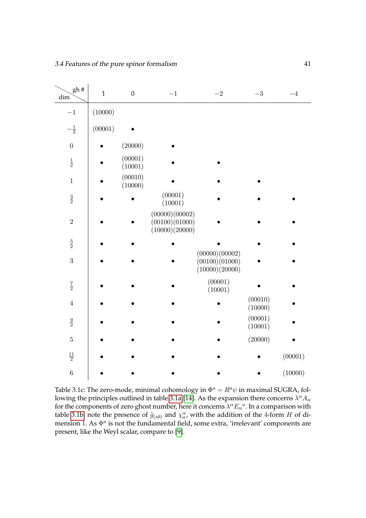| gh#<br>dim       | $\,1$   | $\boldsymbol{0}$   | $-1$                                               | $-2\,$                                             | $-3\,$             | $-4$    |
|------------------|---------|--------------------|----------------------------------------------------|----------------------------------------------------|--------------------|---------|
| $-1\,$           | (10000) |                    |                                                    |                                                    |                    |         |
| $-\frac{1}{2}$   | (00001) |                    |                                                    |                                                    |                    |         |
| $\boldsymbol{0}$ |         | (20000)            |                                                    |                                                    |                    |         |
| $\frac{1}{2}$    |         | (00001)<br>(10001) |                                                    |                                                    |                    |         |
| $\,1$            |         | (00010)<br>(10000) |                                                    |                                                    |                    |         |
| $\frac{3}{2}$    |         |                    | (00001)<br>(10001)                                 |                                                    |                    |         |
| $\sqrt{2}$       |         |                    | (00000)(00002)<br>(00100)(01000)<br>(10000)(20000) |                                                    |                    |         |
| $\frac{5}{2}$    |         |                    |                                                    |                                                    |                    |         |
| 3                |         |                    |                                                    | (00000)(00002)<br>(00100)(01000)<br>(10000)(20000) |                    |         |
| $\frac{7}{2}$    |         |                    |                                                    | (00001)<br>(10001)                                 |                    |         |
| $\,4\,$          |         |                    |                                                    |                                                    | (00010)<br>(10000) |         |
| $\frac{9}{2}$    |         |                    |                                                    |                                                    | (00001)<br>(10001) |         |
| $\bf 5$          |         |                    |                                                    |                                                    | (20000)            |         |
| $\frac{11}{2}$   |         |                    |                                                    |                                                    |                    | (00001) |
| $\,6\,$          |         |                    |                                                    |                                                    |                    | (10000) |

Table 3.1c: The zero-mode, minimal cohomology in  $\Phi^a = R^a \psi$  in maximal SUGRA, fol-lowing the principles outlined in table [3.1a](#page-50-0) [\[14\]](#page-107-11). As the expansion there concerns  $\lambda^{\alpha}A_{\alpha}$ for the components of zero ghost number, here it concerns  $\lambda^{\alpha} E_{\alpha}{}^a$ . In a comparison with table [3.1b,](#page-51-0) note the presence of  $\tilde{g}_{(ab)}$  and  $\chi^{\alpha}_{a}$ , with the addition of the 4-form H of dimension 1. As  $\Phi^a$  is not the fundamental field, some extra, 'irrelevant' components are present, like the Weyl scalar, compare to [\[9\]](#page-106-1).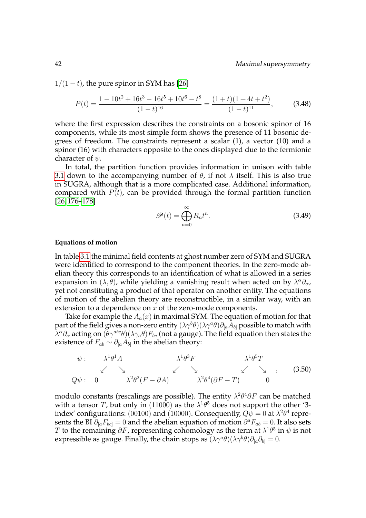$1/(1-t)$ , the pure spinor in SYM has [\[26\]](#page-107-12)

$$
P(t) = \frac{1 - 10t^2 + 16t^3 - 16t^5 + 10t^6 - t^8}{(1 - t)^{16}} = \frac{(1 + t)(1 + 4t + t^2)}{(1 - t)^{11}},
$$
(3.48)

where the first expression describes the constraints on a bosonic spinor of 16 components, while its most simple form shows the presence of 11 bosonic degrees of freedom. The constraints represent a scalar (1), a vector (10) and a spinor (16) with characters opposite to the ones displayed due to the fermionic character of  $\psi$ .

In total, the partition function provides information in unison with table [3.1](#page-49-0) down to the accompanying number of  $\theta$ , if not  $\lambda$  itself. This is also true in SUGRA, although that is a more complicated case. Additional information, compared with  $P(t)$ , can be provided through the formal partition function [\[26,](#page-107-12) [176–](#page-117-5)[178\]](#page-117-6)

$$
\mathscr{P}(t) = \bigoplus_{n=0}^{\infty} R_n t^n.
$$
\n(3.49)

#### **Equations of motion**

In table [3.1](#page-49-0) the minimal field contents at ghost number zero of SYM and SUGRA were identified to correspond to the component theories. In the zero-mode abelian theory this corresponds to an identification of what is allowed in a series expansion in  $(\lambda, \theta)$ , while yielding a vanishing result when acted on by  $\lambda^{\alpha} \partial_{\alpha}$ , yet not constituting a product of that operator on another entity. The equations of motion of the abelian theory are reconstructible, in a similar way, with an extension to a dependence on  $x$  of the zero-mode components.

Take for example the  $A_a(x)$  in maximal SYM. The equation of motion for that part of the field gives a non-zero entity  $(\lambda\gamma^b\theta)(\lambda\gamma^a\theta)\partial_{[a}A_{b]}$  possible to match with  $\lambda^\alpha\partial_\alpha$  acting on  $(\theta\gamma^{abc}\theta)(\lambda\gamma_a\theta)F_{bc}$  (not a gauge). The field equation then states the existence of  $F_{ab} \sim \partial_{[a} A_{b]}$  in the abelian theory:

$$
\psi: \quad \lambda^{1}\theta^{1}A \qquad \lambda^{1}\theta^{3}F \qquad \lambda^{1}\theta^{5}T
$$
\n
$$
Q\psi: \quad 0 \qquad \lambda^{2}\theta^{2}(F-\partial A) \qquad \lambda^{2}\theta^{4}(\partial F-T) \qquad 0 \qquad (3.50)
$$

modulo constants (rescalings are possible). The entity  $\lambda^2\theta^4\partial F$  can be matched with a tensor T, but only in (11000) as the  $\lambda^1\theta^5$  does not support the other '3index' configurations: (00100) and (10000). Consequently,  $Q\psi = 0$  at  $\lambda^2\theta^4$  represents the BI  $\partial_{[a}F_{bc]}=0$  and the abelian equation of motion  $\partial^a F_{ab}=0$ . It also sets  $T$  to the remaining  $\partial F$ , representing cohomology as the term at  $\lambda^1\theta^5$  in  $\psi$  is not expressible as gauge. Finally, the chain stops as  $(\lambda \gamma^a \theta)(\lambda \gamma^b \theta) \partial_{[a} \partial_{b]} = 0.$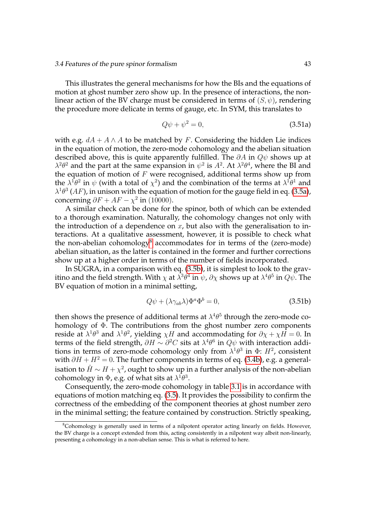#### 3.4 Features of the pure spinor formalism 43

This illustrates the general mechanisms for how the BIs and the equations of motion at ghost number zero show up. In the presence of interactions, the nonlinear action of the BV charge must be considered in terms of  $(S, \psi)$ , rendering the procedure more delicate in terms of gauge, etc. In SYM, this translates to

$$
Q\psi + \psi^2 = 0,\tag{3.51a}
$$

with e.g.  $dA + A \wedge A$  to be matched by F. Considering the hidden Lie indices in the equation of motion, the zero-mode cohomology and the abelian situation described above, this is quite apparently fulfilled. The  $\partial A$  in  $Q\psi$  shows up at  $\lambda^2\theta^2$  and the part at the same expansion in  $\psi^2$  is  $A^2$ . At  $\lambda^2\theta^4$ , where the BI and the equation of motion of  $F$  were recognised, additional terms show up from the  $\lambda^1\theta^2$  in  $\psi$  (with a total of  $\chi^2$ ) and the combination of the terms at  $\lambda^1\theta^1$  and  $\lambda^{1}\theta^{3}$  (AF), in unison with the equation of motion for the gauge field in eq. [\(3.5a\)](#page-29-0), concerning  $\partial F + AF - \chi^2$  in (10000).

A similar check can be done for the spinor, both of which can be extended to a thorough examination. Naturally, the cohomology changes not only with the introduction of a dependence on  $x$ , but also with the generalisation to interactions. At a qualitative assessment, however, it is possible to check what the non-abelian cohomology<sup>[8](#page-54-0)</sup> accommodates for in terms of the (zero-mode) abelian situation, as the latter is contained in the former and further corrections show up at a higher order in terms of the number of fields incorporated.

In SUGRA, in a comparison with eq. [\(3.5b\)](#page-29-1), it is simplest to look to the gravitino and the field strength. With  $\chi$  at  $\lambda^3\theta^4$  in  $\psi$ ,  $\partial\chi$  shows up at  $\lambda^4\theta^5$  in  $Q\psi.$  The BV equation of motion in a minimal setting,

$$
Q\psi + (\lambda \gamma_{ab}\lambda)\Phi^a \Phi^b = 0, \qquad (3.51b)
$$

then shows the presence of additional terms at  $\lambda^4\theta^5$  through the zero-mode cohomology of Φ. The contributions from the ghost number zero components reside at  $\lambda^1\theta^3$  and  $\lambda^1\theta^2$ , yielding  $\chi H$  and accommodating for  $\partial\chi+\chi H=0$ . In terms of the field strength,  $\partial H \sim \partial^2 C$  sits at  $\lambda^4 \theta^6$  in  $Q\psi$  with interaction additions in terms of zero-mode cohomology only from  $\lambda^1\theta^3$  in  $\Phi$ :  $H^2$ , consistent with  $\partial H + H^2 = 0$ . The further components in terms of eq. [\(3.4b\)](#page-29-1), e.g. a generalisation to  $\hat{H} \sim H + \chi^2$ , ought to show up in a further analysis of the non-abelian cohomology in  $\Phi$ , e.g. of what sits at  $\lambda^1\theta^3$ .

Consequently, the zero-mode cohomology in table [3.1](#page-49-0) is in accordance with equations of motion matching eq. [\(3.5\)](#page-30-0). It provides the possibility to confirm the correctness of the embedding of the component theories at ghost number zero in the minimal setting; the feature contained by construction. Strictly speaking,

<span id="page-54-0"></span><sup>&</sup>lt;sup>8</sup>Cohomology is generally used in terms of a nilpotent operator acting linearly on fields. However, the BV charge is a concept extended from this, acting consistently in a nilpotent way albeit non-linearly, presenting a cohomology in a non-abelian sense. This is what is referred to here.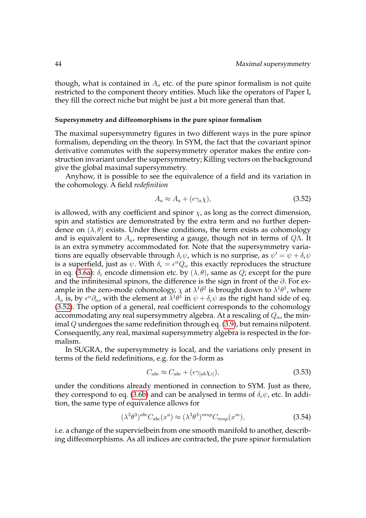though, what is contained in  $A_a$  etc. of the pure spinor formalism is not quite restricted to the component theory entities. Much like the operators of Paper I, they fill the correct niche but might be just a bit more general than that.

#### **Supersymmetry and diffeomorphisms in the pure spinor formalism**

The maximal supersymmetry figures in two different ways in the pure spinor formalism, depending on the theory. In SYM, the fact that the covariant spinor derivative commutes with the supersymmetry operator makes the entire construction invariant under the supersymmetry; Killing vectors on the background give the global maximal supersymmetry.

Anyhow, it is possible to see the equivalence of a field and its variation in the cohomology. A field *redefinition*

<span id="page-55-0"></span>
$$
A_a \approx A_a + (\epsilon \gamma_a \chi), \tag{3.52}
$$

is allowed, with any coefficient and spinor  $\chi$ , as long as the correct dimension, spin and statistics are demonstrated by the extra term and no further dependence on  $(\lambda, \theta)$  exists. Under these conditions, the term exists as cohomology and is equivalent to  $A_a$ , representing a gauge, though not in terms of  $Q\Lambda$ . It is an extra symmetry accommodated for. Note that the supersymmetry variations are equally observable through  $\delta_\epsilon \psi$ , which is no surprise, as  $\psi' = \psi + \delta_\epsilon \psi$ is a superfield, just as  $\psi$ . With  $\delta_\epsilon = \epsilon^\alpha Q_\alpha$  this exactly reproduces the structure in eq. [\(3.6a\)](#page-29-0):  $\delta_{\epsilon}$  encode dimension etc. by  $(\lambda, \theta)$ , same as  $Q$ ; except for the pure and the infinitesimal spinors, the difference is the sign in front of the ∂. For example in the zero-mode cohomology,  $\chi$  at  $\lambda^1\theta^2$  is brought down to  $\lambda^1\theta^1$ , where  $A_a$  is, by  $\epsilon^{\alpha}\partial_{\alpha}$ , with the element at  $\lambda^1\theta^1$  in  $\psi+\delta_{\epsilon}\psi$  as the right hand side of eq. [\(3.52\)](#page-55-0). The option of a general, real coefficient corresponds to the cohomology accommodating any real supersymmetry algebra. At a rescaling of  $Q_{\alpha}$ , the minimal  $Q$  undergoes the same redefinition through eq. [\(3.9\)](#page-33-0), but remains nilpotent. Consequently, any real, maximal supersymmetry algebra is respected in the formalism.

In SUGRA, the supersymmetry is local, and the variations only present in terms of the field redefinitions, e.g. for the 3-form as

$$
C_{abc} \approx C_{abc} + (\epsilon \gamma_{[ab} \chi_{c]}), \tag{3.53}
$$

under the conditions already mentioned in connection to SYM. Just as there, they correspond to eq. [\(3.6b\)](#page-29-1) and can be analysed in terms of  $\delta_{\epsilon}\psi$ , etc. In addition, the same type of equivalence allows for

$$
(\lambda^3 \theta^3)^{abc} C_{abc}(x^a) \approx (\lambda^3 \theta^3)^{mnp} C_{mnp}(x^m), \tag{3.54}
$$

i.e. a change of the supervielbein from one smooth manifold to another, describing diffeomorphisms. As all indices are contracted, the pure spinor formulation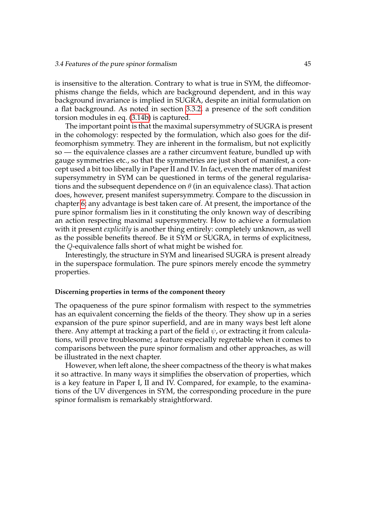is insensitive to the alteration. Contrary to what is true in SYM, the diffeomorphisms change the fields, which are background dependent, and in this way background invariance is implied in SUGRA, despite an initial formulation on a flat background. As noted in section [3.3.2,](#page-38-1) a presence of the soft condition torsion modules in eq. [\(3.14b\)](#page-34-3) is captured.

The important point is that the maximal supersymmetry of SUGRA is present in the cohomology: respected by the formulation, which also goes for the diffeomorphism symmetry. They are inherent in the formalism, but not explicitly so — the equivalence classes are a rather circumvent feature, bundled up with gauge symmetries etc., so that the symmetries are just short of manifest, a concept used a bit too liberally in Paper II and IV. In fact, even the matter of manifest supersymmetry in SYM can be questioned in terms of the general regularisations and the subsequent dependence on  $\theta$  (in an equivalence class). That action does, however, present manifest supersymmetry. Compare to the discussion in chapter [6;](#page-100-0) any advantage is best taken care of. At present, the importance of the pure spinor formalism lies in it constituting the only known way of describing an action respecting maximal supersymmetry. How to achieve a formulation with it present *explicitly* is another thing entirely: completely unknown, as well as the possible benefits thereof. Be it SYM or SUGRA, in terms of explicitness, the Q-equivalence falls short of what might be wished for.

Interestingly, the structure in SYM and linearised SUGRA is present already in the superspace formulation. The pure spinors merely encode the symmetry properties.

#### **Discerning properties in terms of the component theory**

The opaqueness of the pure spinor formalism with respect to the symmetries has an equivalent concerning the fields of the theory. They show up in a series expansion of the pure spinor superfield, and are in many ways best left alone there. Any attempt at tracking a part of the field  $\psi$ , or extracting it from calculations, will prove troublesome; a feature especially regrettable when it comes to comparisons between the pure spinor formalism and other approaches, as will be illustrated in the next chapter.

However, when left alone, the sheer compactness of the theory is what makes it so attractive. In many ways it simplifies the observation of properties, which is a key feature in Paper I, II and IV. Compared, for example, to the examinations of the UV divergences in SYM, the corresponding procedure in the pure spinor formalism is remarkably straightforward.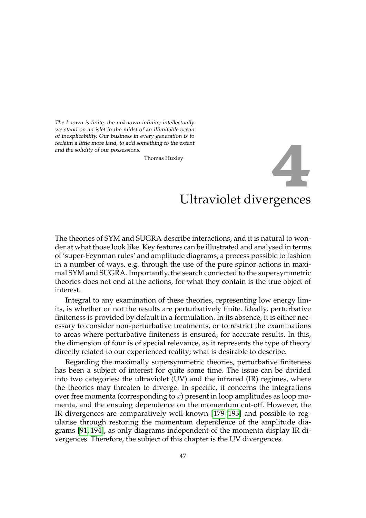<span id="page-58-0"></span>The known is finite, the unknown infinite; intellectually we stand on an islet in the midst of an illimitable ocean of inexplicability. Our business in every generation is to reclaim a little more land, to add something to the extent and the solidity of our possessions.

Thomas Huxley

# Ultraviolet divergences **4**

The theories of SYM and SUGRA describe interactions, and it is natural to wonder at what those look like. Key features can be illustrated and analysed in terms of 'super-Feynman rules' and amplitude diagrams; a process possible to fashion in a number of ways, e.g. through the use of the pure spinor actions in maximal SYM and SUGRA. Importantly, the search connected to the supersymmetric theories does not end at the actions, for what they contain is the true object of interest.

Integral to any examination of these theories, representing low energy limits, is whether or not the results are perturbatively finite. Ideally, perturbative finiteness is provided by default in a formulation. In its absence, it is either necessary to consider non-perturbative treatments, or to restrict the examinations to areas where perturbative finiteness is ensured, for accurate results. In this, the dimension of four is of special relevance, as it represents the type of theory directly related to our experienced reality; what is desirable to describe.

Regarding the maximally supersymmetric theories, perturbative finiteness has been a subject of interest for quite some time. The issue can be divided into two categories: the ultraviolet (UV) and the infrared (IR) regimes, where the theories may threaten to diverge. In specific, it concerns the integrations over free momenta (corresponding to  $x$ ) present in loop amplitudes as loop momenta, and the ensuing dependence on the momentum cut-off. However, the IR divergences are comparatively well-known [\[179](#page-117-7)[–193\]](#page-118-0) and possible to regularise through restoring the momentum dependence of the amplitude diagrams [\[91,](#page-112-0) [194\]](#page-118-1), as only diagrams independent of the momenta display IR divergences. Therefore, the subject of this chapter is the UV divergences.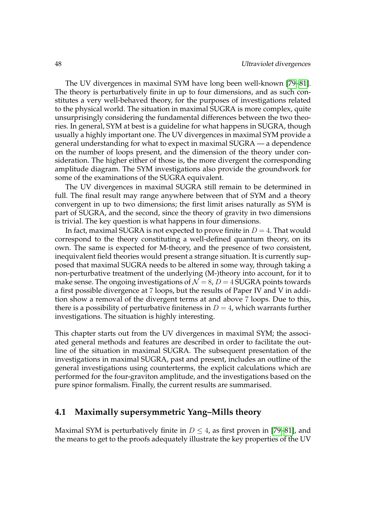The UV divergences in maximal SYM have long been well-known [\[79](#page-111-0)[–81\]](#page-111-1). The theory is perturbatively finite in up to four dimensions, and as such constitutes a very well-behaved theory, for the purposes of investigations related to the physical world. The situation in maximal SUGRA is more complex, quite unsurprisingly considering the fundamental differences between the two theories. In general, SYM at best is a guideline for what happens in SUGRA, though usually a highly important one. The UV divergences in maximal SYM provide a general understanding for what to expect in maximal SUGRA — a dependence on the number of loops present, and the dimension of the theory under consideration. The higher either of those is, the more divergent the corresponding amplitude diagram. The SYM investigations also provide the groundwork for some of the examinations of the SUGRA equivalent.

The UV divergences in maximal SUGRA still remain to be determined in full. The final result may range anywhere between that of SYM and a theory convergent in up to two dimensions; the first limit arises naturally as SYM is part of SUGRA, and the second, since the theory of gravity in two dimensions is trivial. The key question is what happens in four dimensions.

In fact, maximal SUGRA is not expected to prove finite in  $D = 4$ . That would correspond to the theory constituting a well-defined quantum theory, on its own. The same is expected for M-theory, and the presence of two consistent, inequivalent field theories would present a strange situation. It is currently supposed that maximal SUGRA needs to be altered in some way, through taking a non-perturbative treatment of the underlying (M-)theory into account, for it to make sense. The ongoing investigations of  $\mathcal{N} = 8$ ,  $D = 4$  SUGRA points towards a first possible divergence at 7 loops, but the results of Paper IV and V in addition show a removal of the divergent terms at and above 7 loops. Due to this, there is a possibility of perturbative finiteness in  $D = 4$ , which warrants further investigations. The situation is highly interesting.

This chapter starts out from the UV divergences in maximal SYM; the associated general methods and features are described in order to facilitate the outline of the situation in maximal SUGRA. The subsequent presentation of the investigations in maximal SUGRA, past and present, includes an outline of the general investigations using counterterms, the explicit calculations which are performed for the four-graviton amplitude, and the investigations based on the pure spinor formalism. Finally, the current results are summarised.

# **4.1 Maximally supersymmetric Yang–Mills theory**

Maximal SYM is perturbatively finite in  $D \leq 4$ , as first proven in [\[79](#page-111-0)[–81\]](#page-111-1), and the means to get to the proofs adequately illustrate the key properties of the UV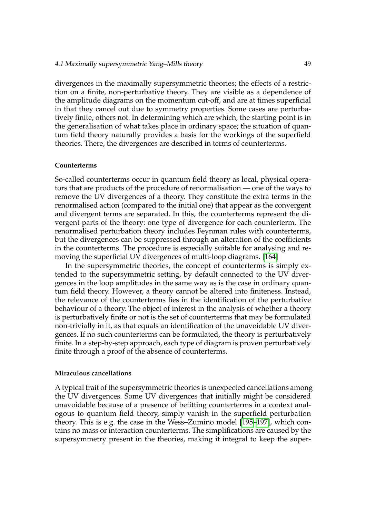divergences in the maximally supersymmetric theories; the effects of a restriction on a finite, non-perturbative theory. They are visible as a dependence of the amplitude diagrams on the momentum cut-off, and are at times superficial in that they cancel out due to symmetry properties. Some cases are perturbatively finite, others not. In determining which are which, the starting point is in the generalisation of what takes place in ordinary space; the situation of quantum field theory naturally provides a basis for the workings of the superfield theories. There, the divergences are described in terms of counterterms.

#### **Counterterms**

So-called counterterms occur in quantum field theory as local, physical operators that are products of the procedure of renormalisation — one of the ways to remove the UV divergences of a theory. They constitute the extra terms in the renormalised action (compared to the initial one) that appear as the convergent and divergent terms are separated. In this, the counterterms represent the divergent parts of the theory: one type of divergence for each counterterm. The renormalised perturbation theory includes Feynman rules with counterterms, but the divergences can be suppressed through an alteration of the coefficients in the counterterms. The procedure is especially suitable for analysing and removing the superficial UV divergences of multi-loop diagrams. [\[164\]](#page-116-5)

In the supersymmetric theories, the concept of counterterms is simply extended to the supersymmetric setting, by default connected to the UV divergences in the loop amplitudes in the same way as is the case in ordinary quantum field theory. However, a theory cannot be altered into finiteness. Instead, the relevance of the counterterms lies in the identification of the perturbative behaviour of a theory. The object of interest in the analysis of whether a theory is perturbatively finite or not is the set of counterterms that may be formulated non-trivially in it, as that equals an identification of the unavoidable UV divergences. If no such counterterms can be formulated, the theory is perturbatively finite. In a step-by-step approach, each type of diagram is proven perturbatively finite through a proof of the absence of counterterms.

# **Miraculous cancellations**

A typical trait of the supersymmetric theories is unexpected cancellations among the UV divergences. Some UV divergences that initially might be considered unavoidable because of a presence of befitting counterterms in a context analogous to quantum field theory, simply vanish in the superfield perturbation theory. This is e.g. the case in the Wess–Zumino model [\[195–](#page-118-2)[197\]](#page-118-3), which contains no mass or interaction counterterms. The simplifications are caused by the supersymmetry present in the theories, making it integral to keep the super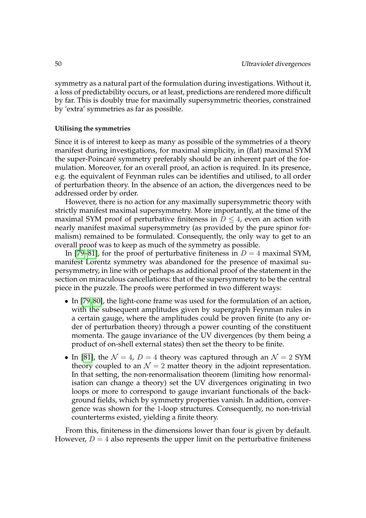symmetry as a natural part of the formulation during investigations. Without it, a loss of predictability occurs, or at least, predictions are rendered more difficult by far. This is doubly true for maximally supersymmetric theories, constrained by 'extra' symmetries as far as possible.

#### **Utilising the symmetries**

Since it is of interest to keep as many as possible of the symmetries of a theory manifest during investigations, for maximal simplicity, in (flat) maximal SYM the super-Poincaré symmetry preferably should be an inherent part of the formulation. Moreover, for an overall proof, an action is required. In its presence, e.g. the equivalent of Feynman rules can be identifies and utilised, to all order of perturbation theory. In the absence of an action, the divergences need to be addressed order by order.

However, there is no action for any maximally supersymmetric theory with strictly manifest maximal supersymmetry. More importantly, at the time of the maximal SYM proof of perturbative finiteness in  $D \leq 4$ , even an action with nearly manifest maximal supersymmetry (as provided by the pure spinor formalism) remained to be formulated. Consequently, the only way to get to an overall proof was to keep as much of the symmetry as possible.

In [\[79](#page-111-0)[–81\]](#page-111-1), for the proof of perturbative finiteness in  $D = 4$  maximal SYM, manifest Lorentz symmetry was abandoned for the presence of maximal supersymmetry, in line with or perhaps as additional proof of the statement in the section on miraculous cancellations: that of the supersymmetry to be the central piece in the puzzle. The proofs were performed in two different ways:

- In [\[79,](#page-111-0)80], the light-cone frame was used for the formulation of an action, with the subsequent amplitudes given by supergraph Feynman rules in a certain gauge, where the amplitudes could be proven finite (to any order of perturbation theory) through a power counting of the constituent momenta. The gauge invariance of the UV divergences (by them being a product of on-shell external states) then set the theory to be finite.
- In [\[81\]](#page-111-1), the  $\mathcal{N} = 4$ ,  $D = 4$  theory was captured through an  $\mathcal{N} = 2$  SYM theory coupled to an  $\mathcal{N} = 2$  matter theory in the adjoint representation. In that setting, the non-renormalisation theorem (limiting how renormalisation can change a theory) set the UV divergences originating in two loops or more to correspond to gauge invariant functionals of the background fields, which by symmetry properties vanish. In addition, convergence was shown for the 1-loop structures. Consequently, no non-trivial counterterms existed, yielding a finite theory.

From this, finiteness in the dimensions lower than four is given by default. However,  $D = 4$  also represents the upper limit on the perturbative finiteness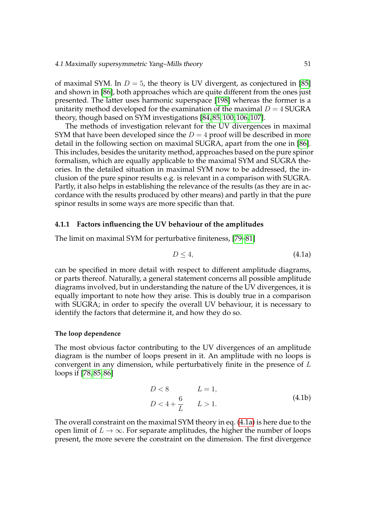of maximal SYM. In  $D = 5$ , the theory is UV divergent, as conjectured in [\[85\]](#page-111-3) and shown in [\[86\]](#page-111-4), both approaches which are quite different from the ones just presented. The latter uses harmonic superspace [\[198\]](#page-118-4) whereas the former is a unitarity method developed for the examination of the maximal  $D = 4$  SUGRA theory, though based on SYM investigations [\[84,](#page-111-5) [85,](#page-111-3) [100,](#page-112-1) [106,](#page-113-0) [107\]](#page-113-1).

The methods of investigation relevant for the UV divergences in maximal SYM that have been developed since the  $D = 4$  proof will be described in more detail in the following section on maximal SUGRA, apart from the one in [\[86\]](#page-111-4). This includes, besides the unitarity method, approaches based on the pure spinor formalism, which are equally applicable to the maximal SYM and SUGRA theories. In the detailed situation in maximal SYM now to be addressed, the inclusion of the pure spinor results e.g. is relevant in a comparison with SUGRA. Partly, it also helps in establishing the relevance of the results (as they are in accordance with the results produced by other means) and partly in that the pure spinor results in some ways are more specific than that.

## **4.1.1 Factors influencing the UV behaviour of the amplitudes**

The limit on maximal SYM for perturbative finiteness, [\[79–](#page-111-0)[81\]](#page-111-1)

<span id="page-62-0"></span>
$$
D \le 4,\tag{4.1a}
$$

can be specified in more detail with respect to different amplitude diagrams, or parts thereof. Naturally, a general statement concerns all possible amplitude diagrams involved, but in understanding the nature of the UV divergences, it is equally important to note how they arise. This is doubly true in a comparison with SUGRA; in order to specify the overall UV behaviour, it is necessary to identify the factors that determine it, and how they do so.

# **The loop dependence**

The most obvious factor contributing to the UV divergences of an amplitude diagram is the number of loops present in it. An amplitude with no loops is convergent in any dimension, while perturbatively finite in the presence of L loops if [\[78,](#page-111-6) [85,](#page-111-3) [86\]](#page-111-4)

<span id="page-62-1"></span>
$$
D < 8 \t L = 1,
$$
  
\n
$$
D < 4 + \frac{6}{L} \t L > 1.
$$
 (4.1b)

The overall constraint on the maximal SYM theory in eq. [\(4.1a\)](#page-62-0) is here due to the open limit of  $L \to \infty$ . For separate amplitudes, the higher the number of loops present, the more severe the constraint on the dimension. The first divergence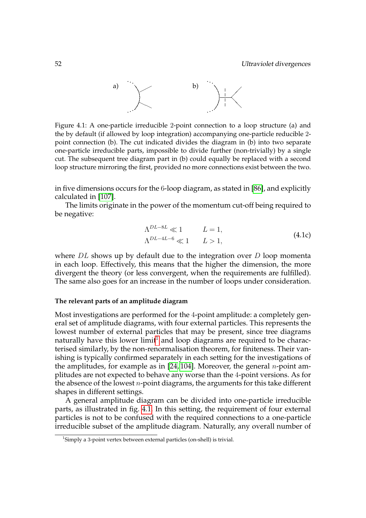

<span id="page-63-1"></span>Figure 4.1: A one-particle irreducible 2-point connection to a loop structure (a) and the by default (if allowed by loop integration) accompanying one-particle reducible 2 point connection (b). The cut indicated divides the diagram in (b) into two separate one-particle irreducible parts, impossible to divide further (non-trivially) by a single cut. The subsequent tree diagram part in (b) could equally be replaced with a second loop structure mirroring the first, provided no more connections exist between the two.

in five dimensions occurs for the 6-loop diagram, as stated in [\[86\]](#page-111-4), and explicitly calculated in [\[107\]](#page-113-1).

The limits originate in the power of the momentum cut-off being required to be negative:

$$
\Lambda^{DL-8L} \ll 1 \qquad L = 1,
$$
  
\n
$$
\Lambda^{DL-4L-6} \ll 1 \qquad L > 1,
$$
\n(4.1c)

where  $DL$  shows up by default due to the integration over  $D$  loop momenta in each loop. Effectively, this means that the higher the dimension, the more divergent the theory (or less convergent, when the requirements are fulfilled). The same also goes for an increase in the number of loops under consideration.

#### **The relevant parts of an amplitude diagram**

Most investigations are performed for the 4-point amplitude: a completely general set of amplitude diagrams, with four external particles. This represents the lowest number of external particles that may be present, since tree diagrams naturally have this lower limit<sup>[1](#page-63-0)</sup> and loop diagrams are required to be characterised similarly, by the non-renormalisation theorem, for finiteness. Their vanishing is typically confirmed separately in each setting for the investigations of the amplitudes, for example as in  $[24, 104]$  $[24, 104]$ . Moreover, the general *n*-point amplitudes are not expected to behave any worse than the 4-point versions. As for the absence of the lowest  $n$ -point diagrams, the arguments for this take different shapes in different settings.

A general amplitude diagram can be divided into one-particle irreducible parts, as illustrated in fig. [4.1.](#page-63-1) In this setting, the requirement of four external particles is not to be confused with the required connections to a one-particle irreducible subset of the amplitude diagram. Naturally, any overall number of

<span id="page-63-0"></span><sup>&</sup>lt;sup>1</sup>Simply a 3-point vertex between external particles (on-shell) is trivial.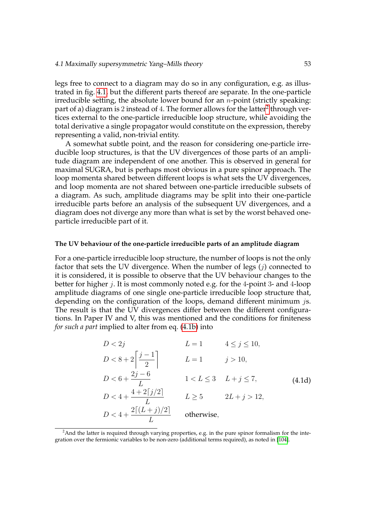legs free to connect to a diagram may do so in any configuration, e.g. as illustrated in fig. [4.1,](#page-63-1) but the different parts thereof are separate. In the one-particle irreducible setting, the absolute lower bound for an  $n$ -point (strictly speaking: part of a) diagram is  $2$  instead of  $4.$  The former allows for the latter $^2$  through vertices external to the one-particle irreducible loop structure, while avoiding the total derivative a single propagator would constitute on the expression, thereby representing a valid, non-trivial entity.

A somewhat subtle point, and the reason for considering one-particle irreducible loop structures, is that the UV divergences of those parts of an amplitude diagram are independent of one another. This is observed in general for maximal SUGRA, but is perhaps most obvious in a pure spinor approach. The loop momenta shared between different loops is what sets the UV divergences, and loop momenta are not shared between one-particle irreducible subsets of a diagram. As such, amplitude diagrams may be split into their one-particle irreducible parts before an analysis of the subsequent UV divergences, and a diagram does not diverge any more than what is set by the worst behaved oneparticle irreducible part of it.

#### **The UV behaviour of the one-particle irreducible parts of an amplitude diagram**

For a one-particle irreducible loop structure, the number of loops is not the only factor that sets the UV divergence. When the number of legs  $(i)$  connected to it is considered, it is possible to observe that the UV behaviour changes to the better for higher  $j$ . It is most commonly noted e.g. for the 4-point 3- and 4-loop amplitude diagrams of one single one-particle irreducible loop structure that, depending on the configuration of the loops, demand different minimum *js*. The result is that the UV divergences differ between the different configurations. In Paper IV and V, this was mentioned and the conditions for finiteness *for such a part* implied to alter from eq. [\(4.1b\)](#page-62-1) into

$$
D < 2j
$$
  
\n
$$
L = 1
$$
  
\n
$$
A \le j \le 10,
$$
  
\n
$$
D < 8 + 2\left[\frac{j-1}{2}\right]
$$
  
\n
$$
L = 1
$$
  
\n
$$
j > 10,
$$
  
\n
$$
D < 6 + \frac{2j - 6}{L}
$$
  
\n
$$
1 < L \le 3
$$
  
\n
$$
L + j \le 7,
$$
  
\n
$$
L = 1
$$
  
\n
$$
j > 10,
$$
  
\n
$$
L \le 3
$$
  
\n
$$
L + j \le 7,
$$
  
\n
$$
L = 1
$$
  
\n
$$
1 < L \le 3
$$
  
\n
$$
L + j \le 7,
$$
  
\n
$$
L = 1
$$
  
\n
$$
L \le 3
$$
  
\n
$$
L + j \le 7,
$$
  
\n
$$
L = 1
$$
  
\n
$$
L \le 3
$$
  
\n
$$
L + j \le 7,
$$
  
\n
$$
L = 1
$$
  
\n
$$
L \le 3
$$
  
\n
$$
L + j \le 7,
$$
  
\n
$$
L = 2
$$
  
\n
$$
L \ge 5
$$
  
\n
$$
2L + j > 12,
$$
  
\n
$$
D < 4 + \frac{2[(L + j)/2]}{L}
$$
  
\n
$$
D
$$
 otherwise,

<span id="page-64-0"></span><sup>&</sup>lt;sup>2</sup>And the latter is required through varying properties, e.g. in the pure spinor formalism for the integration over the fermionic variables to be non-zero (additional terms required), as noted in [\[104\]](#page-112-2).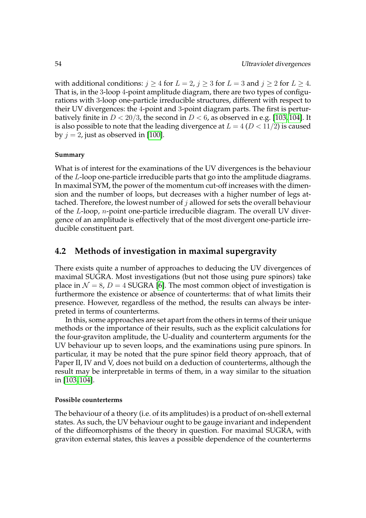with additional conditions:  $j \ge 4$  for  $L = 2$ ,  $j \ge 3$  for  $L = 3$  and  $j \ge 2$  for  $L \ge 4$ . That is, in the 3-loop 4-point amplitude diagram, there are two types of configurations with 3-loop one-particle irreducible structures, different with respect to their UV divergences: the 4-point and 3-point diagram parts. The first is perturbatively finite in  $D < 20/3$ , the second in  $D < 6$ , as observed in e.g. [\[103,](#page-112-3) [104\]](#page-112-2). It is also possible to note that the leading divergence at  $L = 4 (D < 11/2)$  is caused by  $j = 2$ , just as observed in [\[100\]](#page-112-1).

# **Summary**

What is of interest for the examinations of the UV divergences is the behaviour of the L-loop one-particle irreducible parts that go into the amplitude diagrams. In maximal SYM, the power of the momentum cut-off increases with the dimension and the number of loops, but decreases with a higher number of legs attached. Therefore, the lowest number of  $j$  allowed for sets the overall behaviour of the L-loop, n-point one-particle irreducible diagram. The overall UV divergence of an amplitude is effectively that of the most divergent one-particle irreducible constituent part.

# **4.2 Methods of investigation in maximal supergravity**

There exists quite a number of approaches to deducing the UV divergences of maximal SUGRA. Most investigations (but not those using pure spinors) take place in  $\mathcal{N} = 8$ ,  $D = 4$  SUGRA [\[6\]](#page-106-2). The most common object of investigation is furthermore the existence or absence of counterterms: that of what limits their presence. However, regardless of the method, the results can always be interpreted in terms of counterterms.

In this, some approaches are set apart from the others in terms of their unique methods or the importance of their results, such as the explicit calculations for the four-graviton amplitude, the U-duality and counterterm arguments for the UV behaviour up to seven loops, and the examinations using pure spinors. In particular, it may be noted that the pure spinor field theory approach, that of Paper II, IV and V, does not build on a deduction of counterterms, although the result may be interpretable in terms of them, in a way similar to the situation in [\[103,](#page-112-3) [104\]](#page-112-2).

## **Possible counterterms**

The behaviour of a theory (i.e. of its amplitudes) is a product of on-shell external states. As such, the UV behaviour ought to be gauge invariant and independent of the diffeomorphisms of the theory in question. For maximal SUGRA, with graviton external states, this leaves a possible dependence of the counterterms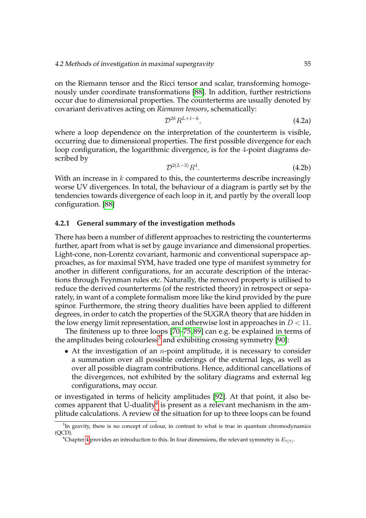on the Riemann tensor and the Ricci tensor and scalar, transforming homogenously under coordinate transformations [\[88\]](#page-111-7). In addition, further restrictions occur due to dimensional properties. The counterterms are usually denoted by covariant derivatives acting on *Riemann tensors*, schematically:

$$
\mathcal{D}^{2k}R^{L+1-k},\tag{4.2a}
$$

where a loop dependence on the interpretation of the counterterm is visible, occurring due to dimensional properties. The first possible divergence for each loop configuration, the logarithmic divergence, is for the 4-point diagrams described by

$$
\mathcal{D}^{2(L-3)}R^4.\tag{4.2b}
$$

With an increase in  $k$  compared to this, the counterterms describe increasingly worse UV divergences. In total, the behaviour of a diagram is partly set by the tendencies towards divergence of each loop in it, and partly by the overall loop configuration. [\[88\]](#page-111-7)

# **4.2.1 General summary of the investigation methods**

There has been a number of different approaches to restricting the counterterms further, apart from what is set by gauge invariance and dimensional properties. Light-cone, non-Lorentz covariant, harmonic and conventional superspace approaches, as for maximal SYM, have traded one type of manifest symmetry for another in different configurations, for an accurate description of the interactions through Feynman rules etc. Naturally, the removed property is utilised to reduce the derived counterterms (of the restricted theory) in retrospect or separately, in want of a complete formalism more like the kind provided by the pure spinor. Furthermore, the string theory dualities have been applied to different degrees, in order to catch the properties of the SUGRA theory that are hidden in the low energy limit representation, and otherwise lost in approaches in  $D < 11$ .

The finiteness up to three loops [\[70](#page-110-0)[–75,](#page-111-8) [89\]](#page-111-9) can e.g. be explained in terms of the amplitudes being colourless<sup>[3](#page-66-0)</sup> and exhibiting crossing symmetry [\[90\]](#page-112-4):

• At the investigation of an *n*-point amplitude, it is necessary to consider a summation over all possible orderings of the external legs, as well as over all possible diagram contributions. Hence, additional cancellations of the divergences, not exhibited by the solitary diagrams and external leg configurations, may occur.

or investigated in terms of helicity amplitudes [\[92\]](#page-112-5). At that point, it also be-comes apparent that U-duality<sup>[4](#page-66-1)</sup> is present as a relevant mechanism in the amplitude calculations. A review of the situation for up to three loops can be found

<span id="page-66-0"></span> ${}^{3}$ In gravity, there is no concept of colour, in contrast to what is true in quantum chromodynamics (QCD).

<span id="page-66-1"></span><sup>&</sup>lt;sup>4</sup>Chapter [4](#page-58-0) provides an introduction to this. In four dimensions, the relevant symmetry is  $E_{7(7)}$ .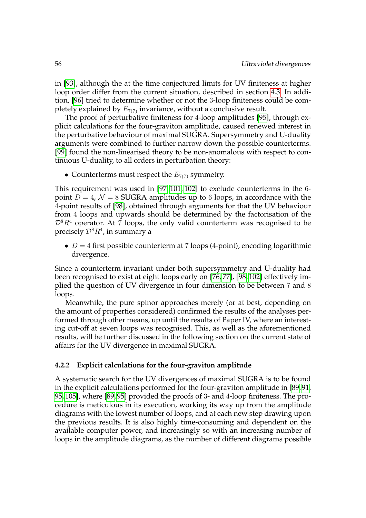in [\[93\]](#page-112-6), although the at the time conjectured limits for UV finiteness at higher loop order differ from the current situation, described in section [4.3.](#page-73-0) In addition, [\[96\]](#page-112-7) tried to determine whether or not the 3-loop finiteness could be completely explained by  $E_{7(7)}$  invariance, without a conclusive result.

The proof of perturbative finiteness for 4-loop amplitudes [\[95\]](#page-112-8), through explicit calculations for the four-graviton amplitude, caused renewed interest in the perturbative behaviour of maximal SUGRA. Supersymmetry and U-duality arguments were combined to further narrow down the possible counterterms. [\[99\]](#page-112-9) found the non-linearised theory to be non-anomalous with respect to continuous U-duality, to all orders in perturbation theory:

• Counterterms must respect the  $E_{7(7)}$  symmetry.

This requirement was used in [\[97,](#page-112-10) [101,](#page-112-11) [102\]](#page-112-12) to exclude counterterms in the 6 point  $\overline{D} = 4$ ,  $\mathcal{N} = 8$  SUGRA amplitudes up to 6 loops, in accordance with the 4-point results of [\[98\]](#page-112-13), obtained through arguments for that the UV behaviour from 4 loops and upwards should be determined by the factorisation of the  $D^8R^4$  operator. At 7 loops, the only valid counterterm was recognised to be precisely  ${\cal D}^8R^4$ , in summary a

•  $D = 4$  first possible counterterm at 7 loops (4-point), encoding logarithmic divergence.

Since a counterterm invariant under both supersymmetry and U-duality had been recognised to exist at eight loops early on [\[76,](#page-111-10) [77\]](#page-111-11), [\[98,](#page-112-13) [102\]](#page-112-12) effectively implied the question of UV divergence in four dimension to be between 7 and 8 loops.

Meanwhile, the pure spinor approaches merely (or at best, depending on the amount of properties considered) confirmed the results of the analyses performed through other means, up until the results of Paper IV, where an interesting cut-off at seven loops was recognised. This, as well as the aforementioned results, will be further discussed in the following section on the current state of affairs for the UV divergence in maximal SUGRA.

# **4.2.2 Explicit calculations for the four-graviton amplitude**

A systematic search for the UV divergences of maximal SUGRA is to be found in the explicit calculations performed for the four-graviton amplitude in [\[89,](#page-111-9) [91,](#page-112-0) [95,](#page-112-8) [105\]](#page-113-2), where [\[89,](#page-111-9) [95\]](#page-112-8) provided the proofs of 3- and 4-loop finiteness. The procedure is meticulous in its execution, working its way up from the amplitude diagrams with the lowest number of loops, and at each new step drawing upon the previous results. It is also highly time-consuming and dependent on the available computer power, and increasingly so with an increasing number of loops in the amplitude diagrams, as the number of different diagrams possible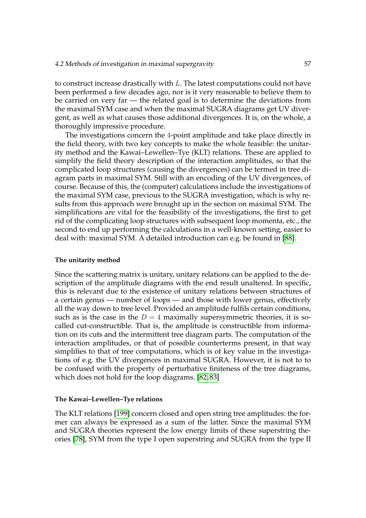to construct increase drastically with L. The latest computations could not have been performed a few decades ago, nor is it very reasonable to believe them to be carried on very far — the related goal is to determine the deviations from the maximal SYM case and when the maximal SUGRA diagrams get UV divergent, as well as what causes those additional divergences. It is, on the whole, a thoroughly impressive procedure.

The investigations concern the 4-point amplitude and take place directly in the field theory, with two key concepts to make the whole feasible: the unitarity method and the Kawai–Lewellen–Tye (KLT) relations. These are applied to simplify the field theory description of the interaction amplitudes, so that the complicated loop structures (causing the divergences) can be termed in tree diagram parts in maximal SYM. Still with an encoding of the UV divergences, of course. Because of this, the (computer) calculations include the investigations of the maximal SYM case, previous to the SUGRA investigation, which is why results from this approach were brought up in the section on maximal SYM. The simplifications are vital for the feasibility of the investigations, the first to get rid of the complicating loop structures with subsequent loop momenta, etc., the second to end up performing the calculations in a well-known setting, easier to deal with: maximal SYM. A detailed introduction can e.g. be found in [\[88\]](#page-111-7).

#### **The unitarity method**

Since the scattering matrix is unitary, unitary relations can be applied to the description of the amplitude diagrams with the end result unaltered. In specific, this is relevant due to the existence of unitary relations between structures of a certain genus — number of loops — and those with lower genus, effectively all the way down to tree level. Provided an amplitude fulfils certain conditions, such as is the case in the  $D = 4$  maximally supersymmetric theories, it is socalled cut-constructible. That is, the amplitude is constructible from information on its cuts and the intermittent tree diagram parts. The computation of the interaction amplitudes, or that of possible counterterms present, in that way simplifies to that of tree computations, which is of key value in the investigations of e.g. the UV divergences in maximal SUGRA. However, it is not to to be confused with the property of perturbative finiteness of the tree diagrams, which does not hold for the loop diagrams. [\[82,](#page-111-12) [83\]](#page-111-13)

#### **The Kawai–Lewellen–Tye relations**

The KLT relations [\[199\]](#page-118-5) concern closed and open string tree amplitudes: the former can always be expressed as a sum of the latter. Since the maximal SYM and SUGRA theories represent the low energy limits of these superstring theories [\[78\]](#page-111-6), SYM from the type I open superstring and SUGRA from the type II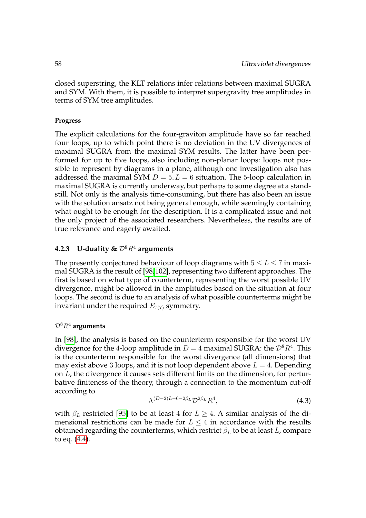closed superstring, the KLT relations infer relations between maximal SUGRA and SYM. With them, it is possible to interpret supergravity tree amplitudes in terms of SYM tree amplitudes.

# **Progress**

The explicit calculations for the four-graviton amplitude have so far reached four loops, up to which point there is no deviation in the UV divergences of maximal SUGRA from the maximal SYM results. The latter have been performed for up to five loops, also including non-planar loops: loops not possible to represent by diagrams in a plane, although one investigation also has addressed the maximal SYM  $D = 5, L = 6$  situation. The 5-loop calculation in maximal SUGRA is currently underway, but perhaps to some degree at a standstill. Not only is the analysis time-consuming, but there has also been an issue with the solution ansatz not being general enough, while seemingly containing what ought to be enough for the description. It is a complicated issue and not the only project of the associated researchers. Nevertheless, the results are of true relevance and eagerly awaited.

# **4.2.3** U-duality &  $\mathcal{D}^8 R^4$  arguments

The presently conjectured behaviour of loop diagrams with  $5 \le L \le 7$  in maximal SUGRA is the result of [\[98,](#page-112-13)[102\]](#page-112-12), representing two different approaches. The first is based on what type of counterterm, representing the worst possible UV divergence, might be allowed in the amplitudes based on the situation at four loops. The second is due to an analysis of what possible counterterms might be invariant under the required  $E_{7(7)}$  symmetry.

# $D^8R^4$  arguments

In [\[98\]](#page-112-13), the analysis is based on the counterterm responsible for the worst UV divergence for the 4-loop amplitude in  $D = 4$  maximal SUGRA: the  $\mathcal{D}^8 R^4$ . This is the counterterm responsible for the worst divergence (all dimensions) that may exist above 3 loops, and it is not loop dependent above  $L = 4$ . Depending on L, the divergence it causes sets different limits on the dimension, for perturbative finiteness of the theory, through a connection to the momentum cut-off according to

$$
\Lambda^{(D-2)L-6-2\beta_L} \mathcal{D}^{2\beta_L} R^4, \tag{4.3}
$$

with  $\beta_L$  restricted [\[95\]](#page-112-8) to be at least 4 for  $L \geq 4$ . A similar analysis of the dimensional restrictions can be made for  $L \leq 4$  in accordance with the results obtained regarding the counterterms, which restrict  $\beta_L$  to be at least L, compare to eq. [\(4.4\)](#page-74-0).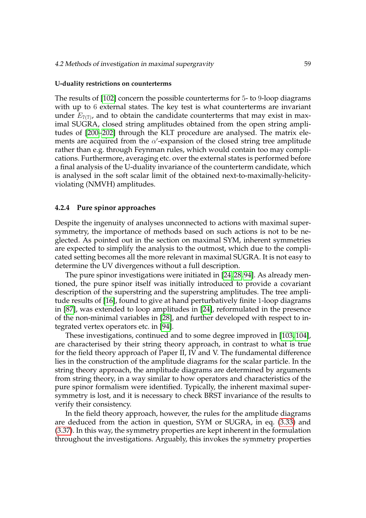#### **U-duality restrictions on counterterms**

The results of [\[102\]](#page-112-12) concern the possible counterterms for 5- to 9-loop diagrams with up to 6 external states. The key test is what counterterms are invariant under  $E_{7(7)}$ , and to obtain the candidate counterterms that may exist in maximal SUGRA, closed string amplitudes obtained from the open string amplitudes of [\[200](#page-118-6)[–202\]](#page-118-7) through the KLT procedure are analysed. The matrix elements are acquired from the  $\alpha'$ -expansion of the closed string tree amplitude rather than e.g. through Feynman rules, which would contain too may complications. Furthermore, averaging etc. over the external states is performed before a final analysis of the U-duality invariance of the counterterm candidate, which is analysed in the soft scalar limit of the obtained next-to-maximally-helicityviolating (NMVH) amplitudes.

# **4.2.4 Pure spinor approaches**

Despite the ingenuity of analyses unconnected to actions with maximal supersymmetry, the importance of methods based on such actions is not to be neglected. As pointed out in the section on maximal SYM, inherent symmetries are expected to simplify the analysis to the outmost, which due to the complicated setting becomes all the more relevant in maximal SUGRA. It is not easy to determine the UV divergences without a full description.

The pure spinor investigations were initiated in [\[24,](#page-107-10) [28,](#page-108-2) [94\]](#page-112-14). As already mentioned, the pure spinor itself was initially introduced to provide a covariant description of the superstring and the superstring amplitudes. The tree amplitude results of [\[16\]](#page-107-1), found to give at hand perturbatively finite 1-loop diagrams in [\[87\]](#page-111-14), was extended to loop amplitudes in [\[24\]](#page-107-10), reformulated in the presence of the non-minimal variables in [\[28\]](#page-108-2), and further developed with respect to integrated vertex operators etc. in [\[94\]](#page-112-14).

These investigations, continued and to some degree improved in [\[103,](#page-112-3) [104\]](#page-112-2), are characterised by their string theory approach, in contrast to what is true for the field theory approach of Paper II, IV and V. The fundamental difference lies in the construction of the amplitude diagrams for the scalar particle. In the string theory approach, the amplitude diagrams are determined by arguments from string theory, in a way similar to how operators and characteristics of the pure spinor formalism were identified. Typically, the inherent maximal supersymmetry is lost, and it is necessary to check BRST invariance of the results to verify their consistency.

In the field theory approach, however, the rules for the amplitude diagrams are deduced from the action in question, SYM or SUGRA, in eq. [\(3.33\)](#page-43-0) and [\(3.37\)](#page-44-1). In this way, the symmetry properties are kept inherent in the formulation throughout the investigations. Arguably, this invokes the symmetry properties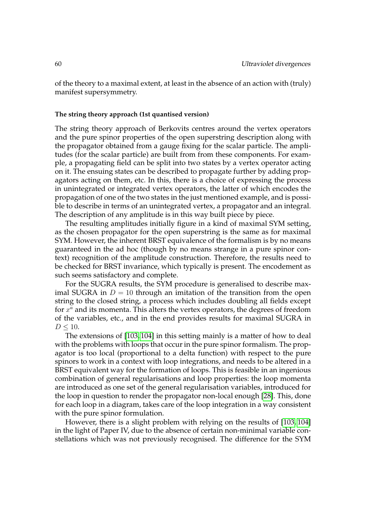of the theory to a maximal extent, at least in the absence of an action with (truly) manifest supersymmetry.

#### **The string theory approach (1st quantised version)**

The string theory approach of Berkovits centres around the vertex operators and the pure spinor properties of the open superstring description along with the propagator obtained from a gauge fixing for the scalar particle. The amplitudes (for the scalar particle) are built from from these components. For example, a propagating field can be split into two states by a vertex operator acting on it. The ensuing states can be described to propagate further by adding propagators acting on them, etc. In this, there is a choice of expressing the process in unintegrated or integrated vertex operators, the latter of which encodes the propagation of one of the two states in the just mentioned example, and is possible to describe in terms of an unintegrated vertex, a propagator and an integral. The description of any amplitude is in this way built piece by piece.

The resulting amplitudes initially figure in a kind of maximal SYM setting, as the chosen propagator for the open superstring is the same as for maximal SYM. However, the inherent BRST equivalence of the formalism is by no means guaranteed in the ad hoc (though by no means strange in a pure spinor context) recognition of the amplitude construction. Therefore, the results need to be checked for BRST invariance, which typically is present. The encodement as such seems satisfactory and complete.

For the SUGRA results, the SYM procedure is generalised to describe maximal SUGRA in  $D = 10$  through an imitation of the transition from the open string to the closed string, a process which includes doubling all fields except for  $x^a$  and its momenta. This alters the vertex operators, the degrees of freedom of the variables, etc., and in the end provides results for maximal SUGRA in  $D < 10$ .

The extensions of [\[103,](#page-112-3) [104\]](#page-112-2) in this setting mainly is a matter of how to deal with the problems with loops that occur in the pure spinor formalism. The propagator is too local (proportional to a delta function) with respect to the pure spinors to work in a context with loop integrations, and needs to be altered in a BRST equivalent way for the formation of loops. This is feasible in an ingenious combination of general regularisations and loop properties: the loop momenta are introduced as one set of the general regularisation variables, introduced for the loop in question to render the propagator non-local enough [\[28\]](#page-108-2). This, done for each loop in a diagram, takes care of the loop integration in a way consistent with the pure spinor formulation.

However, there is a slight problem with relying on the results of [\[103,](#page-112-3) [104\]](#page-112-2) in the light of Paper IV, due to the absence of certain non-minimal variable constellations which was not previously recognised. The difference for the SYM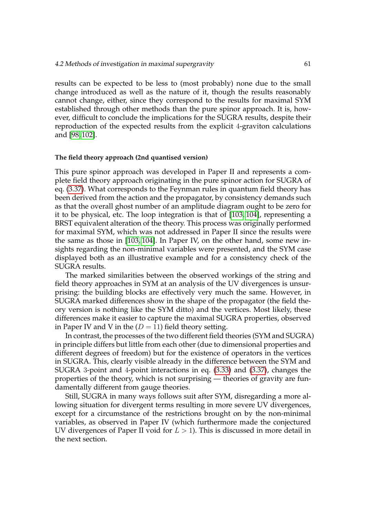results can be expected to be less to (most probably) none due to the small change introduced as well as the nature of it, though the results reasonably cannot change, either, since they correspond to the results for maximal SYM established through other methods than the pure spinor approach. It is, however, difficult to conclude the implications for the SUGRA results, despite their reproduction of the expected results from the explicit 4-graviton calculations and [\[98,](#page-112-0) [102\]](#page-112-1).

# **The field theory approach (2nd quantised version)**

This pure spinor approach was developed in Paper II and represents a complete field theory approach originating in the pure spinor action for SUGRA of eq. [\(3.37\)](#page-44-0). What corresponds to the Feynman rules in quantum field theory has been derived from the action and the propagator, by consistency demands such as that the overall ghost number of an amplitude diagram ought to be zero for it to be physical, etc. The loop integration is that of [\[103,](#page-112-2) [104\]](#page-112-3), representing a BRST equivalent alteration of the theory. This process was originally performed for maximal SYM, which was not addressed in Paper II since the results were the same as those in [\[103,](#page-112-2) [104\]](#page-112-3). In Paper IV, on the other hand, some new insights regarding the non-minimal variables were presented, and the SYM case displayed both as an illustrative example and for a consistency check of the SUGRA results.

The marked similarities between the observed workings of the string and field theory approaches in SYM at an analysis of the UV divergences is unsurprising: the building blocks are effectively very much the same. However, in SUGRA marked differences show in the shape of the propagator (the field theory version is nothing like the SYM ditto) and the vertices. Most likely, these differences make it easier to capture the maximal SUGRA properties, observed in Paper IV and V in the  $(D = 11)$  field theory setting.

In contrast, the processes of the two different field theories (SYM and SUGRA) in principle differs but little from each other (due to dimensional properties and different degrees of freedom) but for the existence of operators in the vertices in SUGRA. This, clearly visible already in the difference between the SYM and SUGRA 3-point and 4-point interactions in eq. [\(3.33\)](#page-43-0) and [\(3.37\)](#page-44-0), changes the properties of the theory, which is not surprising — theories of gravity are fundamentally different from gauge theories.

Still, SUGRA in many ways follows suit after SYM, disregarding a more allowing situation for divergent terms resulting in more severe UV divergences, except for a circumstance of the restrictions brought on by the non-minimal variables, as observed in Paper IV (which furthermore made the conjectured UV divergences of Paper II void for  $L > 1$ ). This is discussed in more detail in the next section.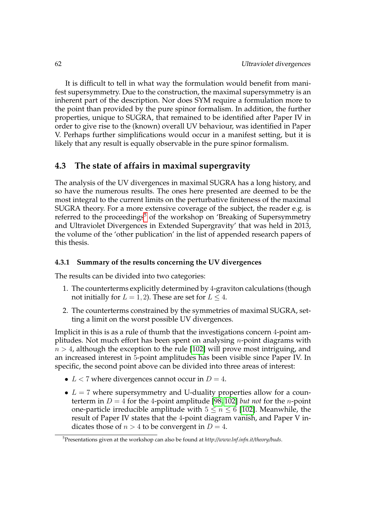It is difficult to tell in what way the formulation would benefit from manifest supersymmetry. Due to the construction, the maximal supersymmetry is an inherent part of the description. Nor does SYM require a formulation more to the point than provided by the pure spinor formalism. In addition, the further properties, unique to SUGRA, that remained to be identified after Paper IV in order to give rise to the (known) overall UV behaviour, was identified in Paper V. Perhaps further simplifications would occur in a manifest setting, but it is likely that any result is equally observable in the pure spinor formalism.

# **4.3 The state of affairs in maximal supergravity**

The analysis of the UV divergences in maximal SUGRA has a long history, and so have the numerous results. The ones here presented are deemed to be the most integral to the current limits on the perturbative finiteness of the maximal SUGRA theory. For a more extensive coverage of the subject, the reader e.g. is referred to the proceedings<sup>[5](#page-73-0)</sup> of the workshop on 'Breaking of Supersymmetry and Ultraviolet Divergences in Extended Supergravity' that was held in 2013, the volume of the 'other publication' in the list of appended research papers of this thesis.

# **4.3.1 Summary of the results concerning the UV divergences**

The results can be divided into two categories:

- 1. The counterterms explicitly determined by 4-graviton calculations (though not initially for  $L = 1, 2$ ). These are set for  $L \leq 4$ .
- 2. The counterterms constrained by the symmetries of maximal SUGRA, setting a limit on the worst possible UV divergences.

Implicit in this is as a rule of thumb that the investigations concern 4-point amplitudes. Not much effort has been spent on analysing *n*-point diagrams with  $n > 4$ , although the exception to the rule [\[102\]](#page-112-1) will prove most intriguing, and an increased interest in 5-point amplitudes has been visible since Paper IV. In specific, the second point above can be divided into three areas of interest:

- $L < 7$  where divergences cannot occur in  $D = 4$ .
- $L = 7$  where supersymmetry and U-duality properties allow for a counterterm in  $D = 4$  for the 4-point amplitude [\[98,](#page-112-0) [102\]](#page-112-1) *but not* for the *n*-point one-particle irreducible amplitude with  $5 \le n \le 6$  [\[102\]](#page-112-1). Meanwhile, the result of Paper IV states that the 4-point diagram vanish, and Paper V indicates those of  $n > 4$  to be convergent in  $D = 4$ .

<span id="page-73-0"></span><sup>5</sup>Presentations given at the workshop can also be found at *http://www.lnf.infn.it/theory/buds*.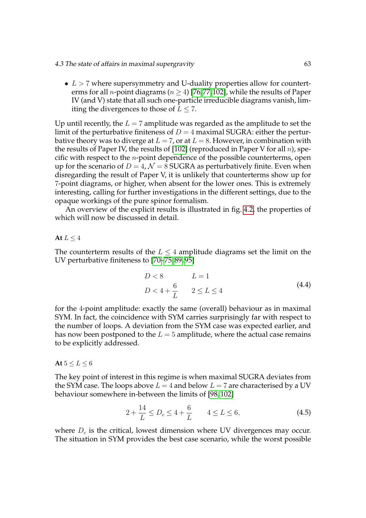•  $L > 7$  where supersymmetry and U-duality properties allow for counterterms for all *n*-point diagrams ( $n > 4$ ) [\[76,](#page-111-0)[77,](#page-111-1)[102\]](#page-112-1), while the results of Paper IV (and V) state that all such one-particle irreducible diagrams vanish, limiting the divergences to those of  $L \leq 7$ .

Up until recently, the  $L = 7$  amplitude was regarded as the amplitude to set the limit of the perturbative finiteness of  $D = 4$  maximal SUGRA: either the perturbative theory was to diverge at  $L = 7$ , or at  $L = 8$ . However, in combination with the results of Paper IV, the results of [\[102\]](#page-112-1) (reproduced in Paper V for all  $n$ ), specific with respect to the  $n$ -point dependence of the possible counterterms, open up for the scenario of  $D = 4$ ,  $\mathcal{N} = 8$  SUGRA as perturbatively finite. Even when disregarding the result of Paper V, it is unlikely that counterterms show up for 7-point diagrams, or higher, when absent for the lower ones. This is extremely interesting, calling for further investigations in the different settings, due to the opaque workings of the pure spinor formalism.

An overview of the explicit results is illustrated in fig. [4.2,](#page-75-0) the properties of which will now be discussed in detail.

# **At**  $L \leq 4$

The counterterm results of the  $L \leq 4$  amplitude diagrams set the limit on the UV perturbative finiteness to [\[70–](#page-110-0)[75,](#page-111-2) [89,](#page-111-3) [95\]](#page-112-4)

<span id="page-74-0"></span>
$$
D < 8 \qquad L = 1
$$
\n
$$
D < 4 + \frac{6}{L} \qquad 2 \le L \le 4 \tag{4.4}
$$

for the 4-point amplitude: exactly the same (overall) behaviour as in maximal SYM. In fact, the coincidence with SYM carries surprisingly far with respect to the number of loops. A deviation from the SYM case was expected earlier, and has now been postponed to the  $L = 5$  amplitude, where the actual case remains to be explicitly addressed.

# **At**  $5 \le L \le 6$

The key point of interest in this regime is when maximal SUGRA deviates from the SYM case. The loops above  $L = 4$  and below  $L = 7$  are characterised by a UV behaviour somewhere in-between the limits of [\[98,](#page-112-0) [102\]](#page-112-1)

<span id="page-74-1"></span>
$$
2 + \frac{14}{L} \le D_c \le 4 + \frac{6}{L} \qquad 4 \le L \le 6,\tag{4.5}
$$

where  $D<sub>c</sub>$  is the critical, lowest dimension where UV divergences may occur. The situation in SYM provides the best case scenario, while the worst possible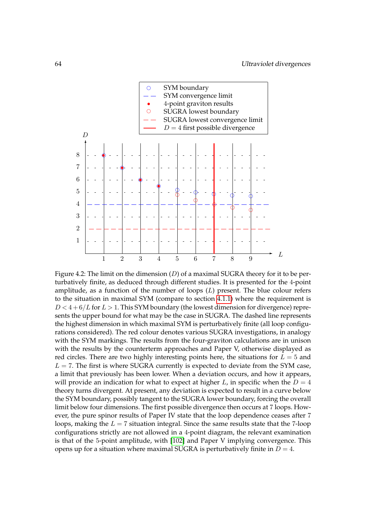<span id="page-75-0"></span>

Figure 4.2: The limit on the dimension  $(D)$  of a maximal SUGRA theory for it to be perturbatively finite, as deduced through different studies. It is presented for the 4-point amplitude, as a function of the number of loops  $(L)$  present. The blue colour refers to the situation in maximal SYM (compare to section [4.1.1\)](#page-62-0) where the requirement is  $D < 4+6/L$  for  $L > 1$ . This SYM boundary (the lowest dimension for divergence) represents the upper bound for what may be the case in SUGRA. The dashed line represents the highest dimension in which maximal SYM is perturbatively finite (all loop configurations considered). The red colour denotes various SUGRA investigations, in analogy with the SYM markings. The results from the four-graviton calculations are in unison with the results by the counterterm approaches and Paper V, otherwise displayed as red circles. There are two highly interesting points here, the situations for  $L = 5$  and  $L = 7$ . The first is where SUGRA currently is expected to deviate from the SYM case, a limit that previously has been lower. When a deviation occurs, and how it appears, will provide an indication for what to expect at higher L, in specific when the  $D = 4$ theory turns divergent. At present, any deviation is expected to result in a curve below the SYM boundary, possibly tangent to the SUGRA lower boundary, forcing the overall limit below four dimensions. The first possible divergence then occurs at 7 loops. However, the pure spinor results of Paper IV state that the loop dependence ceases after 7 loops, making the  $L = 7$  situation integral. Since the same results state that the 7-loop configurations strictly are not allowed in a 4-point diagram, the relevant examination is that of the 5-point amplitude, with [\[102\]](#page-112-1) and Paper V implying convergence. This opens up for a situation where maximal SUGRA is perturbatively finite in  $D = 4$ .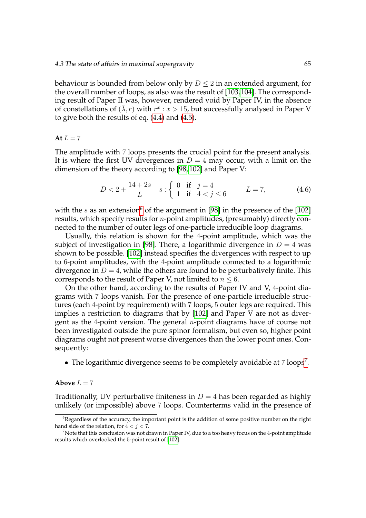behaviour is bounded from below only by  $D \leq 2$  in an extended argument, for the overall number of loops, as also was the result of [\[103,](#page-112-2)[104\]](#page-112-3). The corresponding result of Paper II was, however, rendered void by Paper IV, in the absence of constellations of  $(\bar{\lambda}, r)$  with  $r^x : x > 15$ , but successfully analysed in Paper V to give both the results of eq. [\(4.4\)](#page-74-0) and [\(4.5\)](#page-74-1).

#### At  $L = 7$

The amplitude with 7 loops presents the crucial point for the present analysis. It is where the first UV divergences in  $D = 4$  may occur, with a limit on the dimension of the theory according to [\[98,](#page-112-0) [102\]](#page-112-1) and Paper V:

$$
D < 2 + \frac{14 + 2s}{L} \quad s : \begin{cases} \n0 & \text{if } j = 4 \\ \n1 & \text{if } 4 < j \le 6 \n\end{cases} \qquad L = 7,\tag{4.6}
$$

with the s as an extension<sup>[6](#page-76-0)</sup> of the argument in [\[98\]](#page-112-0) in the presence of the [\[102\]](#page-112-1) results, which specify results for n-point amplitudes, (presumably) directly connected to the number of outer legs of one-particle irreducible loop diagrams.

Usually, this relation is shown for the 4-point amplitude, which was the subject of investigation in [\[98\]](#page-112-0). There, a logarithmic divergence in  $D = 4$  was shown to be possible. [\[102\]](#page-112-1) instead specifies the divergences with respect to up to 6-point amplitudes, with the 4-point amplitude connected to a logarithmic divergence in  $D = 4$ , while the others are found to be perturbatively finite. This corresponds to the result of Paper V, not limited to  $n \leq 6$ .

On the other hand, according to the results of Paper IV and V, 4-point diagrams with 7 loops vanish. For the presence of one-particle irreducible structures (each 4-point by requirement) with 7 loops, 5 outer legs are required. This implies a restriction to diagrams that by [\[102\]](#page-112-1) and Paper V are not as divergent as the 4-point version. The general  $n$ -point diagrams have of course not been investigated outside the pure spinor formalism, but even so, higher point diagrams ought not present worse divergences than the lower point ones. Consequently:

• The logarithmic divergence seems to be completely avoidable at  $7 \text{ loops}^7$  $7 \text{ loops}^7$ .

#### **Above**  $L = 7$

Traditionally, UV perturbative finiteness in  $D = 4$  has been regarded as highly unlikely (or impossible) above 7 loops. Counterterms valid in the presence of

<span id="page-76-0"></span><sup>&</sup>lt;sup>6</sup>Regardless of the accuracy, the important point is the addition of some positive number on the right hand side of the relation, for  $4 < j < 7$ .

<span id="page-76-1"></span> $7$ Note that this conclusion was not drawn in Paper IV, due to a too heavy focus on the 4-point amplitude results which overlooked the 5-point result of [\[102\]](#page-112-1).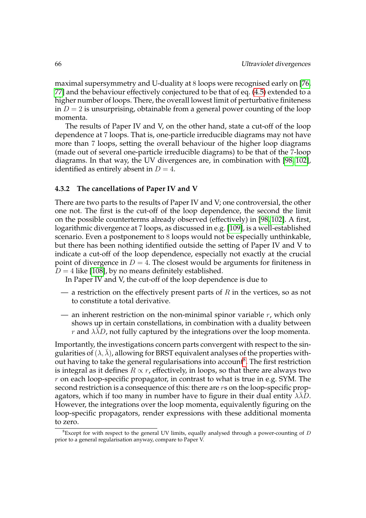maximal supersymmetry and U-duality at 8 loops were recognised early on [\[76,](#page-111-0) [77\]](#page-111-1) and the behaviour effectively conjectured to be that of eq. [\(4.5\)](#page-74-1) extended to a higher number of loops. There, the overall lowest limit of perturbative finiteness in  $D = 2$  is unsurprising, obtainable from a general power counting of the loop momenta.

The results of Paper IV and V, on the other hand, state a cut-off of the loop dependence at 7 loops. That is, one-particle irreducible diagrams may not have more than 7 loops, setting the overall behaviour of the higher loop diagrams (made out of several one-particle irreducible diagrams) to be that of the 7-loop diagrams. In that way, the UV divergences are, in combination with [\[98,](#page-112-0) [102\]](#page-112-1), identified as entirely absent in  $D = 4$ .

# **4.3.2 The cancellations of Paper IV and V**

There are two parts to the results of Paper IV and V; one controversial, the other one not. The first is the cut-off of the loop dependence, the second the limit on the possible counterterms already observed (effectively) in [\[98,](#page-112-0) [102\]](#page-112-1). A first, logarithmic divergence at 7 loops, as discussed in e.g. [\[109\]](#page-113-0), is a well-established scenario. Even a postponement to 8 loops would not be especially unthinkable, but there has been nothing identified outside the setting of Paper IV and V to indicate a cut-off of the loop dependence, especially not exactly at the crucial point of divergence in  $D = 4$ . The closest would be arguments for finiteness in  $D = 4$  like [\[108\]](#page-113-1), by no means definitely established.

In Paper IV and V, the cut-off of the loop dependence is due to

- a restriction on the effectively present parts of  $R$  in the vertices, so as not to constitute a total derivative.
- an inherent restriction on the non-minimal spinor variable  $r$ , which only shows up in certain constellations, in combination with a duality between r and  $\lambda \lambda D$ , not fully captured by the integrations over the loop momenta.

Importantly, the investigations concern parts convergent with respect to the singularities of  $(\lambda, \overline{\lambda})$ , allowing for BRST equivalent analyses of the properties with-out having to take the general regularisations into account<sup>[8](#page-77-0)</sup>. The first restriction is integral as it defines  $R \propto r$ , effectively, in loops, so that there are always two  $r$  on each loop-specific propagator, in contrast to what is true in e.g. SYM. The second restriction is a consequence of this: there are rs on the loop-specific propagators, which if too many in number have to figure in their dual entity  $\lambda \overline{\lambda}D$ . However, the integrations over the loop momenta, equivalently figuring on the loop-specific propagators, render expressions with these additional momenta to zero.

<span id="page-77-0"></span> ${}^{8}$ Except for with respect to the general UV limits, equally analysed through a power-counting of  $D$ prior to a general regularisation anyway, compare to Paper V.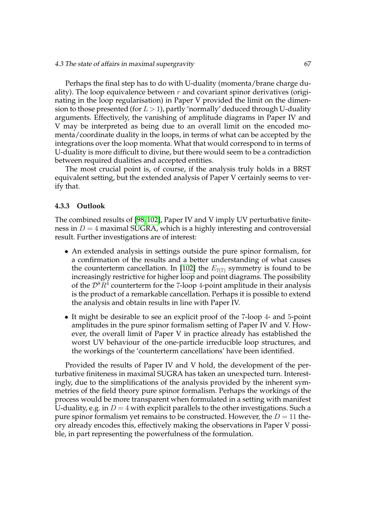Perhaps the final step has to do with U-duality (momenta/brane charge duality). The loop equivalence between  $r$  and covariant spinor derivatives (originating in the loop regularisation) in Paper V provided the limit on the dimension to those presented (for  $L > 1$ ), partly 'normally' deduced through U-duality arguments. Effectively, the vanishing of amplitude diagrams in Paper IV and V may be interpreted as being due to an overall limit on the encoded momenta/coordinate duality in the loops, in terms of what can be accepted by the integrations over the loop momenta. What that would correspond to in terms of U-duality is more difficult to divine, but there would seem to be a contradiction between required dualities and accepted entities.

The most crucial point is, of course, if the analysis truly holds in a BRST equivalent setting, but the extended analysis of Paper V certainly seems to verify that.

# **4.3.3 Outlook**

The combined results of [\[98,](#page-112-0) [102\]](#page-112-1), Paper IV and V imply UV perturbative finiteness in  $D = 4$  maximal SUGRA, which is a highly interesting and controversial result. Further investigations are of interest:

- An extended analysis in settings outside the pure spinor formalism, for a confirmation of the results and a better understanding of what causes the counterterm cancellation. In [\[102\]](#page-112-1) the  $E_{7(7)}$  symmetry is found to be increasingly restrictive for higher loop and point diagrams. The possibility of the  $\mathcal{D}^8R^4$  counterterm for the 7-loop 4-point amplitude in their analysis is the product of a remarkable cancellation. Perhaps it is possible to extend the analysis and obtain results in line with Paper IV.
- It might be desirable to see an explicit proof of the 7-loop 4- and 5-point amplitudes in the pure spinor formalism setting of Paper IV and V. However, the overall limit of Paper V in practice already has established the worst UV behaviour of the one-particle irreducible loop structures, and the workings of the 'counterterm cancellations' have been identified.

Provided the results of Paper IV and V hold, the development of the perturbative finiteness in maximal SUGRA has taken an unexpected turn. Interestingly, due to the simplifications of the analysis provided by the inherent symmetries of the field theory pure spinor formalism. Perhaps the workings of the process would be more transparent when formulated in a setting with manifest U-duality, e.g. in  $D = 4$  with explicit parallels to the other investigations. Such a pure spinor formalism yet remains to be constructed. However, the  $D = 11$  theory already encodes this, effectively making the observations in Paper V possible, in part representing the powerfulness of the formulation.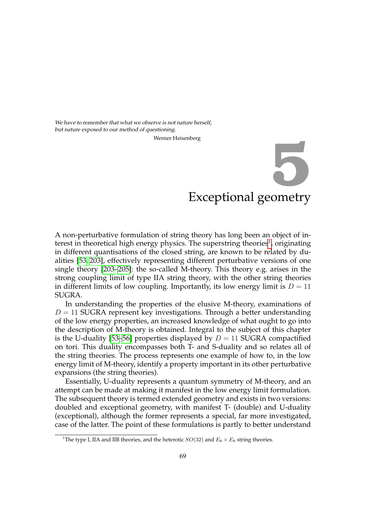<span id="page-80-1"></span>We have to remember that what we observe is not nature herself, but nature exposed to our method of questioning.

Werner Heisenberg

# Exceptional geometry **5**

A non-perturbative formulation of string theory has long been an object of in-terest in theoretical high energy physics. The superstring theories<sup>[1](#page-80-0)</sup>, originating in different quantisations of the closed string, are known to be related by dualities [\[53,](#page-109-0) [203\]](#page-118-0), effectively representing different perturbative versions of one single theory [\[203](#page-118-0)[–205\]](#page-119-0): the so-called M-theory. This theory e.g. arises in the strong coupling limit of type IIA string theory, with the other string theories in different limits of low coupling. Importantly, its low energy limit is  $D = 11$ SUGRA.

In understanding the properties of the elusive M-theory, examinations of  $D = 11$  SUGRA represent key investigations. Through a better understanding of the low energy properties, an increased knowledge of what ought to go into the description of M-theory is obtained. Integral to the subject of this chapter is the U-duality [\[53](#page-109-0)[–56\]](#page-109-1) properties displayed by  $D = 11$  SUGRA compactified on tori. This duality encompasses both T- and S-duality and so relates all of the string theories. The process represents one example of how to, in the low energy limit of M-theory, identify a property important in its other perturbative expansions (the string theories).

Essentially, U-duality represents a quantum symmetry of M-theory, and an attempt can be made at making it manifest in the low energy limit formulation. The subsequent theory is termed extended geometry and exists in two versions: doubled and exceptional geometry, with manifest T- (double) and U-duality (exceptional), although the former represents a special, far more investigated, case of the latter. The point of these formulations is partly to better understand

<span id="page-80-0"></span><sup>&</sup>lt;sup>1</sup>The type I, IIA and IIB theories, and the heterotic  $SO(32)$  and  $E_8 \times E_8$  string theories.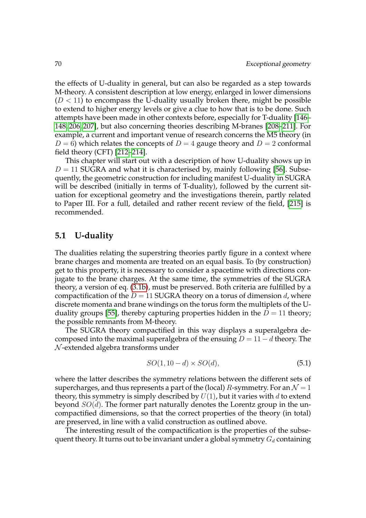the effects of U-duality in general, but can also be regarded as a step towards M-theory. A consistent description at low energy, enlarged in lower dimensions  $(D < 11)$  to encompass the U-duality usually broken there, might be possible to extend to higher energy levels or give a clue to how that is to be done. Such attempts have been made in other contexts before, especially for T-duality [\[146–](#page-115-0) [148,](#page-115-1) [206,](#page-119-1) [207\]](#page-119-2), but also concerning theories describing M-branes [\[208](#page-119-3)[–211\]](#page-119-4). For example, a current and important venue of research concerns the M5 theory (in  $D = 6$ ) which relates the concepts of  $D = 4$  gauge theory and  $D = 2$  conformal field theory (CFT) [\[212–](#page-119-5)[214\]](#page-119-6).

This chapter will start out with a description of how U-duality shows up in  $D = 11$  SUGRA and what it is characterised by, mainly following [\[56\]](#page-109-1). Subsequently, the geometric construction for including manifest U-duality in SUGRA will be described (initially in terms of T-duality), followed by the current situation for exceptional geometry and the investigations therein, partly related to Paper III. For a full, detailed and rather recent review of the field, [\[215\]](#page-119-7) is recommended.

# **5.1 U-duality**

The dualities relating the superstring theories partly figure in a context where brane charges and momenta are treated on an equal basis. To (by construction) get to this property, it is necessary to consider a spacetime with directions conjugate to the brane charges. At the same time, the symmetries of the SUGRA theory, a version of eq. [\(3.1b\)](#page-29-0), must be preserved. Both criteria are fulfilled by a compactification of the  $D = 11$  SUGRA theory on a torus of dimension d, where discrete momenta and brane windings on the torus form the multiplets of the U-duality groups [\[55\]](#page-109-2), thereby capturing properties hidden in the  $D = 11$  theory; the possible remnants from M-theory.

The SUGRA theory compactified in this way displays a superalgebra decomposed into the maximal superalgebra of the ensuing  $D = 11 - d$  theory. The  $N$ -extended algebra transforms under

$$
SO(1,10-d) \times SO(d),\tag{5.1}
$$

where the latter describes the symmetry relations between the different sets of supercharges, and thus represents a part of the (local) R-symmetry. For an  $\mathcal{N} = 1$ theory, this symmetry is simply described by  $U(1)$ , but it varies with d to extend beyond  $SO(d)$ . The former part naturally denotes the Lorentz group in the uncompactified dimensions, so that the correct properties of the theory (in total) are preserved, in line with a valid construction as outlined above.

The interesting result of the compactification is the properties of the subsequent theory. It turns out to be invariant under a global symmetry  $G_d$  containing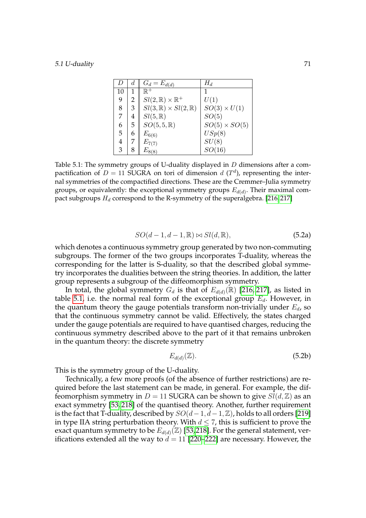<span id="page-82-0"></span>

| D  | d | $G_d = E_{d(d)}$                          | $H_d$                |
|----|---|-------------------------------------------|----------------------|
| 10 |   | $\mathbb{R}^+$                            |                      |
| 9  | 2 | $Sl(2,\mathbb{R})\times\mathbb{R}^+$      | U(1)                 |
| 8  | 3 | $Sl(3,\mathbb{R})\times Sl(2,\mathbb{R})$ | $SO(3) \times U(1)$  |
| 7  | 4 | $Sl(5,\mathbb{R})$                        | SO(5)                |
| 6  | 5 | $SO(5,5,\mathbb{R})$                      | $SO(5) \times SO(5)$ |
| 5  | 6 | $E_{6(6)}$                                | USp(8)               |
| 4  |   | $E_{7(7)}$                                | SU(8)                |
| 3  |   | $E_{8(8)}$                                | SO(16)               |

Table 5.1: The symmetry groups of U-duality displayed in  $D$  dimensions after a compactification of  $D = 11$  SUGRA on tori of dimension  $d(T^d)$ , representing the internal symmetries of the compactified directions. These are the Cremmer–Julia symmetry groups, or equivalently: the exceptional symmetry groups  $E_{d(d)}$ . Their maximal compact subgroups  $H_d$  correspond to the R-symmetry of the superalgebra. [\[216,](#page-119-8)217]

$$
SO(d-1, d-1, \mathbb{R}) \bowtie Sl(d, \mathbb{R}),\tag{5.2a}
$$

<span id="page-82-1"></span>which denotes a continuous symmetry group generated by two non-commuting subgroups. The former of the two groups incorporates T-duality, whereas the corresponding for the latter is S-duality, so that the described global symmetry incorporates the dualities between the string theories. In addition, the latter group represents a subgroup of the diffeomorphism symmetry.

In total, the global symmetry  $G_d$  is that of  $E_{d(d)}(\mathbb{R})$  [\[216,](#page-119-8) [217\]](#page-119-9), as listed in table [5.1,](#page-82-0) i.e. the normal real form of the exceptional group  $E_d$ . However, in the quantum theory the gauge potentials transform non-trivially under  $E_d$ , so that the continuous symmetry cannot be valid. Effectively, the states charged under the gauge potentials are required to have quantised charges, reducing the continuous symmetry described above to the part of it that remains unbroken in the quantum theory: the discrete symmetry

$$
E_{d(d)}(\mathbb{Z}).\tag{5.2b}
$$

This is the symmetry group of the U-duality.

Technically, a few more proofs (of the absence of further restrictions) are required before the last statement can be made, in general. For example, the diffeomorphism symmetry in  $D = 11$  SUGRA can be shown to give  $Sl(d, \mathbb{Z})$  as an exact symmetry [\[53,](#page-109-0) [218\]](#page-119-10) of the quantised theory. Another, further requirement is the fact that T-duality, described by  $SO(d-1, d-1, \mathbb{Z})$ , holds to all orders [\[219\]](#page-119-11) in type IIA string perturbation theory. With  $d \leq 7$ , this is sufficient to prove the exact quantum symmetry to be  $E_{d(d)}(\mathbb{Z})$  [\[53,](#page-109-0)[218\]](#page-119-10). For the general statement, verifications extended all the way to  $d = 11$  [\[220](#page-120-0)[–222\]](#page-120-1) are necessary. However, the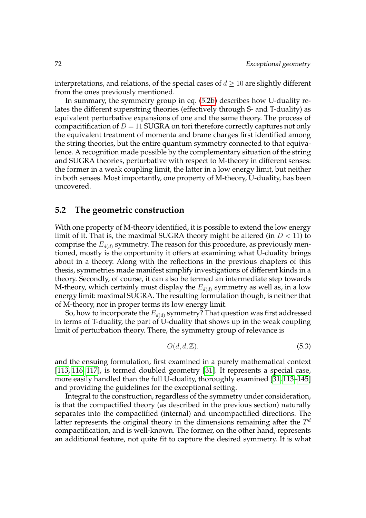interpretations, and relations, of the special cases of  $d \geq 10$  are slightly different from the ones previously mentioned.

In summary, the symmetry group in eq. [\(5.2b\)](#page-82-1) describes how U-duality relates the different superstring theories (effectively through S- and T-duality) as equivalent perturbative expansions of one and the same theory. The process of compacitification of  $D = 11$  SUGRA on tori therefore correctly captures not only the equivalent treatment of momenta and brane charges first identified among the string theories, but the entire quantum symmetry connected to that equivalence. A recognition made possible by the complementary situation of the string and SUGRA theories, perturbative with respect to M-theory in different senses: the former in a weak coupling limit, the latter in a low energy limit, but neither in both senses. Most importantly, one property of M-theory, U-duality, has been uncovered.

# **5.2 The geometric construction**

With one property of M-theory identified, it is possible to extend the low energy limit of it. That is, the maximal SUGRA theory might be altered (in  $D < 11$ ) to comprise the  $E_{d(d)}$  symmetry. The reason for this procedure, as previously mentioned, mostly is the opportunity it offers at examining what U-duality brings about in a theory. Along with the reflections in the previous chapters of this thesis, symmetries made manifest simplify investigations of different kinds in a theory. Secondly, of course, it can also be termed an intermediate step towards M-theory, which certainly must display the  $E_{d(d)}$  symmetry as well as, in a low energy limit: maximal SUGRA. The resulting formulation though, is neither that of M-theory, nor in proper terms its low energy limit.

So, how to incorporate the  $E_{d(d)}$  symmetry? That question was first addressed in terms of T-duality, the part of U-duality that shows up in the weak coupling limit of perturbation theory. There, the symmetry group of relevance is

$$
O(d, d, \mathbb{Z}).\tag{5.3}
$$

and the ensuing formulation, first examined in a purely mathematical context [\[113,](#page-113-2) [116,](#page-113-3) [117\]](#page-113-4), is termed doubled geometry [\[31\]](#page-108-0). It represents a special case, more easily handled than the full U-duality, thoroughly examined [\[31,](#page-108-0) [113](#page-113-2)[–145\]](#page-115-2) and providing the guidelines for the exceptional setting.

Integral to the construction, regardless of the symmetry under consideration, is that the compactified theory (as described in the previous section) naturally separates into the compactified (internal) and uncompactified directions. The latter represents the original theory in the dimensions remaining after the  $T^d$ compactification, and is well-known. The former, on the other hand, represents an additional feature, not quite fit to capture the desired symmetry. It is what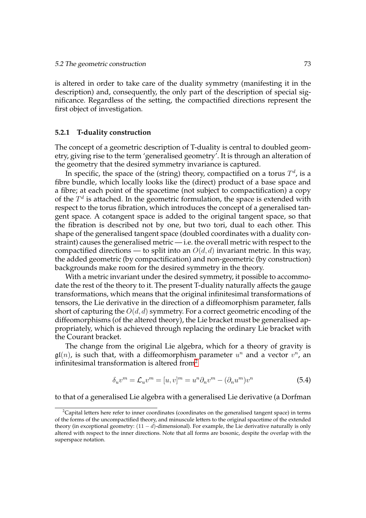is altered in order to take care of the duality symmetry (manifesting it in the description) and, consequently, the only part of the description of special significance. Regardless of the setting, the compactified directions represent the first object of investigation.

#### **5.2.1 T-duality construction**

The concept of a geometric description of T-duality is central to doubled geometry, giving rise to the term 'generalised geometry'. It is through an alteration of the geometry that the desired symmetry invariance is captured.

In specific, the space of the (string) theory, compactified on a torus  $T^d$ , is a fibre bundle, which locally looks like the (direct) product of a base space and a fibre; at each point of the spacetime (not subject to compactification) a copy of the  $T<sup>d</sup>$  is attached. In the geometric formulation, the space is extended with respect to the torus fibration, which introduces the concept of a generalised tangent space. A cotangent space is added to the original tangent space, so that the fibration is described not by one, but two tori, dual to each other. This shape of the generalised tangent space (doubled coordinates with a duality constraint) causes the generalised metric — i.e. the overall metric with respect to the compactified directions — to split into an  $O(d, d)$  invariant metric. In this way, the added geometric (by compactification) and non-geometric (by construction) backgrounds make room for the desired symmetry in the theory.

With a metric invariant under the desired symmetry, it possible to accommodate the rest of the theory to it. The present T-duality naturally affects the gauge transformations, which means that the original infinitesimal transformations of tensors, the Lie derivative in the direction of a diffeomorphism parameter, falls short of capturing the  $O(d, d)$  symmetry. For a correct geometric encoding of the diffeomorphisms (of the altered theory), the Lie bracket must be generalised appropriately, which is achieved through replacing the ordinary Lie bracket with the Courant bracket.

The change from the original Lie algebra, which for a theory of gravity is  $\mathfrak{gl}(n)$ , is such that, with a diffeomorphism parameter  $u^n$  and a vector  $v^n$ , an infinitesimal transformation is altered from $2$ 

$$
\delta_u v^m = \mathcal{L}_u v^m = [u, v]^m = u^n \partial_n v^m - (\partial_n u^m) v^n \tag{5.4}
$$

to that of a generalised Lie algebra with a generalised Lie derivative (a Dorfman

<span id="page-84-0"></span><sup>&</sup>lt;sup>2</sup>Capital letters here refer to inner coordinates (coordinates on the generalised tangent space) in terms of the forms of the uncompactified theory, and minuscule letters to the original spacetime of the extended theory (in exceptional geometry:  $(11 - d)$ -dimensional). For example, the Lie derivative naturally is only altered with respect to the inner directions. Note that all forms are bosonic, despite the overlap with the superspace notation.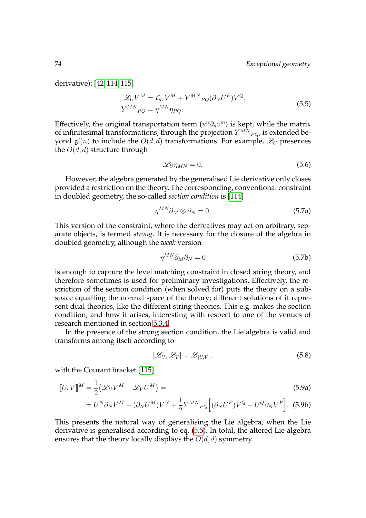derivative): [\[42,](#page-108-1) [114,](#page-113-5) [115\]](#page-113-6)

$$
\mathcal{L}_U V^M = \mathcal{L}_U V^M + Y^{MN}{}_{PQ} (\partial_N U^P) V^Q,
$$
  
\n
$$
Y^{MN}{}_{PQ} = \eta^{MN} \eta_{PQ}.
$$
\n(5.5)

Effectively, the original transportation term  $(u^n \partial_n v^m)$  is kept, while the matrix of infinitesimal transformations, through the projection  $Y^{MN}{}_{PQ}$ , is extended beyond  $\mathfrak{gl}(n)$  to include the  $O(d,d)$  transformations. For example,  $\mathscr{L}_U$  preserves the  $O(d, d)$  structure through

<span id="page-85-2"></span><span id="page-85-0"></span>
$$
\mathcal{L}_U \eta_{MN} = 0. \tag{5.6}
$$

However, the algebra generated by the generalised Lie derivative only closes provided a restriction on the theory. The corresponding, conventional constraint in doubled geometry, the so-called *section condition* is [\[114\]](#page-113-5)

$$
\eta^{MN}\partial_M \otimes \partial_N = 0. \tag{5.7a}
$$

This version of the constraint, where the derivatives may act on arbitrary, separate objects, is termed *strong*. It is necessary for the closure of the algebra in doubled geometry, although the *weak* version

$$
\eta^{MN}\partial_M\partial_N = 0\tag{5.7b}
$$

is enough to capture the level matching constraint in closed string theory, and therefore sometimes is used for preliminary investigations. Effectively, the restriction of the section condition (when solved for) puts the theory on a subspace equalling the normal space of the theory; different solutions of it represent dual theories, like the different string theories. This e.g. makes the section condition, and how it arises, interesting with respect to one of the venues of research mentioned in section [5.3.4.](#page-96-0)

In the presence of the strong section condition, the Lie algebra is valid and transforms among itself according to

<span id="page-85-1"></span>
$$
[\mathcal{L}_U, \mathcal{L}_V] = \mathcal{L}_{[[U,V]],}
$$
\n(5.8)

with the Courant bracket [\[115\]](#page-113-6)

$$
[U, V]^M = \frac{1}{2} (\mathcal{L}_U V^M - \mathcal{L}_V U^M) =
$$
\n
$$
= U^N \partial_N V^M - (\partial_N U^M) V^N + \frac{1}{2} Y^{MN}{}_{PQ} \Big[ (\partial_N U^P) V^Q - U^Q \partial_N V^P \Big].
$$
\n(5.9b)

This presents the natural way of generalising the Lie algebra, when the Lie derivative is generalised according to eq. [\(5.5\)](#page-85-0). In total, the altered Lie algebra ensures that the theory locally displays the  $O(d, d)$  symmetry.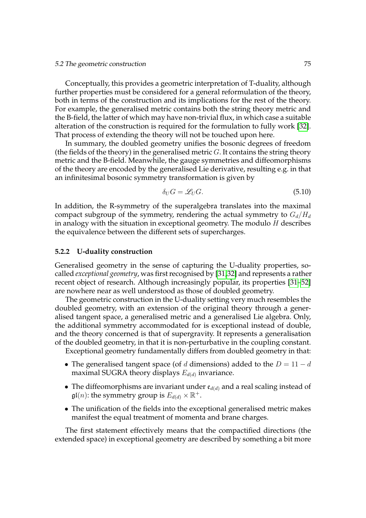Conceptually, this provides a geometric interpretation of T-duality, although further properties must be considered for a general reformulation of the theory, both in terms of the construction and its implications for the rest of the theory. For example, the generalised metric contains both the string theory metric and the B-field, the latter of which may have non-trivial flux, in which case a suitable alteration of the construction is required for the formulation to fully work [\[32\]](#page-108-2). That process of extending the theory will not be touched upon here.

In summary, the doubled geometry unifies the bosonic degrees of freedom (the fields of the theory) in the generalised metric  $G$ . It contains the string theory metric and the B-field. Meanwhile, the gauge symmetries and diffeomorphisms of the theory are encoded by the generalised Lie derivative, resulting e.g. in that an infinitesimal bosonic symmetry transformation is given by

<span id="page-86-0"></span>
$$
\delta_U G = \mathcal{L}_U G. \tag{5.10}
$$

In addition, the R-symmetry of the superalgebra translates into the maximal compact subgroup of the symmetry, rendering the actual symmetry to  $G_d/H_d$ in analogy with the situation in exceptional geometry. The modulo  $H$  describes the equivalence between the different sets of supercharges.

#### **5.2.2 U-duality construction**

Generalised geometry in the sense of capturing the U-duality properties, socalled *exceptional geometry*, was first recognised by [\[31,](#page-108-0)[32\]](#page-108-2) and represents a rather recent object of research. Although increasingly popular, its properties [\[31](#page-108-0)[–52\]](#page-109-3) are nowhere near as well understood as those of doubled geometry.

The geometric construction in the U-duality setting very much resembles the doubled geometry, with an extension of the original theory through a generalised tangent space, a generalised metric and a generalised Lie algebra. Only, the additional symmetry accommodated for is exceptional instead of double, and the theory concerned is that of supergravity. It represents a generalisation of the doubled geometry, in that it is non-perturbative in the coupling constant.

Exceptional geometry fundamentally differs from doubled geometry in that:

- The generalised tangent space (of d dimensions) added to the  $D = 11 d$ maximal SUGRA theory displays  $E_{d(d)}$  invariance.
- The diffeomorphisms are invariant under  $e_{d(d)}$  and a real scaling instead of  $\mathfrak{gl}(n)$ : the symmetry group is  $E_{d(d)}\times \mathbb{R}^+$ .
- The unification of the fields into the exceptional generalised metric makes manifest the equal treatment of momenta and brane charges.

The first statement effectively means that the compactified directions (the extended space) in exceptional geometry are described by something a bit more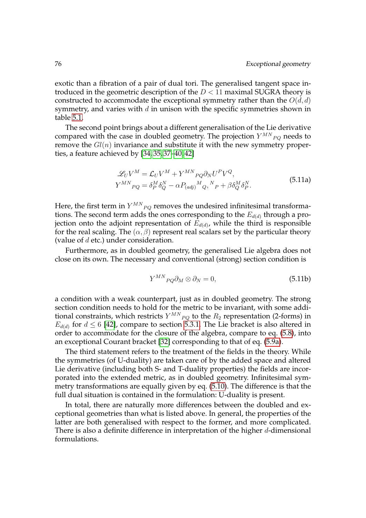exotic than a fibration of a pair of dual tori. The generalised tangent space introduced in the geometric description of the  $D < 11$  maximal SUGRA theory is constructed to accommodate the exceptional symmetry rather than the  $O(d, d)$ symmetry, and varies with  $d$  in unison with the specific symmetries shown in table [5.1.](#page-82-0)

The second point brings about a different generalisation of the Lie derivative compared with the case in doubled geometry. The projection  $Y^{MN}{}_{PQ}$  needs to remove the  $Gl(n)$  invariance and substitute it with the new symmetry properties, a feature achieved by [\[34,](#page-108-3) [35,](#page-108-4) [37–](#page-108-5)[40,](#page-108-6) [42\]](#page-108-1)

<span id="page-87-0"></span>
$$
\mathcal{L}_U V^M = \mathcal{L}_U V^M + Y^{MN}{}_{PQ} \partial_N U^P V^Q,
$$
  
\n
$$
Y^{MN}{}_{PQ} = \delta^M_P \delta^N_Q - \alpha P_{(adj)}{}^M{}_Q, {}^N{}_P + \beta \delta^M_Q \delta^N_P.
$$
\n(5.11a)

Here, the first term in  $Y^{MN}{}_{PQ}$  removes the undesired infinitesimal transformations. The second term adds the ones corresponding to the  $E_{d(d)}$  through a projection onto the adjoint representation of  $E_{d(d)}$ , while the third is responsible for the real scaling. The  $(\alpha, \beta)$  represent real scalars set by the particular theory (value of  $d$  etc.) under consideration.

Furthermore, as in doubled geometry, the generalised Lie algebra does not close on its own. The necessary and conventional (strong) section condition is

$$
Y^{MN}{}_{PQ}\partial_M \otimes \partial_N = 0,\tag{5.11b}
$$

a condition with a weak counterpart, just as in doubled geometry. The strong section condition needs to hold for the metric to be invariant, with some additional constraints, which restricts  $Y^{MN}{}_{PQ}$  to the  $R_2$  representation (2-forms) in  $E_{d(d)}$  for  $d \leq 6$  [\[42\]](#page-108-1), compare to section [5.3.1.](#page-90-0) The Lie bracket is also altered in order to accommodate for the closure of the algebra, compare to eq. [\(5.8\)](#page-85-1), into an exceptional Courant bracket [\[32\]](#page-108-2) corresponding to that of eq. [\(5.9a\)](#page-85-2).

The third statement refers to the treatment of the fields in the theory. While the symmetries (of U-duality) are taken care of by the added space and altered Lie derivative (including both S- and T-duality properties) the fields are incorporated into the extended metric, as in doubled geometry. Infinitesimal symmetry transformations are equally given by eq. [\(5.10\)](#page-86-0). The difference is that the full dual situation is contained in the formulation: U-duality is present.

In total, there are naturally more differences between the doubled and exceptional geometries than what is listed above. In general, the properties of the latter are both generalised with respect to the former, and more complicated. There is also a definite difference in interpretation of the higher  $d$ -dimensional formulations.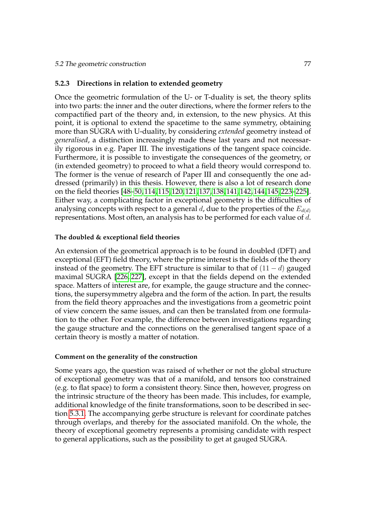# **5.2.3 Directions in relation to extended geometry**

Once the geometric formulation of the U- or T-duality is set, the theory splits into two parts: the inner and the outer directions, where the former refers to the compactified part of the theory and, in extension, to the new physics. At this point, it is optional to extend the spacetime to the same symmetry, obtaining more than SUGRA with U-duality, by considering *extended* geometry instead of *generalised*, a distinction increasingly made these last years and not necessarily rigorous in e.g. Paper III. The investigations of the tangent space coincide. Furthermore, it is possible to investigate the consequences of the geometry, or (in extended geometry) to proceed to what a field theory would correspond to. The former is the venue of research of Paper III and consequently the one addressed (primarily) in this thesis. However, there is also a lot of research done on the field theories [\[48–](#page-109-4)[50,](#page-109-5) [114,](#page-113-5) [115,](#page-113-6) [120,](#page-113-7) [121,](#page-114-0) [137,](#page-115-3) [138,](#page-115-4) [141,](#page-115-5) [142,](#page-115-6) [144,](#page-115-7) [145,](#page-115-2) [223](#page-120-2)[–225\]](#page-120-3). Either way, a complicating factor in exceptional geometry is the difficulties of analysing concepts with respect to a general  $d$ , due to the properties of the  $E_{d(d)}$ representations. Most often, an analysis has to be performed for each value of d.

# **The doubled & exceptional field theories**

An extension of the geometrical approach is to be found in doubled (DFT) and exceptional (EFT) field theory, where the prime interest is the fields of the theory instead of the geometry. The EFT structure is similar to that of  $(11 - d)$  gauged maximal SUGRA [\[226,](#page-120-4) [227\]](#page-120-5), except in that the fields depend on the extended space. Matters of interest are, for example, the gauge structure and the connections, the supersymmetry algebra and the form of the action. In part, the results from the field theory approaches and the investigations from a geometric point of view concern the same issues, and can then be translated from one formulation to the other. For example, the difference between investigations regarding the gauge structure and the connections on the generalised tangent space of a certain theory is mostly a matter of notation.

#### **Comment on the generality of the construction**

Some years ago, the question was raised of whether or not the global structure of exceptional geometry was that of a manifold, and tensors too constrained (e.g. to flat space) to form a consistent theory. Since then, however, progress on the intrinsic structure of the theory has been made. This includes, for example, additional knowledge of the finite transformations, soon to be described in section [5.3.1.](#page-90-0) The accompanying gerbe structure is relevant for coordinate patches through overlaps, and thereby for the associated manifold. On the whole, the theory of exceptional geometry represents a promising candidate with respect to general applications, such as the possibility to get at gauged SUGRA.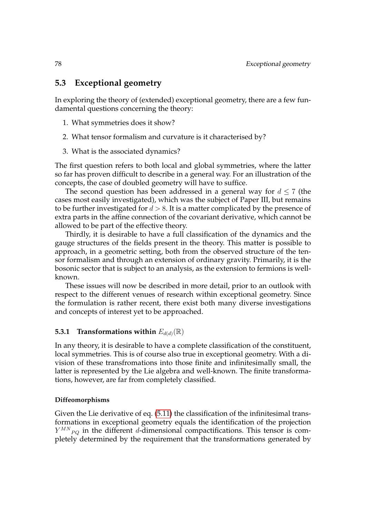# **5.3 Exceptional geometry**

In exploring the theory of (extended) exceptional geometry, there are a few fundamental questions concerning the theory:

- 1. What symmetries does it show?
- 2. What tensor formalism and curvature is it characterised by?
- 3. What is the associated dynamics?

The first question refers to both local and global symmetries, where the latter so far has proven difficult to describe in a general way. For an illustration of the concepts, the case of doubled geometry will have to suffice.

The second question has been addressed in a general way for  $d \leq 7$  (the cases most easily investigated), which was the subject of Paper III, but remains to be further investigated for  $d > 8$ . It is a matter complicated by the presence of extra parts in the affine connection of the covariant derivative, which cannot be allowed to be part of the effective theory.

Thirdly, it is desirable to have a full classification of the dynamics and the gauge structures of the fields present in the theory. This matter is possible to approach, in a geometric setting, both from the observed structure of the tensor formalism and through an extension of ordinary gravity. Primarily, it is the bosonic sector that is subject to an analysis, as the extension to fermions is wellknown.

These issues will now be described in more detail, prior to an outlook with respect to the different venues of research within exceptional geometry. Since the formulation is rather recent, there exist both many diverse investigations and concepts of interest yet to be approached.

# **5.3.1 Transformations within**  $E_{d(d)}(\mathbb{R})$

In any theory, it is desirable to have a complete classification of the constituent, local symmetries. This is of course also true in exceptional geometry. With a division of these transfromations into those finite and infinitesimally small, the latter is represented by the Lie algebra and well-known. The finite transformations, however, are far from completely classified.

# **Diffeomorphisms**

Given the Lie derivative of eq. [\(5.11\)](#page-87-0) the classification of the infinitesimal transformations in exceptional geometry equals the identification of the projection  $Y^{MN}{}_{PQ}$  in the different d-dimensional compactifications. This tensor is completely determined by the requirement that the transformations generated by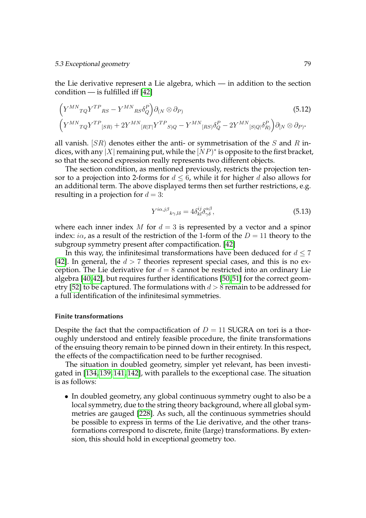### 5.3 Exceptional geometry 79

the Lie derivative represent a Lie algebra, which — in addition to the section condition — is fulfilled iff [\[42\]](#page-108-1)

$$
\left(Y^{MN}{}_{TQ}Y^{TP}{}_{RS} - Y^{MN}{}_{RS}\delta^P_Q\right)\partial_{(N}\otimes\partial_P)\n\left(Y^{MN}{}_{TQ}Y^{TP}{}_{[SR)} + 2Y^{MN}{}_{[R|T|}Y^{TP}{}_{S)Q} - Y^{MN}{}_{[RS]}\delta^P_Q - 2Y^{MN}{}_{[S|Q]}\delta^P_R\right)\partial_{[N}\otimes\partial_P.
$$
\n(5.12)

all vanish.  $[SR]$  denotes either the anti- or symmetrisation of the S and R indices, with any |X| remaining put, while the  $[NP)^*$  is opposite to the first bracket, so that the second expression really represents two different objects.

The section condition, as mentioned previously, restricts the projection tensor to a projection into 2-forms for  $d \leq 6$ , while it for higher d also allows for an additional term. The above displayed terms then set further restrictions, e.g. resulting in a projection for  $d = 3$ :

$$
Y^{i\alpha,j\beta}{}_{k\gamma,l\delta} = 4\delta^{ij}_{kl}\delta^{\alpha\beta}_{\gamma\delta},\tag{5.13}
$$

where each inner index M for  $d = 3$  is represented by a vector and a spinor index: *i* $\alpha$ , as a result of the restriction of the 1-form of the  $D = 11$  theory to the subgroup symmetry present after compactification. [\[42\]](#page-108-1)

In this way, the infinitesimal transformations have been deduced for  $d \le 7$ [\[42\]](#page-108-1). In general, the  $d > 7$  theories represent special cases, and this is no exception. The Lie derivative for  $d = 8$  cannot be restricted into an ordinary Lie algebra [\[40,](#page-108-6) [42\]](#page-108-1), but requires further identifications [\[50,](#page-109-5) [51\]](#page-109-6) for the correct geom-etry [\[52\]](#page-109-3) to be captured. The formulations with  $d > 8$  remain to be addressed for a full identification of the infinitesimal symmetries.

#### <span id="page-90-0"></span>**Finite transformations**

Despite the fact that the compactification of  $D = 11$  SUGRA on tori is a thoroughly understood and entirely feasible procedure, the finite transformations of the ensuing theory remain to be pinned down in their entirety. In this respect, the effects of the compactification need to be further recognised.

The situation in doubled geometry, simpler yet relevant, has been investigated in [\[134,](#page-114-1) [139,](#page-115-8) [141,](#page-115-5) [142\]](#page-115-6), with parallels to the exceptional case. The situation is as follows:

• In doubled geometry, any global continuous symmetry ought to also be a local symmetry, due to the string theory background, where all global symmetries are gauged [\[228\]](#page-120-6). As such, all the continuous symmetries should be possible to express in terms of the Lie derivative, and the other transformations correspond to discrete, finite (large) transformations. By extension, this should hold in exceptional geometry too.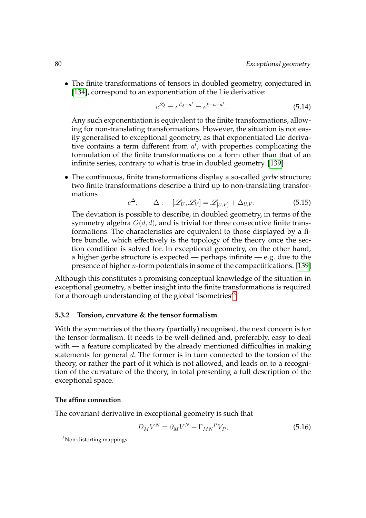• The finite transformations of tensors in doubled geometry, conjectured in [\[134\]](#page-114-1), correspond to an exponentiation of the Lie derivative:

$$
e^{\mathcal{L}_{\xi}} = e^{\mathcal{L}_{\xi} - a^t} = e^{\xi + a - a^t}.
$$
\n(5.14)

Any such exponentiation is equivalent to the finite transformations, allowing for non-translating transformations. However, the situation is not easily generalised to exceptional geometry, as that exponentiated Lie derivative contains a term different from  $a<sup>t</sup>$ , with properties complicating the formulation of the finite transformations on a form other than that of an infinite series, contrary to what is true in doubled geometry. [\[139\]](#page-115-8)

• The continuous, finite transformations display a so-called *gerbe* structure; two finite transformations describe a third up to non-translating transformations

$$
e^{\Delta}, \qquad \Delta: \quad [\mathcal{L}_U, \mathcal{L}_V] = \mathcal{L}_{[U,V]} + \Delta_{U,V}.
$$

The deviation is possible to describe, in doubled geometry, in terms of the symmetry algebra  $O(d, d)$ , and is trivial for three consecutive finite transformations. The characteristics are equivalent to those displayed by a fibre bundle, which effectively is the topology of the theory once the section condition is solved for. In exceptional geometry, on the other hand, a higher gerbe structure is expected — perhaps infinite — e.g. due to the presence of higher n-form potentials in some of the compactifications. [\[139\]](#page-115-8)

Although this constitutes a promising conceptual knowledge of the situation in exceptional geometry, a better insight into the finite transformations is required for a thorough understanding of the global 'isometries'[3](#page-91-0) .

# **5.3.2 Torsion, curvature & the tensor formalism**

With the symmetries of the theory (partially) recognised, the next concern is for the tensor formalism. It needs to be well-defined and, preferably, easy to deal with — a feature complicated by the already mentioned difficulties in making statements for general d. The former is in turn connected to the torsion of the theory, or rather the part of it which is not allowed, and leads on to a recognition of the curvature of the theory, in total presenting a full description of the exceptional space.

# **The affine connection**

The covariant derivative in exceptional geometry is such that

$$
D_M V^N = \partial_M V^N + \Gamma_{MN}{}^P V_P,\tag{5.16}
$$

<span id="page-91-0"></span><sup>3</sup>Non-distorting mappings.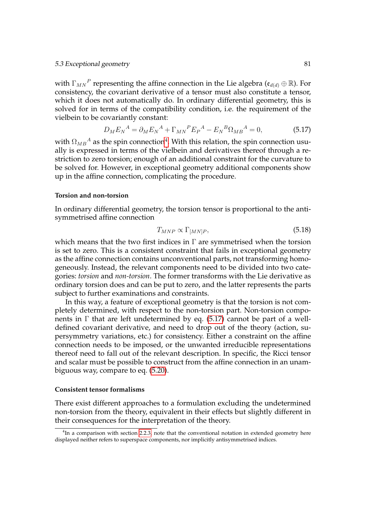### 5.3 Exceptional geometry 81

with  $\Gamma_{MN}{}^P$  representing the affine connection in the Lie algebra ( $\mathfrak{e}_{d(d)} \oplus \mathbb{R}$ ). For consistency, the covariant derivative of a tensor must also constitute a tensor, which it does not automatically do. In ordinary differential geometry, this is solved for in terms of the compatibility condition, i.e. the requirement of the vielbein to be covariantly constant:

<span id="page-92-1"></span>
$$
D_M E_N{}^A = \partial_M E_N{}^A + \Gamma_{MN}{}^P E_P{}^A - E_N{}^B \Omega_{MB}{}^A = 0,\tag{5.17}
$$

with  $\Omega_{MB}{}^A$  as the spin connection $^4$  $^4$ . With this relation, the spin connection usually is expressed in terms of the vielbein and derivatives thereof through a restriction to zero torsion; enough of an additional constraint for the curvature to be solved for. However, in exceptional geometry additional components show up in the affine connection, complicating the procedure.

#### **Torsion and non-torsion**

In ordinary differential geometry, the torsion tensor is proportional to the antisymmetrised affine connection

$$
T_{MNP} \propto \Gamma_{[MN]P},\tag{5.18}
$$

which means that the two first indices in  $\Gamma$  are symmetrised when the torsion is set to zero. This is a consistent constraint that fails in exceptional geometry as the affine connection contains unconventional parts, not transforming homogeneously. Instead, the relevant components need to be divided into two categories: *torsion* and *non-torsion*. The former transforms with the Lie derivative as ordinary torsion does and can be put to zero, and the latter represents the parts subject to further examinations and constraints.

In this way, a feature of exceptional geometry is that the torsion is not completely determined, with respect to the non-torsion part. Non-torsion components in  $\Gamma$  that are left undetermined by eq. [\(5.17\)](#page-92-1) cannot be part of a welldefined covariant derivative, and need to drop out of the theory (action, supersymmetry variations, etc.) for consistency. Either a constraint on the affine connection needs to be imposed, or the unwanted irreducible representations thereof need to fall out of the relevant description. In specific, the Ricci tensor and scalar must be possible to construct from the affine connection in an unambiguous way, compare to eq. [\(5.20\)](#page-94-0).

#### <span id="page-92-2"></span>**Consistent tensor formalisms**

There exist different approaches to a formulation excluding the undetermined non-torsion from the theory, equivalent in their effects but slightly different in their consequences for the interpretation of the theory.

<span id="page-92-0"></span> $<sup>4</sup>$ In a comparison with section [2.2.3,](#page-24-0) note that the conventional notation in extended geometry here</sup> displayed neither refers to superspace components, nor implicitly antisymmetrised indices.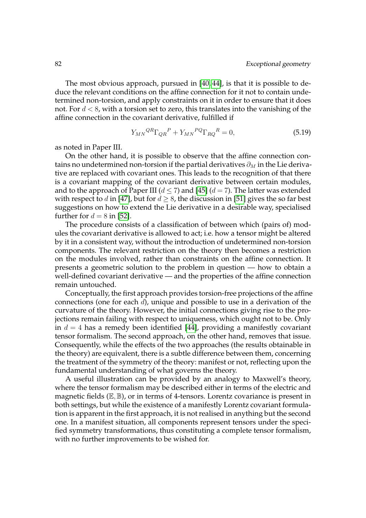The most obvious approach, pursued in [\[40,](#page-108-6) [44\]](#page-109-7), is that it is possible to deduce the relevant conditions on the affine connection for it not to contain undetermined non-torsion, and apply constraints on it in order to ensure that it does not. For  $d < 8$ , with a torsion set to zero, this translates into the vanishing of the affine connection in the covariant derivative, fulfilled if

$$
Y_{MN}^{QR}\Gamma_{QR}^{P} + Y_{MN}^{PQ}\Gamma_{RQ}^{R} = 0,
$$
\n
$$
(5.19)
$$

as noted in Paper III.

On the other hand, it is possible to observe that the affine connection contains no undetermined non-torsion if the partial derivatives  $\partial_M$  in the Lie derivative are replaced with covariant ones. This leads to the recognition of that there is a covariant mapping of the covariant derivative between certain modules, and to the approach of Paper III ( $d \le 7$ ) and [\[45\]](#page-109-8) ( $d = 7$ ). The latter was extended with respect to d in [\[47\]](#page-109-9), but for  $d > 8$ , the discussion in [\[51\]](#page-109-6) gives the so far best suggestions on how to extend the Lie derivative in a desirable way, specialised further for  $d = 8$  in [\[52\]](#page-109-3).

The procedure consists of a classification of between which (pairs of) modules the covariant derivative is allowed to act; i.e. how a tensor might be altered by it in a consistent way, without the introduction of undetermined non-torsion components. The relevant restriction on the theory then becomes a restriction on the modules involved, rather than constraints on the affine connection. It presents a geometric solution to the problem in question — how to obtain a well-defined covariant derivative — and the properties of the affine connection remain untouched.

Conceptually, the first approach provides torsion-free projections of the affine connections (one for each d), unique and possible to use in a derivation of the curvature of the theory. However, the initial connections giving rise to the projections remain failing with respect to uniqueness, which ought not to be. Only in  $d = 4$  has a remedy been identified [\[44\]](#page-109-7), providing a manifestly covariant tensor formalism. The second approach, on the other hand, removes that issue. Consequently, while the effects of the two approaches (the results obtainable in the theory) are equivalent, there is a subtle difference between them, concerning the treatment of the symmetry of the theory: manifest or not, reflecting upon the fundamental understanding of what governs the theory.

A useful illustration can be provided by an analogy to Maxwell's theory, where the tensor formalism may be described either in terms of the electric and magnetic fields  $(\mathbb{E}, \mathbb{B})$ , or in terms of 4-tensors. Lorentz covariance is present in both settings, but while the existence of a manifestly Lorentz covariant formulation is apparent in the first approach, it is not realised in anything but the second one. In a manifest situation, all components represent tensors under the specified symmetry transformations, thus constituting a complete tensor formalism, with no further improvements to be wished for.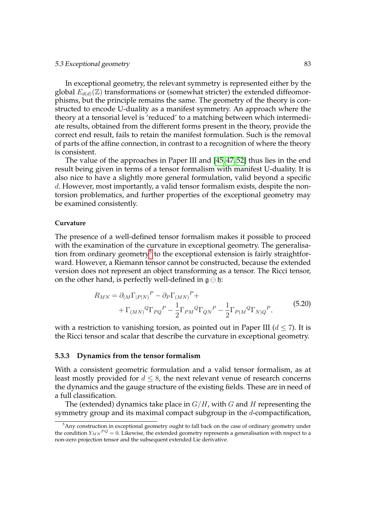In exceptional geometry, the relevant symmetry is represented either by the global  $E_{d(d)}(\mathbb{Z})$  transformations or (somewhat stricter) the extended diffeomorphisms, but the principle remains the same. The geometry of the theory is constructed to encode U-duality as a manifest symmetry. An approach where the theory at a tensorial level is 'reduced' to a matching between which intermediate results, obtained from the different forms present in the theory, provide the correct end result, fails to retain the manifest formulation. Such is the removal of parts of the affine connection, in contrast to a recognition of where the theory is consistent.

The value of the approaches in Paper III and [\[45,](#page-109-8) [47,](#page-109-9) [52\]](#page-109-3) thus lies in the end result being given in terms of a tensor formalism with manifest U-duality. It is also nice to have a slightly more general formulation, valid beyond a specific d. However, most importantly, a valid tensor formalism exists, despite the nontorsion problematics, and further properties of the exceptional geometry may be examined consistently.

### **Curvature**

The presence of a well-defined tensor formalism makes it possible to proceed with the examination of the curvature in exceptional geometry. The generalisa-tion from ordinary geometry<sup>[5](#page-94-1)</sup> to the exceptional extension is fairly straightforward. However, a Riemann tensor cannot be constructed, because the extended version does not represent an object transforming as a tensor. The Ricci tensor, on the other hand, is perfectly well-defined in  $\mathfrak{g} \ominus \mathfrak{h}$ :

<span id="page-94-0"></span>
$$
R_{MN} = \partial_{(M}\Gamma_{|P|N)}^P - \partial_P\Gamma_{(MN)}^P +
$$
  
+ 
$$
\Gamma_{(MN)}^Q\Gamma_{PQ}^P - \frac{1}{2}\Gamma_{PM}^Q\Gamma_{QN}^P - \frac{1}{2}\Gamma_{P(M)}^Q\Gamma_{N)Q}^P,
$$
 (5.20)

with a restriction to vanishing torsion, as pointed out in Paper III ( $d \leq 7$ ). It is the Ricci tensor and scalar that describe the curvature in exceptional geometry.

# **5.3.3 Dynamics from the tensor formalism**

With a consistent geometric formulation and a valid tensor formalism, as at least mostly provided for  $d \leq 8$ , the next relevant venue of research concerns the dynamics and the gauge structure of the existing fields. These are in need of a full classification.

The (extended) dynamics take place in  $G/H$ , with  $G$  and  $H$  representing the symmetry group and its maximal compact subgroup in the d-compactification,

<span id="page-94-1"></span><sup>&</sup>lt;sup>5</sup>Any construction in exceptional geometry ought to fall back on the case of ordinary geometry under the condition  $Y_{MN}{}^{PQ} = 0$ . Likewise, the extended geometry represents a generalisation with respect to a non-zero projection tensor and the subsequent extended Lie derivative.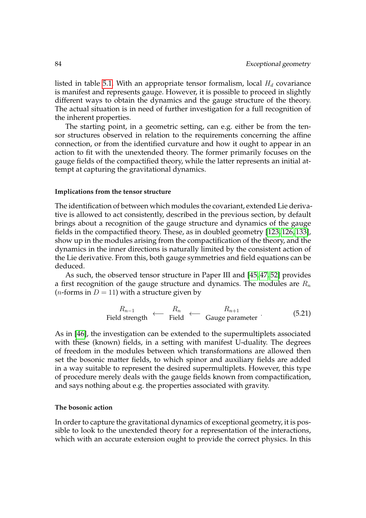listed in table [5.1.](#page-82-0) With an appropriate tensor formalism, local  $H_d$  covariance is manifest and represents gauge. However, it is possible to proceed in slightly different ways to obtain the dynamics and the gauge structure of the theory. The actual situation is in need of further investigation for a full recognition of the inherent properties.

The starting point, in a geometric setting, can e.g. either be from the tensor structures observed in relation to the requirements concerning the affine connection, or from the identified curvature and how it ought to appear in an action to fit with the unextended theory. The former primarily focuses on the gauge fields of the compactified theory, while the latter represents an initial attempt at capturing the gravitational dynamics.

#### **Implications from the tensor structure**

The identification of between which modules the covariant, extended Lie derivative is allowed to act consistently, described in the previous section, by default brings about a recognition of the gauge structure and dynamics of the gauge fields in the compactified theory. These, as in doubled geometry [\[123,](#page-114-2) [126,](#page-114-3) [133\]](#page-114-4), show up in the modules arising from the compactification of the theory, and the dynamics in the inner directions is naturally limited by the consistent action of the Lie derivative. From this, both gauge symmetries and field equations can be deduced.

As such, the observed tensor structure in Paper III and [\[45,](#page-109-8) [47,](#page-109-9) [52\]](#page-109-3) provides a first recognition of the gauge structure and dynamics. The modules are  $R_n$ (*n*-forms in  $D = 11$ ) with a structure given by

$$
R_{n-1}
$$
  $\leftarrow$   $R_n$   $\leftarrow$   $R_{n+1}$    
Field strength  $\leftarrow$  Guide parameter (5.21)

As in [\[46\]](#page-109-10), the investigation can be extended to the supermultiplets associated with these (known) fields, in a setting with manifest U-duality. The degrees of freedom in the modules between which transformations are allowed then set the bosonic matter fields, to which spinor and auxiliary fields are added in a way suitable to represent the desired supermultiplets. However, this type of procedure merely deals with the gauge fields known from compactification, and says nothing about e.g. the properties associated with gravity.

# **The bosonic action**

In order to capture the gravitational dynamics of exceptional geometry, it is possible to look to the unextended theory for a representation of the interactions, which with an accurate extension ought to provide the correct physics. In this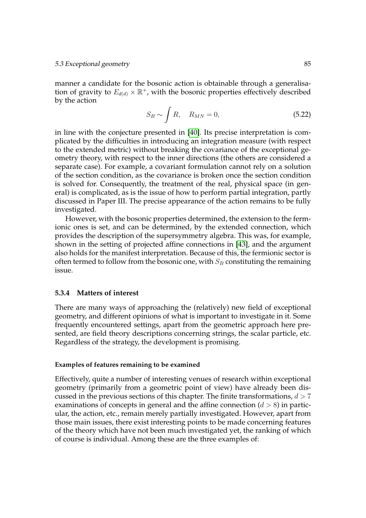manner a candidate for the bosonic action is obtainable through a generalisation of gravity to  $E_{d(d)} \times \mathbb{R}^+$ , with the bosonic properties effectively described by the action

$$
S_B \sim \int R, \quad R_{MN} = 0,\tag{5.22}
$$

in line with the conjecture presented in [\[40\]](#page-108-6). Its precise interpretation is complicated by the difficulties in introducing an integration measure (with respect to the extended metric) without breaking the covariance of the exceptional geometry theory, with respect to the inner directions (the others are considered a separate case). For example, a covariant formulation cannot rely on a solution of the section condition, as the covariance is broken once the section condition is solved for. Consequently, the treatment of the real, physical space (in general) is complicated, as is the issue of how to perform partial integration, partly discussed in Paper III. The precise appearance of the action remains to be fully investigated.

However, with the bosonic properties determined, the extension to the fermionic ones is set, and can be determined, by the extended connection, which provides the description of the supersymmetry algebra. This was, for example, shown in the setting of projected affine connections in [\[43\]](#page-109-11), and the argument also holds for the manifest interpretation. Because of this, the fermionic sector is often termed to follow from the bosonic one, with  $S_B$  constituting the remaining issue.

# <span id="page-96-0"></span>**5.3.4 Matters of interest**

There are many ways of approaching the (relatively) new field of exceptional geometry, and different opinions of what is important to investigate in it. Some frequently encountered settings, apart from the geometric approach here presented, are field theory descriptions concerning strings, the scalar particle, etc. Regardless of the strategy, the development is promising.

#### **Examples of features remaining to be examined**

Effectively, quite a number of interesting venues of research within exceptional geometry (primarily from a geometric point of view) have already been discussed in the previous sections of this chapter. The finite transformations,  $d > 7$ examinations of concepts in general and the affine connection  $(d > 8)$  in particular, the action, etc., remain merely partially investigated. However, apart from those main issues, there exist interesting points to be made concerning features of the theory which have not been much investigated yet, the ranking of which of course is individual. Among these are the three examples of: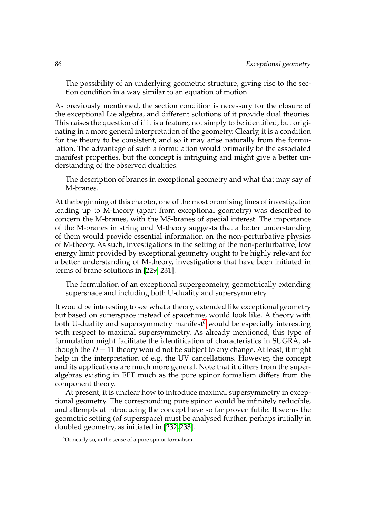— The possibility of an underlying geometric structure, giving rise to the section condition in a way similar to an equation of motion.

As previously mentioned, the section condition is necessary for the closure of the exceptional Lie algebra, and different solutions of it provide dual theories. This raises the question of if it is a feature, not simply to be identified, but originating in a more general interpretation of the geometry. Clearly, it is a condition for the theory to be consistent, and so it may arise naturally from the formulation. The advantage of such a formulation would primarily be the associated manifest properties, but the concept is intriguing and might give a better understanding of the observed dualities.

— The description of branes in exceptional geometry and what that may say of M-branes.

At the beginning of this chapter, one of the most promising lines of investigation leading up to M-theory (apart from exceptional geometry) was described to concern the M-branes, with the M5-branes of special interest. The importance of the M-branes in string and M-theory suggests that a better understanding of them would provide essential information on the non-perturbative physics of M-theory. As such, investigations in the setting of the non-perturbative, low energy limit provided by exceptional geometry ought to be highly relevant for a better understanding of M-theory, investigations that have been initiated in terms of brane solutions in [\[229](#page-120-7)[–231\]](#page-120-8).

— The formulation of an exceptional supergeometry, geometrically extending superspace and including both U-duality and supersymmetry.

It would be interesting to see what a theory, extended like exceptional geometry but based on superspace instead of spacetime, would look like. A theory with both U-duality and supersymmetry manifest $6$  would be especially interesting with respect to maximal supersymmetry. As already mentioned, this type of formulation might facilitate the identification of characteristics in SUGRA, although the  $D = 11$  theory would not be subject to any change. At least, it might help in the interpretation of e.g. the UV cancellations. However, the concept and its applications are much more general. Note that it differs from the superalgebras existing in EFT much as the pure spinor formalism differs from the component theory.

At present, it is unclear how to introduce maximal supersymmetry in exceptional geometry. The corresponding pure spinor would be infinitely reducible, and attempts at introducing the concept have so far proven futile. It seems the geometric setting (of superspace) must be analysed further, perhaps initially in doubled geometry, as initiated in [\[232,](#page-120-9) [233\]](#page-120-10).

<span id="page-97-0"></span> $6$ Or nearly so, in the sense of a pure spinor formalism.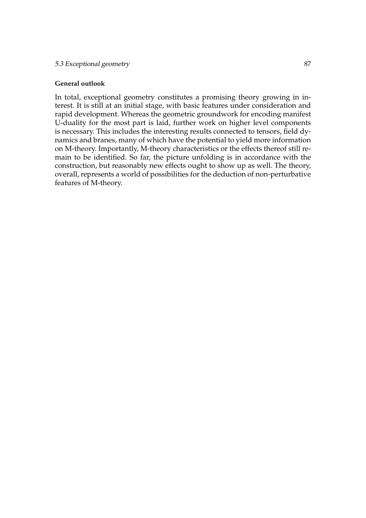# **General outlook**

In total, exceptional geometry constitutes a promising theory growing in interest. It is still at an initial stage, with basic features under consideration and rapid development. Whereas the geometric groundwork for encoding manifest U-duality for the most part is laid, further work on higher level components is necessary. This includes the interesting results connected to tensors, field dynamics and branes, many of which have the potential to yield more information on M-theory. Importantly, M-theory characteristics or the effects thereof still remain to be identified. So far, the picture unfolding is in accordance with the construction, but reasonably new effects ought to show up as well. The theory, overall, represents a world of possibilities for the deduction of non-perturbative features of M-theory.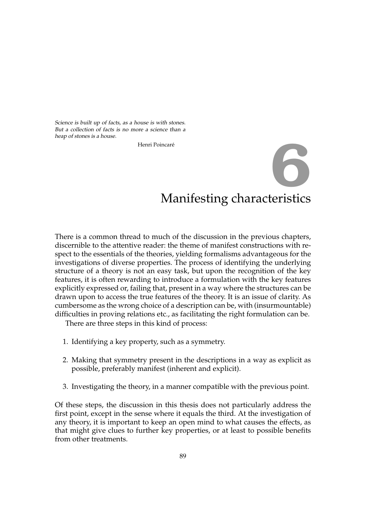Science is built up of facts, as a house is with stones. But a collection of facts is no more a science than a heap of stones is a house.

Henri Poincaré

# Manifesting characteristics **6**

There is a common thread to much of the discussion in the previous chapters, discernible to the attentive reader: the theme of manifest constructions with respect to the essentials of the theories, yielding formalisms advantageous for the investigations of diverse properties. The process of identifying the underlying structure of a theory is not an easy task, but upon the recognition of the key features, it is often rewarding to introduce a formulation with the key features explicitly expressed or, failing that, present in a way where the structures can be drawn upon to access the true features of the theory. It is an issue of clarity. As cumbersome as the wrong choice of a description can be, with (insurmountable) difficulties in proving relations etc., as facilitating the right formulation can be.

There are three steps in this kind of process:

- 1. Identifying a key property, such as a symmetry.
- 2. Making that symmetry present in the descriptions in a way as explicit as possible, preferably manifest (inherent and explicit).
- 3. Investigating the theory, in a manner compatible with the previous point.

Of these steps, the discussion in this thesis does not particularly address the first point, except in the sense where it equals the third. At the investigation of any theory, it is important to keep an open mind to what causes the effects, as that might give clues to further key properties, or at least to possible benefits from other treatments.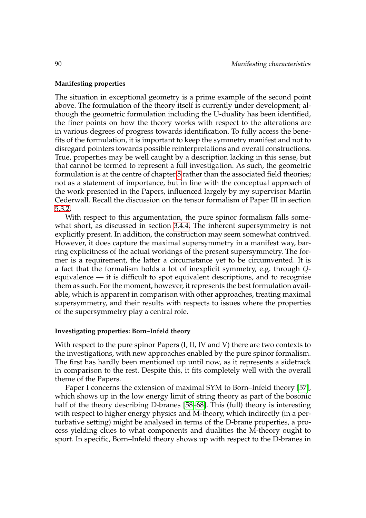# **Manifesting properties**

The situation in exceptional geometry is a prime example of the second point above. The formulation of the theory itself is currently under development; although the geometric formulation including the U-duality has been identified, the finer points on how the theory works with respect to the alterations are in various degrees of progress towards identification. To fully access the benefits of the formulation, it is important to keep the symmetry manifest and not to disregard pointers towards possible reinterpretations and overall constructions. True, properties may be well caught by a description lacking in this sense, but that cannot be termed to represent a full investigation. As such, the geometric formulation is at the centre of chapter [5](#page-80-1) rather than the associated field theories; not as a statement of importance, but in line with the conceptual approach of the work presented in the Papers, influenced largely by my supervisor Martin Cederwall. Recall the discussion on the tensor formalism of Paper III in section [5.3.2.](#page-92-2)

With respect to this argumentation, the pure spinor formalism falls somewhat short, as discussed in section [3.4.4.](#page-48-0) The inherent supersymmetry is not explicitly present. In addition, the construction may seem somewhat contrived. However, it does capture the maximal supersymmetry in a manifest way, barring explicitness of the actual workings of the present supersymmetry. The former is a requirement, the latter a circumstance yet to be circumvented. It is a fact that the formalism holds a lot of inexplicit symmetry, e.g. through Qequivalence — it is difficult to spot equivalent descriptions, and to recognise them as such. For the moment, however, it represents the best formulation available, which is apparent in comparison with other approaches, treating maximal supersymmetry, and their results with respects to issues where the properties of the supersymmetry play a central role.

# **Investigating properties: Born–Infeld theory**

With respect to the pure spinor Papers (I, II, IV and V) there are two contexts to the investigations, with new approaches enabled by the pure spinor formalism. The first has hardly been mentioned up until now, as it represents a sidetrack in comparison to the rest. Despite this, it fits completely well with the overall theme of the Papers.

Paper I concerns the extension of maximal SYM to Born–Infeld theory [\[57\]](#page-109-12), which shows up in the low energy limit of string theory as part of the bosonic half of the theory describing D-branes [\[58–](#page-109-13)[68\]](#page-110-1). This (full) theory is interesting with respect to higher energy physics and M-theory, which indirectly (in a perturbative setting) might be analysed in terms of the D-brane properties, a process yielding clues to what components and dualities the M-theory ought to sport. In specific, Born–Infeld theory shows up with respect to the D-branes in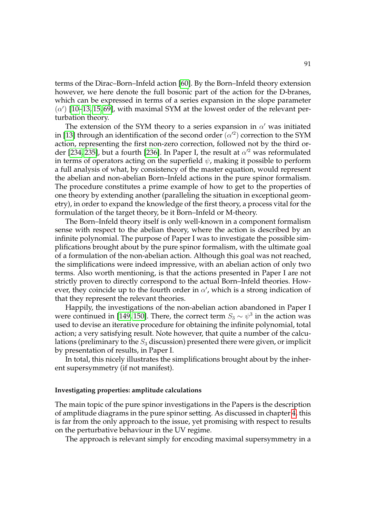terms of the Dirac–Born–Infeld action [\[60\]](#page-110-2). By the Born–Infeld theory extension however, we here denote the full bosonic part of the action for the D-branes, which can be expressed in terms of a series expansion in the slope parameter  $(\alpha)$  [\[10](#page-106-0)[–13,](#page-106-1) [15,](#page-107-0) [69\]](#page-110-3), with maximal SYM at the lowest order of the relevant perturbation theory.

The extension of the SYM theory to a series expansion in  $\alpha'$  was initiated in [\[13\]](#page-106-1) through an identification of the second order  $(\alpha'^2)$  correction to the SYM action, representing the first non-zero correction, followed not by the third or-der [\[234,](#page-120-11) [235\]](#page-120-12), but a fourth [\[236\]](#page-121-0). In Paper I, the result at  $\alpha'^2$  was reformulated in terms of operators acting on the superfield  $\psi$ , making it possible to perform a full analysis of what, by consistency of the master equation, would represent the abelian and non-abelian Born–Infeld actions in the pure spinor formalism. The procedure constitutes a prime example of how to get to the properties of one theory by extending another (paralleling the situation in exceptional geometry), in order to expand the knowledge of the first theory, a process vital for the formulation of the target theory, be it Born–Infeld or M-theory.

The Born–Infeld theory itself is only well-known in a component formalism sense with respect to the abelian theory, where the action is described by an infinite polynomial. The purpose of Paper I was to investigate the possible simplifications brought about by the pure spinor formalism, with the ultimate goal of a formulation of the non-abelian action. Although this goal was not reached, the simplifications were indeed impressive, with an abelian action of only two terms. Also worth mentioning, is that the actions presented in Paper I are not strictly proven to directly correspond to the actual Born–Infeld theories. However, they coincide up to the fourth order in  $\alpha'$ , which is a strong indication of that they represent the relevant theories.

Happily, the investigations of the non-abelian action abandoned in Paper I were continued in [\[149,](#page-115-9) [150\]](#page-115-10). There, the correct term  $S_3 \sim \psi^3$  in the action was used to devise an iterative procedure for obtaining the infinite polynomial, total action; a very satisfying result. Note however, that quite a number of the calculations (preliminary to the  $S_3$  discussion) presented there were given, or implicit by presentation of results, in Paper I.

In total, this nicely illustrates the simplifications brought about by the inherent supersymmetry (if not manifest).

#### **Investigating properties: amplitude calculations**

The main topic of the pure spinor investigations in the Papers is the description of amplitude diagrams in the pure spinor setting. As discussed in chapter [4,](#page-58-0) this is far from the only approach to the issue, yet promising with respect to results on the perturbative behaviour in the UV regime.

The approach is relevant simply for encoding maximal supersymmetry in a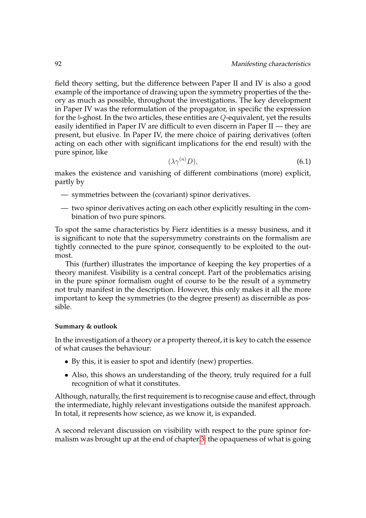field theory setting, but the difference between Paper II and IV is also a good example of the importance of drawing upon the symmetry properties of the theory as much as possible, throughout the investigations. The key development in Paper IV was the reformulation of the propagator, in specific the expression for the  $b$ -ghost. In the two articles, these entities are  $Q$ -equivalent, yet the results easily identified in Paper IV are difficult to even discern in Paper II — they are present, but elusive. In Paper IV, the mere choice of pairing derivatives (often acting on each other with significant implications for the end result) with the pure spinor, like

$$
(\lambda \gamma^{(n)} D), \tag{6.1}
$$

makes the existence and vanishing of different combinations (more) explicit, partly by

- symmetries between the (covariant) spinor derivatives.
- two spinor derivatives acting on each other explicitly resulting in the combination of two pure spinors.

To spot the same characteristics by Fierz identities is a messy business, and it is significant to note that the supersymmetry constraints on the formalism are tightly connected to the pure spinor, consequently to be exploited to the outmost.

This (further) illustrates the importance of keeping the key properties of a theory manifest. Visibility is a central concept. Part of the problematics arising in the pure spinor formalism ought of course to be the result of a symmetry not truly manifest in the description. However, this only makes it all the more important to keep the symmetries (to the degree present) as discernible as possible.

# **Summary & outlook**

In the investigation of a theory or a property thereof, it is key to catch the essence of what causes the behaviour:

- By this, it is easier to spot and identify (new) properties.
- Also, this shows an understanding of the theory, truly required for a full recognition of what it constitutes.

Although, naturally, the first requirement is to recognise cause and effect, through the intermediate, highly relevant investigations outside the manifest approach. In total, it represents how science, as we know it, is expanded.

A second relevant discussion on visibility with respect to the pure spinor formalism was brought up at the end of chapter [3:](#page-28-0) the opaqueness of what is going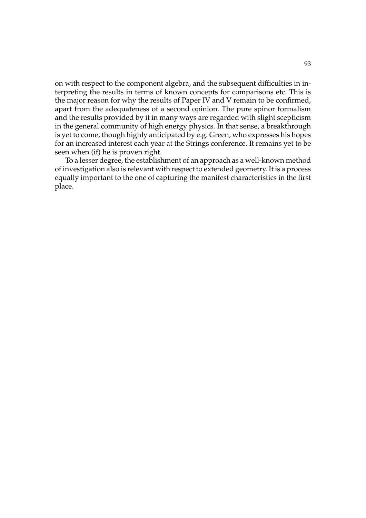on with respect to the component algebra, and the subsequent difficulties in interpreting the results in terms of known concepts for comparisons etc. This is the major reason for why the results of Paper IV and V remain to be confirmed, apart from the adequateness of a second opinion. The pure spinor formalism and the results provided by it in many ways are regarded with slight scepticism in the general community of high energy physics. In that sense, a breakthrough is yet to come, though highly anticipated by e.g. Green, who expresses his hopes for an increased interest each year at the Strings conference. It remains yet to be seen when (if) he is proven right.

To a lesser degree, the establishment of an approach as a well-known method of investigation also is relevant with respect to extended geometry. It is a process equally important to the one of capturing the manifest characteristics in the first place.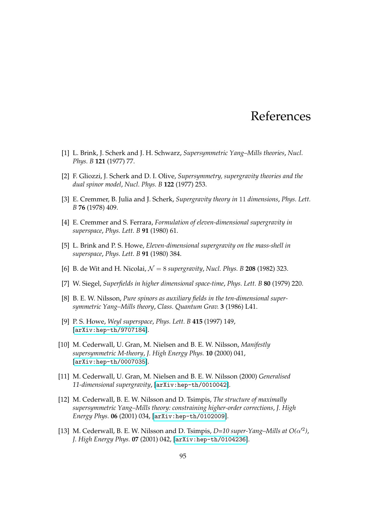# References

- [1] L. Brink, J. Scherk and J. H. Schwarz, *Supersymmetric Yang–Mills theories*, *Nucl. Phys. B* **121** (1977) 77.
- [2] F. Gliozzi, J. Scherk and D. I. Olive, *Supersymmetry, supergravity theories and the dual spinor model*, *Nucl. Phys. B* **122** (1977) 253.
- [3] E. Cremmer, B. Julia and J. Scherk, *Supergravity theory in* 11 *dimensions*, *Phys. Lett. B* **76** (1978) 409.
- [4] E. Cremmer and S. Ferrara, *Formulation of eleven-dimensional supergravity in superspace*, *Phys. Lett. B* **91** (1980) 61.
- [5] L. Brink and P. S. Howe, *Eleven-dimensional supergravity on the mass-shell in superspace*, *Phys. Lett. B* **91** (1980) 384.
- [6] B. de Wit and H. Nicolai,  $\mathcal{N} = 8$  *supergravity*, *Nucl. Phys. B* **208** (1982) 323.
- [7] W. Siegel, *Superfields in higher dimensional space-time*, *Phys. Lett. B* **80** (1979) 220.
- [8] B. E. W. Nilsson, *Pure spinors as auxiliary fields in the ten-dimensional supersymmetric Yang–Mills theory*, *Class. Quantum Grav.* **3** (1986) L41.
- [9] P. S. Howe, *Weyl superspace*, *Phys. Lett. B* **415** (1997) 149, [[arXiv:hep-th/9707184](http://xxx.lanl.gov/abs/arXiv:hep-th/9707184)].
- <span id="page-106-0"></span>[10] M. Cederwall, U. Gran, M. Nielsen and B. E. W. Nilsson, *Manifestly supersymmetric M-theory*, *J. High Energy Phys.* **10** (2000) 041, [[arXiv:hep-th/0007035](http://xxx.lanl.gov/abs/arXiv:hep-th/0007035)].
- [11] M. Cederwall, U. Gran, M. Nielsen and B. E. W. Nilsson (2000) *Generalised 11-dimensional supergravity*, [[arXiv:hep-th/0010042](http://xxx.lanl.gov/abs/arXiv:hep-th/0010042)].
- [12] M. Cederwall, B. E. W. Nilsson and D. Tsimpis, *The structure of maximally supersymmetric Yang–Mills theory: constraining higher-order corrections*, *J. High Energy Phys.* **06** (2001) 034, [[arXiv:hep-th/0102009](http://xxx.lanl.gov/abs/arXiv:hep-th/0102009)].
- <span id="page-106-1"></span>[13] M. Cederwall, B. E. W. Nilsson and D. Tsimpis,  $D=10$  super-Yang-Mills at  $O(\alpha'^2)$ , *J. High Energy Phys.* **07** (2001) 042, [[arXiv:hep-th/0104236](http://xxx.lanl.gov/abs/arXiv:hep-th/0104236)].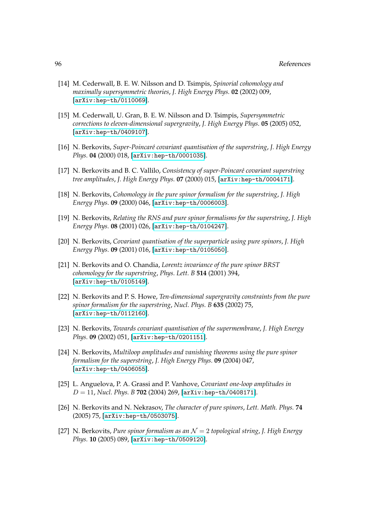#### 96 References

- [14] M. Cederwall, B. E. W. Nilsson and D. Tsimpis, *Spinorial cohomology and maximally supersymmetric theories*, *J. High Energy Phys.* **02** (2002) 009, [[arXiv:hep-th/0110069](http://xxx.lanl.gov/abs/arXiv:hep-th/0110069)].
- <span id="page-107-0"></span>[15] M. Cederwall, U. Gran, B. E. W. Nilsson and D. Tsimpis, *Supersymmetric corrections to eleven-dimensional supergravity*, *J. High Energy Phys.* **05** (2005) 052, [[arXiv:hep-th/0409107](http://xxx.lanl.gov/abs/arXiv:hep-th/0409107)].
- [16] N. Berkovits, *Super-Poincar´e covariant quantisation of the superstring*, *J. High Energy Phys.* **04** (2000) 018, [[arXiv:hep-th/0001035](http://xxx.lanl.gov/abs/arXiv:hep-th/0001035)].
- [17] N. Berkovits and B. C. Vallilo, *Consistency of super-Poincaré covariant superstring tree amplitudes*, *J. High Energy Phys.* **07** (2000) 015, [[arXiv:hep-th/0004171](http://xxx.lanl.gov/abs/arXiv:hep-th/0004171)].
- [18] N. Berkovits, *Cohomology in the pure spinor formalism for the superstring*, *J. High Energy Phys.* **09** (2000) 046, [[arXiv:hep-th/0006003](http://xxx.lanl.gov/abs/arXiv:hep-th/0006003)].
- [19] N. Berkovits, *Relating the RNS and pure spinor formalisms for the superstring*, *J. High Energy Phys.* **08** (2001) 026, [[arXiv:hep-th/0104247](http://xxx.lanl.gov/abs/arXiv:hep-th/0104247)].
- [20] N. Berkovits, *Covariant quantisation of the superparticle using pure spinors*, *J. High Energy Phys.* **09** (2001) 016, [[arXiv:hep-th/0105050](http://xxx.lanl.gov/abs/arXiv:hep-th/0105050)].
- [21] N. Berkovits and O. Chandia, *Lorentz invariance of the pure spinor BRST cohomology for the superstring*, *Phys. Lett. B* **514** (2001) 394, [[arXiv:hep-th/0105149](http://xxx.lanl.gov/abs/arXiv:hep-th/0105149)].
- [22] N. Berkovits and P. S. Howe, *Ten-dimensional supergravity constraints from the pure spinor formalism for the superstring*, *Nucl. Phys. B* **635** (2002) 75, [[arXiv:hep-th/0112160](http://xxx.lanl.gov/abs/arXiv:hep-th/0112160)].
- [23] N. Berkovits, *Towards covariant quantisation of the supermembrane*, *J. High Energy Phys.* **09** (2002) 051, [[arXiv:hep-th/0201151](http://xxx.lanl.gov/abs/arXiv:hep-th/0201151)].
- [24] N. Berkovits, *Multiloop amplitudes and vanishing theorems using the pure spinor formalism for the superstring*, *J. High Energy Phys.* **09** (2004) 047, [[arXiv:hep-th/0406055](http://xxx.lanl.gov/abs/arXiv:hep-th/0406055)].
- [25] L. Anguelova, P. A. Grassi and P. Vanhove, *Covariant one-loop amplitudes in* D = 11, *Nucl. Phys. B* **702** (2004) 269, [[arXiv:hep-th/0408171](http://xxx.lanl.gov/abs/arXiv:hep-th/0408171)].
- [26] N. Berkovits and N. Nekrasov, *The character of pure spinors*, *Lett. Math. Phys.* **74** (2005) 75, [[arXiv:hep-th/0503075](http://xxx.lanl.gov/abs/arXiv:hep-th/0503075)].
- [27] N. Berkovits, *Pure spinor formalism as an* N = 2 *topological string*, *J. High Energy Phys.* **10** (2005) 089, [[arXiv:hep-th/0509120](http://xxx.lanl.gov/abs/arXiv:hep-th/0509120)].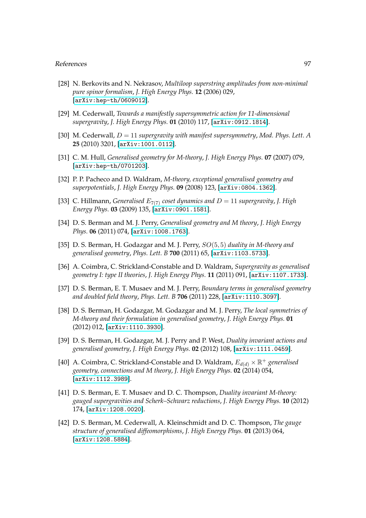- [28] N. Berkovits and N. Nekrasov, *Multiloop superstring amplitudes from non-minimal pure spinor formalism*, *J. High Energy Phys.* **12** (2006) 029, [[arXiv:hep-th/0609012](http://xxx.lanl.gov/abs/arXiv:hep-th/0609012)].
- [29] M. Cederwall, *Towards a manifestly supersymmetric action for 11-dimensional supergravity*, *J. High Energy Phys.* **01** (2010) 117, [[arXiv:0912.1814](http://xxx.lanl.gov/abs/0912.1814)].
- [30] M. Cederwall, D = 11 *supergravity with manifest supersymmetry*, *Mod. Phys. Lett. A* **25** (2010) 3201, [[arXiv:1001.0112](http://xxx.lanl.gov/abs/1001.0112)].
- [31] C. M. Hull, *Generalised geometry for M-theory*, *J. High Energy Phys.* **07** (2007) 079, [[arXiv:hep-th/0701203](http://xxx.lanl.gov/abs/arXiv:hep-th/0701203)].
- [32] P. P. Pacheco and D. Waldram, *M-theory, exceptional generalised geometry and superpotentials*, *J. High Energy Phys.* **09** (2008) 123, [[arXiv:0804.1362](http://xxx.lanl.gov/abs/0804.1362)].
- [33] C. Hillmann, *Generalised*  $E_{7(7)}$  *coset dynamics and*  $D = 11$  *supergravity*, *J. High Energy Phys.* **03** (2009) 135, [[arXiv:0901.1581](http://xxx.lanl.gov/abs/0901.1581)].
- [34] D. S. Berman and M. J. Perry, *Generalised geometry and M theory*, *J. High Energy Phys.* **06** (2011) 074, [[arXiv:1008.1763](http://xxx.lanl.gov/abs/1008.1763)].
- [35] D. S. Berman, H. Godazgar and M. J. Perry, SO(5, 5) *duality in M-theory and generalised geometry*, *Phys. Lett. B* **700** (2011) 65, [[arXiv:1103.5733](http://xxx.lanl.gov/abs/1103.5733)].
- [36] A. Coimbra, C. Strickland-Constable and D. Waldram, *Supergravity as generalised geometry I: type II theories*, *J. High Energy Phys.* **11** (2011) 091, [[arXiv:1107.1733](http://xxx.lanl.gov/abs/1107.1733)].
- [37] D. S. Berman, E. T. Musaev and M. J. Perry, *Boundary terms in generalised geometry and doubled field theory*, *Phys. Lett. B* **706** (2011) 228, [[arXiv:1110.3097](http://xxx.lanl.gov/abs/1110.3097)].
- [38] D. S. Berman, H. Godazgar, M. Godazgar and M. J. Perry, *The local symmetries of M-theory and their formulation in generalised geometry*, *J. High Energy Phys.* **01** (2012) 012, [[arXiv:1110.3930](http://xxx.lanl.gov/abs/1110.3930)].
- [39] D. S. Berman, H. Godazgar, M. J. Perry and P. West, *Duality invariant actions and generalised geometry*, *J. High Energy Phys.* **02** (2012) 108, [[arXiv:1111.0459](http://xxx.lanl.gov/abs/1111.0459)].
- [40] A. Coimbra, C. Strickland-Constable and D. Waldram,  $E_{d(d)} \times \mathbb{R}^+$  *generalised geometry, connections and M theory*, *J. High Energy Phys.* **02** (2014) 054, [[arXiv:1112.3989](http://xxx.lanl.gov/abs/1112.3989)].
- [41] D. S. Berman, E. T. Musaev and D. C. Thompson, *Duality invariant M-theory: gauged supergravities and Scherk–Schwarz reductions*, *J. High Energy Phys.* **10** (2012) 174, [[arXiv:1208.0020](http://xxx.lanl.gov/abs/1208.0020)].
- [42] D. S. Berman, M. Cederwall, A. Kleinschmidt and D. C. Thompson, *The gauge structure of generalised diffeomorphisms*, *J. High Energy Phys.* **01** (2013) 064, [[arXiv:1208.5884](http://xxx.lanl.gov/abs/1208.5884)].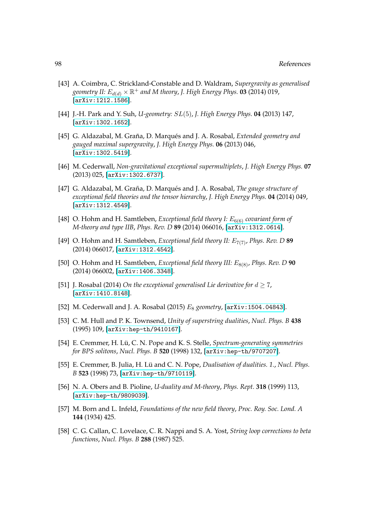- [43] A. Coimbra, C. Strickland-Constable and D. Waldram, *Supergravity as generalised* geometry II:  $E_{d(d)} \times \mathbb{R}^+$  and M theory, J. High Energy Phys. **03** (2014) 019, [[arXiv:1212.1586](http://xxx.lanl.gov/abs/1212.1586)].
- [44] J.-H. Park and Y. Suh, *U-geometry:* SL(5), *J. High Energy Phys.* **04** (2013) 147, [[arXiv:1302.1652](http://xxx.lanl.gov/abs/1302.1652)].
- [45] G. Aldazabal, M. Graña, D. Marqués and J. A. Rosabal, *Extended geometry and gauged maximal supergravity*, *J. High Energy Phys.* **06** (2013) 046, [[arXiv:1302.5419](http://xxx.lanl.gov/abs/1302.5419)].
- [46] M. Cederwall, *Non-gravitational exceptional supermultiplets*, *J. High Energy Phys.* **07** (2013) 025, [[arXiv:1302.6737](http://xxx.lanl.gov/abs/1302.6737)].
- [47] G. Aldazabal, M. Graña, D. Marqués and J. A. Rosabal, *The gauge structure of exceptional field theories and the tensor hierarchy*, *J. High Energy Phys.* **04** (2014) 049, [[arXiv:1312.4549](http://xxx.lanl.gov/abs/1312.4549)].
- [48] O. Hohm and H. Samtleben, *Exceptional field theory I:*  $E_{6(6)}$  *covariant form of M-theory and type IIB*, *Phys. Rev. D* **89** (2014) 066016, [[arXiv:1312.0614](http://xxx.lanl.gov/abs/1312.0614)].
- [49] O. Hohm and H. Samtleben, *Exceptional field theory II: E<sub>7(7)</sub>, Phys. Rev. D* 89 (2014) 066017, [[arXiv:1312.4542](http://xxx.lanl.gov/abs/1312.4542)].
- [50] O. Hohm and H. Samtleben, *Exceptional field theory III:*  $E_{8(8)}$ , *Phys. Rev. D* 90 (2014) 066002, [[arXiv:1406.3348](http://xxx.lanl.gov/abs/1406.3348)].
- [51] J. Rosabal (2014) *On the exceptional generalised Lie derivative for*  $d \ge 7$ *,* [[arXiv:1410.8148](http://xxx.lanl.gov/abs/1410.8148)].
- [52] M. Cederwall and J. A. Rosabal (2015) E<sup>8</sup> *geometry*, [[arXiv:1504.04843](http://xxx.lanl.gov/abs/1504.04843)].
- [53] C. M. Hull and P. K. Townsend, *Unity of superstring dualities*, *Nucl. Phys. B* **438** (1995) 109, [[arXiv:hep-th/9410167](http://xxx.lanl.gov/abs/arXiv:hep-th/9410167)].
- [54] E. Cremmer, H. Lü, C. N. Pope and K. S. Stelle, *Spectrum-generating symmetries for BPS solitons*, *Nucl. Phys. B* **520** (1998) 132, [[arXiv:hep-th/9707207](http://xxx.lanl.gov/abs/arXiv:hep-th/9707207)].
- [55] E. Cremmer, B. Julia, H. Lü and C. N. Pope, *Dualisation of dualities. 1.*, *Nucl. Phys. B* **523** (1998) 73, [[arXiv:hep-th/9710119](http://xxx.lanl.gov/abs/arXiv:hep-th/9710119)].
- [56] N. A. Obers and B. Pioline, *U-duality and M-theory*, *Phys. Rept.* **318** (1999) 113, [[arXiv:hep-th/9809039](http://xxx.lanl.gov/abs/arXiv:hep-th/9809039)].
- [57] M. Born and L. Infeld, *Foundations of the new field theory*, *Proc. Roy. Soc. Lond. A* **144** (1934) 425.
- [58] C. G. Callan, C. Lovelace, C. R. Nappi and S. A. Yost, *String loop corrections to beta functions*, *Nucl. Phys. B* **288** (1987) 525.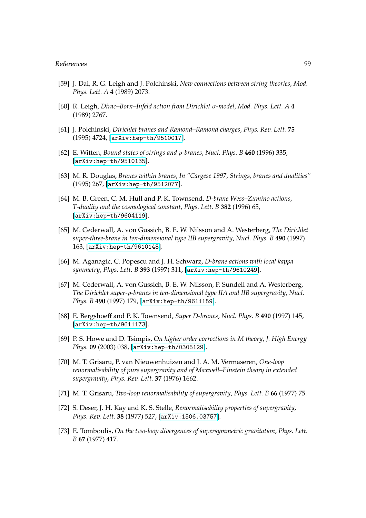- [59] J. Dai, R. G. Leigh and J. Polchinski, *New connections between string theories*, *Mod. Phys. Lett. A* **4** (1989) 2073.
- [60] R. Leigh, *Dirac–Born–Infeld action from Dirichlet* σ*-model*, *Mod. Phys. Lett. A* **4** (1989) 2767.
- [61] J. Polchinski, *Dirichlet branes and Ramond–Ramond charges*, *Phys. Rev. Lett.* **75** (1995) 4724, [[arXiv:hep-th/9510017](http://xxx.lanl.gov/abs/arXiv:hep-th/9510017)].
- [62] E. Witten, *Bound states of strings and* p*-branes*, *Nucl. Phys. B* **460** (1996) 335, [[arXiv:hep-th/9510135](http://xxx.lanl.gov/abs/arXiv:hep-th/9510135)].
- [63] M. R. Douglas, *Branes within branes*, *In "Cargese 1997, Strings, branes and dualities"* (1995) 267, [[arXiv:hep-th/9512077](http://xxx.lanl.gov/abs/arXiv:hep-th/9512077)].
- [64] M. B. Green, C. M. Hull and P. K. Townsend, *D-brane Wess–Zumino actions, T-duality and the cosmological constant*, *Phys. Lett. B* **382** (1996) 65, [[arXiv:hep-th/9604119](http://xxx.lanl.gov/abs/arXiv:hep-th/9604119)].
- [65] M. Cederwall, A. von Gussich, B. E. W. Nilsson and A. Westerberg, *The Dirichlet super-three-brane in ten-dimensional type IIB supergravity*, *Nucl. Phys. B* **490** (1997) 163, [[arXiv:hep-th/9610148](http://xxx.lanl.gov/abs/arXiv:hep-th/9610148)].
- [66] M. Aganagic, C. Popescu and J. H. Schwarz, *D-brane actions with local kappa symmetry*, *Phys. Lett. B* **393** (1997) 311, [[arXiv:hep-th/9610249](http://xxx.lanl.gov/abs/arXiv:hep-th/9610249)].
- [67] M. Cederwall, A. von Gussich, B. E. W. Nilsson, P. Sundell and A. Westerberg, *The Dirichlet super-*p*-branes in ten-dimensional type IIA and IIB supergravity*, *Nucl. Phys. B* **490** (1997) 179, [[arXiv:hep-th/9611159](http://xxx.lanl.gov/abs/arXiv:hep-th/9611159)].
- [68] E. Bergshoeff and P. K. Townsend, *Super D-branes*, *Nucl. Phys. B* **490** (1997) 145, [[arXiv:hep-th/9611173](http://xxx.lanl.gov/abs/arXiv:hep-th/9611173)].
- [69] P. S. Howe and D. Tsimpis, *On higher order corrections in M theory*, *J. High Energy Phys.* **09** (2003) 038, [[arXiv:hep-th/0305129](http://xxx.lanl.gov/abs/arXiv:hep-th/0305129)].
- [70] M. T. Grisaru, P. van Nieuwenhuizen and J. A. M. Vermaseren, *One-loop renormalisability of pure supergravity and of Maxwell–Einstein theory in extended supergravity*, *Phys. Rev. Lett.* **37** (1976) 1662.
- [71] M. T. Grisaru, *Two-loop renormalisability of supergravity*, *Phys. Lett. B* **66** (1977) 75.
- [72] S. Deser, J. H. Kay and K. S. Stelle, *Renormalisability properties of supergravity*, *Phys. Rev. Lett.* **38** (1977) 527, [[arXiv:1506.03757](http://xxx.lanl.gov/abs/1506.03757)].
- [73] E. Tomboulis, *On the two-loop divergences of supersymmetric gravitation*, *Phys. Lett. B* **67** (1977) 417.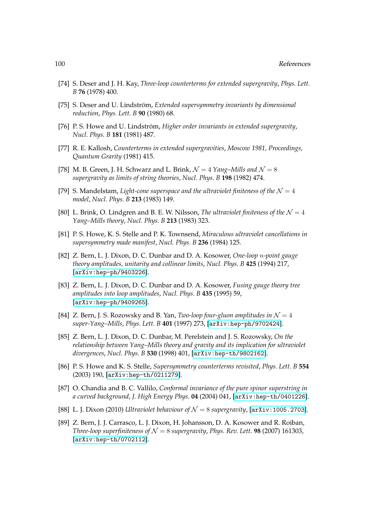- [74] S. Deser and J. H. Kay, *Three-loop counterterms for extended supergravity*, *Phys. Lett. B* **76** (1978) 400.
- [75] S. Deser and U. Lindström, *Extended supersymmetry invariants by dimensional reduction*, *Phys. Lett. B* **90** (1980) 68.
- [76] P. S. Howe and U. Lindström, Higher order invariants in extended supergravity, *Nucl. Phys. B* **181** (1981) 487.
- [77] R. E. Kallosh, *Counterterms in extended supergravities*, *Moscow 1981, Proceedings, Quantum Grarity* (1981) 415.
- [78] M. B. Green, J. H. Schwarz and L. Brink,  $\mathcal{N}=4$  *Yang–Mills and*  $\mathcal{N}=8$ *supergravity as limits of string theories*, *Nucl. Phys. B* **198** (1982) 474.
- [79] S. Mandelstam, *Light-cone superspace and the ultraviolet finiteness of the*  $\mathcal{N} = 4$ *model*, *Nucl. Phys. B* **213** (1983) 149.
- [80] L. Brink, O. Lindgren and B. E. W. Nilsson, *The ultraviolet finiteness of the*  $\mathcal{N} = 4$ *Yang–Mills theory*, *Nucl. Phys. B* **213** (1983) 323.
- [81] P. S. Howe, K. S. Stelle and P. K. Townsend, *Miraculous ultraviolet cancellations in supersymmetry made manifest*, *Nucl. Phys. B* **236** (1984) 125.
- [82] Z. Bern, L. J. Dixon, D. C. Dunbar and D. A. Kosower, *One-loop* n*-point gauge theory amplitudes, unitarity and collinear limits*, *Nucl. Phys. B* **425** (1994) 217, [[arXiv:hep-ph/9403226](http://xxx.lanl.gov/abs/arXiv:hep-ph/9403226)].
- [83] Z. Bern, L. J. Dixon, D. C. Dunbar and D. A. Kosower, *Fusing gauge theory tree amplitudes into loop amplitudes*, *Nucl. Phys. B* **435** (1995) 59, [[arXiv:hep-ph/9409265](http://xxx.lanl.gov/abs/arXiv:hep-ph/9409265)].
- [84] Z. Bern, J. S. Rozowsky and B. Yan, *Two-loop four-gluon amplitudes in*  $\mathcal{N} = 4$ *super-Yang–Mills*, *Phys. Lett. B* **401** (1997) 273, [[arXiv:hep-ph/9702424](http://xxx.lanl.gov/abs/arXiv:hep-ph/9702424)].
- [85] Z. Bern, L. J. Dixon, D. C. Dunbar, M. Perelstein and J. S. Rozowsky, *On the relationship between Yang–Mills theory and gravity and its implication for ultraviolet divergences*, *Nucl. Phys. B* **530** (1998) 401, [[arXiv:hep-th/9802162](http://xxx.lanl.gov/abs/arXiv:hep-th/9802162)].
- [86] P. S. Howe and K. S. Stelle, *Supersymmetry counterterms revisited*, *Phys. Lett. B* **554** (2003) 190, [[arXiv:hep-th/0211279](http://xxx.lanl.gov/abs/arXiv:hep-th/0211279)].
- [87] O. Chandia and B. C. Vallilo, *Conformal invariance of the pure spinor superstring in a curved background*, *J. High Energy Phys.* **04** (2004) 041, [[arXiv:hep-th/0401226](http://xxx.lanl.gov/abs/arXiv:hep-th/0401226)].
- [88] L. J. Dixon (2010) *Ultraviolet behaviour of*  $\mathcal{N} = 8$  *supergravity*, [[arXiv:1005.2703](http://xxx.lanl.gov/abs/1005.2703)].
- [89] Z. Bern, J. J. Carrasco, L. J. Dixon, H. Johansson, D. A. Kosower and R. Roiban, *Three-loop superfiniteness of*  $\mathcal{N} = 8$  *supergravity*, *Phys. Rev. Lett.* **98** (2007) 161303, [[arXiv:hep-th/0702112](http://xxx.lanl.gov/abs/arXiv:hep-th/0702112)].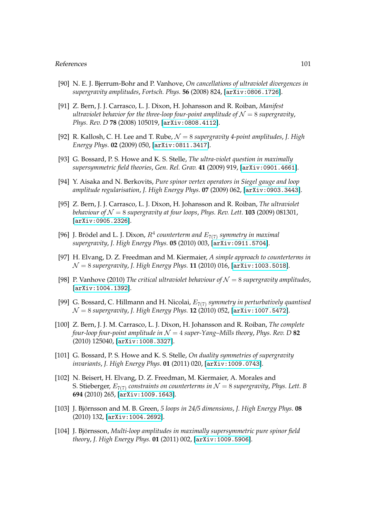- [90] N. E. J. Bjerrum-Bohr and P. Vanhove, *On cancellations of ultraviolet divergences in supergravity amplitudes*, *Fortsch. Phys.* **56** (2008) 824, [[arXiv:0806.1726](http://xxx.lanl.gov/abs/0806.1726)].
- [91] Z. Bern, J. J. Carrasco, L. J. Dixon, H. Johansson and R. Roiban, *Manifest ultraviolet behavior for the three-loop four-point amplitude of*  $\mathcal{N} = 8$  *supergravity*, *Phys. Rev. D* **78** (2008) 105019, [[arXiv:0808.4112](http://xxx.lanl.gov/abs/0808.4112)].
- [92] R. Kallosh, C. H. Lee and T. Rube, N = 8 *supergravity 4-point amplitudes*, *J. High Energy Phys.* **02** (2009) 050, [[arXiv:0811.3417](http://xxx.lanl.gov/abs/0811.3417)].
- [93] G. Bossard, P. S. Howe and K. S. Stelle, *The ultra-violet question in maximally supersymmetric field theories*, *Gen. Rel. Grav.* **41** (2009) 919, [[arXiv:0901.4661](http://xxx.lanl.gov/abs/0901.4661)].
- [94] Y. Aisaka and N. Berkovits, *Pure spinor vertex operators in Siegel gauge and loop amplitude regularisation*, *J. High Energy Phys.* **07** (2009) 062, [[arXiv:0903.3443](http://xxx.lanl.gov/abs/0903.3443)].
- [95] Z. Bern, J. J. Carrasco, L. J. Dixon, H. Johansson and R. Roiban, *The ultraviolet behaviour of*  $\mathcal{N} = 8$  *supergravity at four loops, Phys. Rev. Lett.* **103** (2009) 081301, [[arXiv:0905.2326](http://xxx.lanl.gov/abs/0905.2326)].
- [96] J. Brödel and L. J. Dixon,  $R^4$  counterterm and  $E_{7(7)}$  symmetry in maximal *supergravity*, *J. High Energy Phys.* **05** (2010) 003, [[arXiv:0911.5704](http://xxx.lanl.gov/abs/0911.5704)].
- [97] H. Elvang, D. Z. Freedman and M. Kiermaier, *A simple approach to counterterms in* N = 8 *supergravity*, *J. High Energy Phys.* **11** (2010) 016, [[arXiv:1003.5018](http://xxx.lanl.gov/abs/1003.5018)].
- [98] P. Vanhove (2010) *The critical ultraviolet behaviour of*  $\mathcal{N} = 8$  *supergravity amplitudes*, [[arXiv:1004.1392](http://xxx.lanl.gov/abs/1004.1392)].
- [99] G. Bossard, C. Hillmann and H. Nicolai, E7(7) *symmetry in perturbatively quantised* N = 8 *supergravity*, *J. High Energy Phys.* **12** (2010) 052, [[arXiv:1007.5472](http://xxx.lanl.gov/abs/1007.5472)].
- [100] Z. Bern, J. J. M. Carrasco, L. J. Dixon, H. Johansson and R. Roiban, *The complete four-loop four-point amplitude in*  $\mathcal{N} = 4$  *super-Yang–Mills theory, Phys. Rev. D* 82 (2010) 125040, [[arXiv:1008.3327](http://xxx.lanl.gov/abs/1008.3327)].
- [101] G. Bossard, P. S. Howe and K. S. Stelle, *On duality symmetries of supergravity invariants*, *J. High Energy Phys.* **01** (2011) 020, [[arXiv:1009.0743](http://xxx.lanl.gov/abs/1009.0743)].
- [102] N. Beisert, H. Elvang, D. Z. Freedman, M. Kiermaier, A. Morales and S. Stieberger,  $E_{7(7)}$  *constraints on counterterms in*  $\mathcal{N} = 8$  *supergravity*, *Phys. Lett. B* **694** (2010) 265, [[arXiv:1009.1643](http://xxx.lanl.gov/abs/1009.1643)].
- [103] J. Björnsson and M. B. Green, 5 loops in 24/5 dimensions, J. High Energy Phys. 08 (2010) 132, [[arXiv:1004.2692](http://xxx.lanl.gov/abs/1004.2692)].
- [104] J. Björnsson, *Multi-loop amplitudes in maximally supersymmetric pure spinor field theory*, *J. High Energy Phys.* **01** (2011) 002, [[arXiv:1009.5906](http://xxx.lanl.gov/abs/1009.5906)].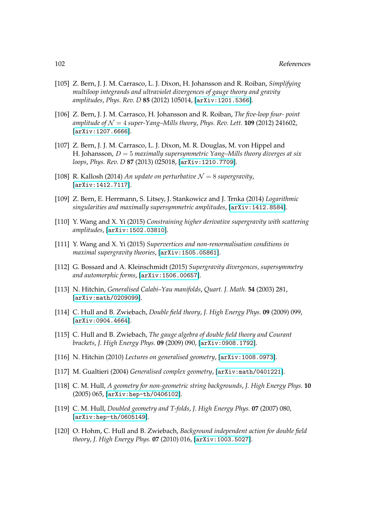- [105] Z. Bern, J. J. M. Carrasco, L. J. Dixon, H. Johansson and R. Roiban, *Simplifying multiloop integrands and ultraviolet divergences of gauge theory and gravity amplitudes*, *Phys. Rev. D* **85** (2012) 105014, [[arXiv:1201.5366](http://xxx.lanl.gov/abs/1201.5366)].
- [106] Z. Bern, J. J. M. Carrasco, H. Johansson and R. Roiban, *The five-loop four- point amplitude of*  $\mathcal{N} = 4$  *super-Yang–Mills theory, Phys. Rev. Lett.* **109** (2012) 241602, [[arXiv:1207.6666](http://xxx.lanl.gov/abs/1207.6666)].
- [107] Z. Bern, J. J. M. Carrasco, L. J. Dixon, M. R. Douglas, M. von Hippel and H. Johansson, D = 5 *maximally supersymmetric Yang–Mills theory diverges at six loops*, *Phys. Rev. D* **87** (2013) 025018, [[arXiv:1210.7709](http://xxx.lanl.gov/abs/1210.7709)].
- [108] R. Kallosh (2014) *An update on perturbative*  $\mathcal{N} = 8$  *supergravity*, [[arXiv:1412.7117](http://xxx.lanl.gov/abs/1412.7117)].
- [109] Z. Bern, E. Herrmann, S. Litsey, J. Stankowicz and J. Trnka (2014) *Logarithmic singularities and maximally supersymmetric amplitudes*, [[arXiv:1412.8584](http://xxx.lanl.gov/abs/1412.8584)].
- [110] Y. Wang and X. Yi (2015) *Constraining higher derivative supergravity with scattering amplitudes*, [[arXiv:1502.03810](http://xxx.lanl.gov/abs/1502.03810)].
- [111] Y. Wang and X. Yi (2015) *Supervertices and non-renormalisation conditions in maximal supergravity theories*, [[arXiv:1505.05861](http://xxx.lanl.gov/abs/1505.05861)].
- [112] G. Bossard and A. Kleinschmidt (2015) *Supergravity divergences, supersymmetry and automorphic forms*, [[arXiv:1506.00657](http://xxx.lanl.gov/abs/1506.00657)].
- [113] N. Hitchin, *Generalised Calabi–Yau manifolds*, *Quart. J. Math.* **54** (2003) 281, [[arXiv:math/0209099](http://xxx.lanl.gov/abs/arXiv:math/0209099)].
- [114] C. Hull and B. Zwiebach, *Double field theory*, *J. High Energy Phys.* **09** (2009) 099, [[arXiv:0904.4664](http://xxx.lanl.gov/abs/0904.4664)].
- [115] C. Hull and B. Zwiebach, *The gauge algebra of double field theory and Courant brackets*, *J. High Energy Phys.* **09** (2009) 090, [[arXiv:0908.1792](http://xxx.lanl.gov/abs/0908.1792)].
- [116] N. Hitchin (2010) *Lectures on generalised geometry*, [[arXiv:1008.0973](http://xxx.lanl.gov/abs/1008.0973)].
- [117] M. Gualtieri (2004) *Generalised complex geometry*, [[arXiv:math/0401221](http://xxx.lanl.gov/abs/arXiv:math/0401221)].
- [118] C. M. Hull, *A geometry for non-geometric string backgrounds*, *J. High Energy Phys.* **10** (2005) 065, [[arXiv:hep-th/0406102](http://xxx.lanl.gov/abs/arXiv:hep-th/0406102)].
- [119] C. M. Hull, *Doubled geometry and T-folds*, *J. High Energy Phys.* **07** (2007) 080, [[arXiv:hep-th/0605149](http://xxx.lanl.gov/abs/arXiv:hep-th/0605149)].
- [120] O. Hohm, C. Hull and B. Zwiebach, *Background independent action for double field theory*, *J. High Energy Phys.* **07** (2010) 016, [[arXiv:1003.5027](http://xxx.lanl.gov/abs/1003.5027)].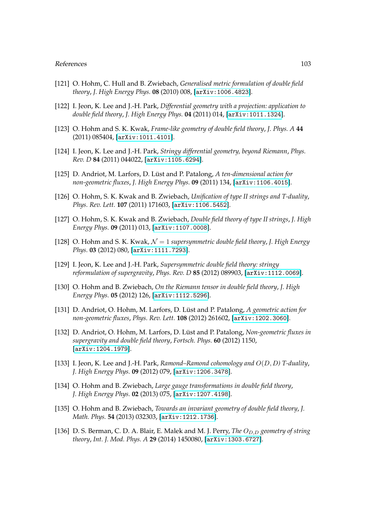- [121] O. Hohm, C. Hull and B. Zwiebach, *Generalised metric formulation of double field theory*, *J. High Energy Phys.* **08** (2010) 008, [[arXiv:1006.4823](http://xxx.lanl.gov/abs/1006.4823)].
- [122] I. Jeon, K. Lee and J.-H. Park, *Differential geometry with a projection: application to double field theory*, *J. High Energy Phys.* **04** (2011) 014, [[arXiv:1011.1324](http://xxx.lanl.gov/abs/1011.1324)].
- [123] O. Hohm and S. K. Kwak, *Frame-like geometry of double field theory*, *J. Phys. A* **44** (2011) 085404, [[arXiv:1011.4101](http://xxx.lanl.gov/abs/1011.4101)].
- [124] I. Jeon, K. Lee and J.-H. Park, *Stringy differential geometry, beyond Riemann*, *Phys. Rev. D* **84** (2011) 044022, [[arXiv:1105.6294](http://xxx.lanl.gov/abs/1105.6294)].
- [125] D. Andriot, M. Larfors, D. Lüst and P. Patalong, A ten-dimensional action for *non-geometric fluxes*, *J. High Energy Phys.* **09** (2011) 134, [[arXiv:1106.4015](http://xxx.lanl.gov/abs/1106.4015)].
- [126] O. Hohm, S. K. Kwak and B. Zwiebach, *Unification of type II strings and T-duality*, *Phys. Rev. Lett.* **107** (2011) 171603, [[arXiv:1106.5452](http://xxx.lanl.gov/abs/1106.5452)].
- [127] O. Hohm, S. K. Kwak and B. Zwiebach, *Double field theory of type II strings*, *J. High Energy Phys.* **09** (2011) 013, [[arXiv:1107.0008](http://xxx.lanl.gov/abs/1107.0008)].
- [128] O. Hohm and S. K. Kwak, N = 1 *supersymmetric double field theory*, *J. High Energy Phys.* **03** (2012) 080, [[arXiv:1111.7293](http://xxx.lanl.gov/abs/1111.7293)].
- [129] I. Jeon, K. Lee and J.-H. Park, *Supersymmetric double field theory: stringy reformulation of supergravity*, *Phys. Rev. D* **85** (2012) 089903, [[arXiv:1112.0069](http://xxx.lanl.gov/abs/1112.0069)].
- [130] O. Hohm and B. Zwiebach, *On the Riemann tensor in double field theory*, *J. High Energy Phys.* **05** (2012) 126, [[arXiv:1112.5296](http://xxx.lanl.gov/abs/1112.5296)].
- [131] D. Andriot, O. Hohm, M. Larfors, D. Lüst and P. Patalong, A geometric action for *non-geometric fluxes*, *Phys. Rev. Lett.* **108** (2012) 261602, [[arXiv:1202.3060](http://xxx.lanl.gov/abs/1202.3060)].
- [132] D. Andriot, O. Hohm, M. Larfors, D. Lüst and P. Patalong, *Non-geometric fluxes in supergravity and double field theory*, *Fortsch. Phys.* **60** (2012) 1150, [[arXiv:1204.1979](http://xxx.lanl.gov/abs/1204.1979)].
- [133] I. Jeon, K. Lee and J.-H. Park, *Ramond–Ramond cohomology and* O(D, D*) T-duality*, *J. High Energy Phys.* **09** (2012) 079, [[arXiv:1206.3478](http://xxx.lanl.gov/abs/1206.3478)].
- [134] O. Hohm and B. Zwiebach, *Large gauge transformations in double field theory*, *J. High Energy Phys.* **02** (2013) 075, [[arXiv:1207.4198](http://xxx.lanl.gov/abs/1207.4198)].
- [135] O. Hohm and B. Zwiebach, *Towards an invariant geometry of double field theory*, *J. Math. Phys.* **54** (2013) 032303, [[arXiv:1212.1736](http://xxx.lanl.gov/abs/1212.1736)].
- [136] D. S. Berman, C. D. A. Blair, E. Malek and M. J. Perry, *The* O<sub>D.D</sub> geometry of string *theory*, *Int. J. Mod. Phys. A* **29** (2014) 1450080, [[arXiv:1303.6727](http://xxx.lanl.gov/abs/1303.6727)].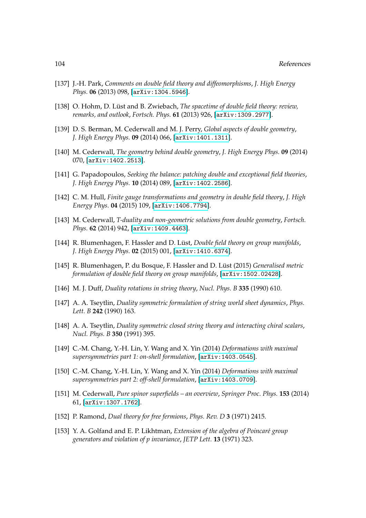- [137] J.-H. Park, *Comments on double field theory and diffeomorphisms*, *J. High Energy Phys.* **06** (2013) 098, [[arXiv:1304.5946](http://xxx.lanl.gov/abs/1304.5946)].
- [138] O. Hohm, D. Lüst and B. Zwiebach, *The spacetime of double field theory: review*, *remarks, and outlook*, *Fortsch. Phys.* **61** (2013) 926, [[arXiv:1309.2977](http://xxx.lanl.gov/abs/1309.2977)].
- [139] D. S. Berman, M. Cederwall and M. J. Perry, *Global aspects of double geometry*, *J. High Energy Phys.* **09** (2014) 066, [[arXiv:1401.1311](http://xxx.lanl.gov/abs/1401.1311)].
- [140] M. Cederwall, *The geometry behind double geometry*, *J. High Energy Phys.* **09** (2014) 070, [[arXiv:1402.2513](http://xxx.lanl.gov/abs/1402.2513)].
- [141] G. Papadopoulos, *Seeking the balance: patching double and exceptional field theories*, *J. High Energy Phys.* **10** (2014) 089, [[arXiv:1402.2586](http://xxx.lanl.gov/abs/1402.2586)].
- [142] C. M. Hull, *Finite gauge transformations and geometry in double field theory*, *J. High Energy Phys.* **04** (2015) 109, [[arXiv:1406.7794](http://xxx.lanl.gov/abs/1406.7794)].
- [143] M. Cederwall, *T-duality and non-geometric solutions from double geometry*, *Fortsch. Phys.* **62** (2014) 942, [[arXiv:1409.4463](http://xxx.lanl.gov/abs/1409.4463)].
- [144] R. Blumenhagen, F. Hassler and D. Lüst, *Double field theory on group manifolds*, *J. High Energy Phys.* **02** (2015) 001, [[arXiv:1410.6374](http://xxx.lanl.gov/abs/1410.6374)].
- [145] R. Blumenhagen, P. du Bosque, F. Hassler and D. Lüst (2015) *Generalised metric formulation of double field theory on group manifolds*, [[arXiv:1502.02428](http://xxx.lanl.gov/abs/1502.02428)].
- [146] M. J. Duff, *Duality rotations in string theory*, *Nucl. Phys. B* **335** (1990) 610.
- [147] A. A. Tseytlin, *Duality symmetric formulation of string world sheet dynamics*, *Phys. Lett. B* **242** (1990) 163.
- [148] A. A. Tseytlin, *Duality symmetric closed string theory and interacting chiral scalars*, *Nucl. Phys. B* **350** (1991) 395.
- [149] C.-M. Chang, Y.-H. Lin, Y. Wang and X. Yin (2014) *Deformations with maximal supersymmetries part 1: on-shell formulation*, [[arXiv:1403.0545](http://xxx.lanl.gov/abs/1403.0545)].
- [150] C.-M. Chang, Y.-H. Lin, Y. Wang and X. Yin (2014) *Deformations with maximal supersymmetries part 2: off-shell formulation*, [[arXiv:1403.0709](http://xxx.lanl.gov/abs/1403.0709)].
- [151] M. Cederwall, *Pure spinor superfields an overview*, *Springer Proc. Phys.* **153** (2014) 61, [[arXiv:1307.1762](http://xxx.lanl.gov/abs/1307.1762)].
- [152] P. Ramond, *Dual theory for free fermions*, *Phys. Rev. D* **3** (1971) 2415.
- [153] Y. A. Golfand and E. P. Likhtman, *Extension of the algebra of Poincaré group generators and violation of p invariance*, *JETP Lett.* **13** (1971) 323.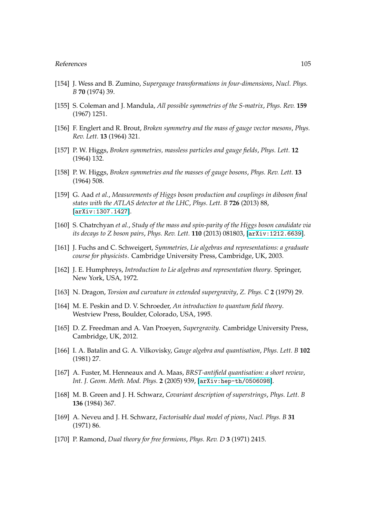- [154] J. Wess and B. Zumino, *Supergauge transformations in four-dimensions*, *Nucl. Phys. B* **70** (1974) 39.
- [155] S. Coleman and J. Mandula, *All possible symmetries of the S-matrix*, *Phys. Rev.* **159** (1967) 1251.
- [156] F. Englert and R. Brout, *Broken symmetry and the mass of gauge vector mesons*, *Phys. Rev. Lett.* **13** (1964) 321.
- [157] P. W. Higgs, *Broken symmetries, massless particles and gauge fields*, *Phys. Lett.* **12** (1964) 132.
- [158] P. W. Higgs, *Broken symmetries and the masses of gauge bosons*, *Phys. Rev. Lett.* **13** (1964) 508.
- [159] G. Aad *et al.*, *Measurements of Higgs boson production and couplings in diboson final states with the ATLAS detector at the LHC*, *Phys. Lett. B* **726** (2013) 88, [[arXiv:1307.1427](http://xxx.lanl.gov/abs/1307.1427)].
- [160] S. Chatrchyan *et al.*, *Study of the mass and spin-parity of the Higgs boson candidate via its decays to Z boson pairs*, *Phys. Rev. Lett.* **110** (2013) 081803, [[arXiv:1212.6639](http://xxx.lanl.gov/abs/1212.6639)].
- [161] J. Fuchs and C. Schweigert, *Symmetries, Lie algebras and representations: a graduate course for physicists*. Cambridge University Press, Cambridge, UK, 2003.
- [162] J. E. Humphreys, *Introduction to Lie algebras and representation theory*. Springer, New York, USA, 1972.
- [163] N. Dragon, *Torsion and curvature in extended supergravity*, *Z. Phys. C* **2** (1979) 29.
- [164] M. E. Peskin and D. V. Schroeder, *An introduction to quantum field theory*. Westview Press, Boulder, Colorado, USA, 1995.
- [165] D. Z. Freedman and A. Van Proeyen, *Supergravity*. Cambridge University Press, Cambridge, UK, 2012.
- [166] I. A. Batalin and G. A. Vilkovisky, *Gauge algebra and quantisation*, *Phys. Lett. B* **102** (1981) 27.
- [167] A. Fuster, M. Henneaux and A. Maas, *BRST-antifield quantisation: a short review*, *Int. J. Geom. Meth. Mod. Phys.* **2** (2005) 939, [[arXiv:hep-th/0506098](http://xxx.lanl.gov/abs/arXiv:hep-th/0506098)].
- [168] M. B. Green and J. H. Schwarz, *Covariant description of superstrings*, *Phys. Lett. B* **136** (1984) 367.
- [169] A. Neveu and J. H. Schwarz, *Factorisable dual model of pions*, *Nucl. Phys. B* **31** (1971) 86.
- [170] P. Ramond, *Dual theory for free fermions*, *Phys. Rev. D* **3** (1971) 2415.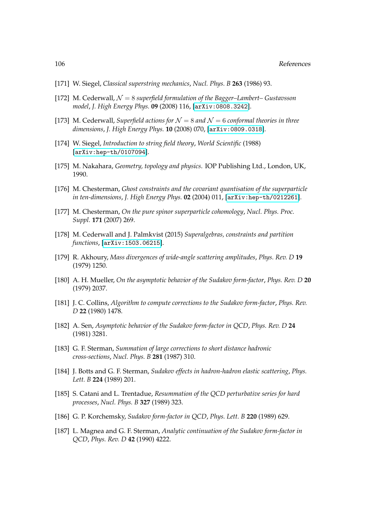- [171] W. Siegel, *Classical superstring mechanics*, *Nucl. Phys. B* **263** (1986) 93.
- [172] M. Cederwall,  $\mathcal{N} = 8$  *superfield formulation of the Bagger–Lambert– Gustavsson model*, *J. High Energy Phys.* **09** (2008) 116, [[arXiv:0808.3242](http://xxx.lanl.gov/abs/0808.3242)].
- [173] M. Cederwall, *Superfield actions for*  $\mathcal{N} = 8$  *and*  $\mathcal{N} = 6$  *conformal theories in three dimensions*, *J. High Energy Phys.* **10** (2008) 070, [[arXiv:0809.0318](http://xxx.lanl.gov/abs/0809.0318)].
- [174] W. Siegel, *Introduction to string field theory*, *World Scientific* (1988) [[arXiv:hep-th/0107094](http://xxx.lanl.gov/abs/arXiv:hep-th/0107094)].
- [175] M. Nakahara, *Geometry, topology and physics*. IOP Publishing Ltd., London, UK, 1990.
- [176] M. Chesterman, *Ghost constraints and the covariant quantisation of the superparticle in ten-dimensions*, *J. High Energy Phys.* **02** (2004) 011, [[arXiv:hep-th/0212261](http://xxx.lanl.gov/abs/arXiv:hep-th/0212261)].
- [177] M. Chesterman, *On the pure spinor superparticle cohomology*, *Nucl. Phys. Proc. Suppl.* **171** (2007) 269.
- [178] M. Cederwall and J. Palmkvist (2015) *Superalgebras, constraints and partition functions*, [[arXiv:1503.06215](http://xxx.lanl.gov/abs/1503.06215)].
- [179] R. Akhoury, *Mass divergences of wide-angle scattering amplitudes*, *Phys. Rev. D* **19** (1979) 1250.
- [180] A. H. Mueller, *On the asymptotic behavior of the Sudakov form-factor*, *Phys. Rev. D* **20** (1979) 2037.
- [181] J. C. Collins, *Algorithm to compute corrections to the Sudakov form-factor*, *Phys. Rev. D* **22** (1980) 1478.
- [182] A. Sen, *Asymptotic behavior of the Sudakov form-factor in QCD*, *Phys. Rev. D* **24** (1981) 3281.
- [183] G. F. Sterman, *Summation of large corrections to short distance hadronic cross-sections*, *Nucl. Phys. B* **281** (1987) 310.
- [184] J. Botts and G. F. Sterman, *Sudakov effects in hadron-hadron elastic scattering*, *Phys. Lett. B* **224** (1989) 201.
- [185] S. Catani and L. Trentadue, *Resummation of the QCD perturbative series for hard processes*, *Nucl. Phys. B* **327** (1989) 323.
- [186] G. P. Korchemsky, *Sudakov form-factor in QCD*, *Phys. Lett. B* **220** (1989) 629.
- [187] L. Magnea and G. F. Sterman, *Analytic continuation of the Sudakov form-factor in QCD*, *Phys. Rev. D* **42** (1990) 4222.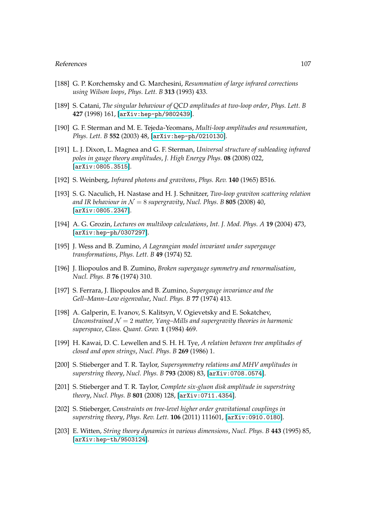- [188] G. P. Korchemsky and G. Marchesini, *Resummation of large infrared corrections using Wilson loops*, *Phys. Lett. B* **313** (1993) 433.
- [189] S. Catani, *The singular behaviour of QCD amplitudes at two-loop order*, *Phys. Lett. B* **427** (1998) 161, [[arXiv:hep-ph/9802439](http://xxx.lanl.gov/abs/arXiv:hep-ph/9802439)].
- [190] G. F. Sterman and M. E. Tejeda-Yeomans, *Multi-loop amplitudes and resummation*, *Phys. Lett. B* **552** (2003) 48, [[arXiv:hep-ph/0210130](http://xxx.lanl.gov/abs/arXiv:hep-ph/0210130)].
- [191] L. J. Dixon, L. Magnea and G. F. Sterman, *Universal structure of subleading infrared poles in gauge theory amplitudes*, *J. High Energy Phys.* **08** (2008) 022, [[arXiv:0805.3515](http://xxx.lanl.gov/abs/0805.3515)].
- [192] S. Weinberg, *Infrared photons and gravitons*, *Phys. Rev.* **140** (1965) B516.
- [193] S. G. Naculich, H. Nastase and H. J. Schnitzer, *Two-loop graviton scattering relation* and IR behaviour in  $N = 8$  *supergravity*, *Nucl. Phys. B* **805** (2008) 40, [[arXiv:0805.2347](http://xxx.lanl.gov/abs/0805.2347)].
- [194] A. G. Grozin, *Lectures on multiloop calculations*, *Int. J. Mod. Phys. A* **19** (2004) 473, [[arXiv:hep-ph/0307297](http://xxx.lanl.gov/abs/arXiv:hep-ph/0307297)].
- [195] J. Wess and B. Zumino, *A Lagrangian model invariant under supergauge transformations*, *Phys. Lett. B* **49** (1974) 52.
- [196] J. Iliopoulos and B. Zumino, *Broken supergauge symmetry and renormalisation*, *Nucl. Phys. B* **76** (1974) 310.
- [197] S. Ferrara, J. Iliopoulos and B. Zumino, *Supergauge invariance and the Gell–Mann–Low eigenvalue*, *Nucl. Phys. B* **77** (1974) 413.
- [198] A. Galperin, E. Ivanov, S. Kalitsyn, V. Ogievetsky and E. Sokatchev, *Unconstrained*  $\mathcal{N} = 2$  *matter, Yang–Mills and supergravity theories in harmonic superspace*, *Class. Quant. Grav.* **1** (1984) 469.
- [199] H. Kawai, D. C. Lewellen and S. H. H. Tye, *A relation between tree amplitudes of closed and open strings*, *Nucl. Phys. B* **269** (1986) 1.
- [200] S. Stieberger and T. R. Taylor, *Supersymmetry relations and MHV amplitudes in superstring theory*, *Nucl. Phys. B* **793** (2008) 83, [[arXiv:0708.0574](http://xxx.lanl.gov/abs/0708.0574)].
- [201] S. Stieberger and T. R. Taylor, *Complete six-gluon disk amplitude in superstring theory*, *Nucl. Phys. B* **801** (2008) 128, [[arXiv:0711.4354](http://xxx.lanl.gov/abs/0711.4354)].
- [202] S. Stieberger, *Constraints on tree-level higher order gravitational couplings in superstring theory*, *Phys. Rev. Lett.* **106** (2011) 111601, [[arXiv:0910.0180](http://xxx.lanl.gov/abs/0910.0180)].
- [203] E. Witten, *String theory dynamics in various dimensions*, *Nucl. Phys. B* **443** (1995) 85, [[arXiv:hep-th/9503124](http://xxx.lanl.gov/abs/arXiv:hep-th/9503124)].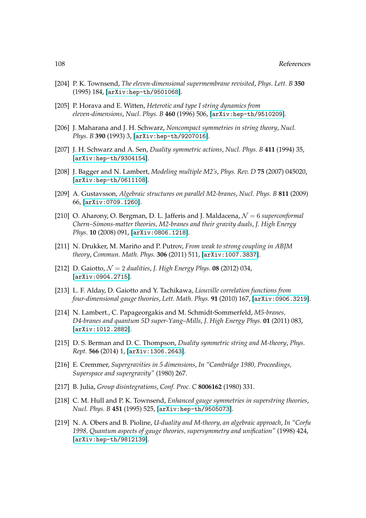- [204] P. K. Townsend, *The eleven-dimensional supermembrane revisited*, *Phys. Lett. B* **350** (1995) 184, [[arXiv:hep-th/9501068](http://xxx.lanl.gov/abs/arXiv:hep-th/9501068)].
- [205] P. Horava and E. Witten, *Heterotic and type I string dynamics from eleven-dimensions*, *Nucl. Phys. B* **460** (1996) 506, [[arXiv:hep-th/9510209](http://xxx.lanl.gov/abs/arXiv:hep-th/9510209)].
- [206] J. Maharana and J. H. Schwarz, *Noncompact symmetries in string theory*, *Nucl. Phys. B* **390** (1993) 3, [[arXiv:hep-th/9207016](http://xxx.lanl.gov/abs/arXiv:hep-th/9207016)].
- [207] J. H. Schwarz and A. Sen, *Duality symmetric actions*, *Nucl. Phys. B* **411** (1994) 35, [[arXiv:hep-th/9304154](http://xxx.lanl.gov/abs/arXiv:hep-th/9304154)].
- [208] J. Bagger and N. Lambert, *Modeling multiple M2's*, *Phys. Rev. D* **75** (2007) 045020, [[arXiv:hep-th/0611108](http://xxx.lanl.gov/abs/arXiv:hep-th/0611108)].
- [209] A. Gustavsson, *Algebraic structures on parallel M2-branes*, *Nucl. Phys. B* **811** (2009) 66, [[arXiv:0709.1260](http://xxx.lanl.gov/abs/0709.1260)].
- [210] O. Aharony, O. Bergman, D. L. Jafferis and J. Maldacena, N = 6 *superconformal Chern–Simons-matter theories, M2-branes and their gravity duals*, *J. High Energy Phys.* **10** (2008) 091, [[arXiv:0806.1218](http://xxx.lanl.gov/abs/0806.1218)].
- [211] N. Drukker, M. Mariño and P. Putrov, *From weak to strong coupling in ABJM theory*, *Commun. Math. Phys.* **306** (2011) 511, [[arXiv:1007.3837](http://xxx.lanl.gov/abs/1007.3837)].
- [212] D. Gaiotto,  $\mathcal{N} = 2$  *dualities*, *J. High Energy Phys.* **08** (2012) 034, [[arXiv:0904.2715](http://xxx.lanl.gov/abs/0904.2715)].
- [213] L. F. Alday, D. Gaiotto and Y. Tachikawa, *Liouville correlation functions from four-dimensional gauge theories*, *Lett. Math. Phys.* **91** (2010) 167, [[arXiv:0906.3219](http://xxx.lanl.gov/abs/0906.3219)].
- [214] N. Lambert., C. Papageorgakis and M. Schmidt-Sommerfeld, *M5-branes, D4-branes and quantum 5D super-Yang–Mills*, *J. High Energy Phys.* **01** (2011) 083, [[arXiv:1012.2882](http://xxx.lanl.gov/abs/1012.2882)].
- [215] D. S. Berman and D. C. Thompson, *Duality symmetric string and M-theory*, *Phys. Rept.* **566** (2014) 1, [[arXiv:1306.2643](http://xxx.lanl.gov/abs/1306.2643)].
- [216] E. Cremmer, *Supergravities in 5 dimensions*, *In "Cambridge 1980, Proceedings, Superspace and supergravity"* (1980) 267.
- [217] B. Julia, *Group disintegrations*, *Conf. Proc. C* **8006162** (1980) 331.
- [218] C. M. Hull and P. K. Townsend, *Enhanced gauge symmetries in superstring theories*, *Nucl. Phys. B* **451** (1995) 525, [[arXiv:hep-th/9505073](http://xxx.lanl.gov/abs/arXiv:hep-th/9505073)].
- [219] N. A. Obers and B. Pioline, *U-duality and M-theory, an algebraic approach*, *In "Corfu 1998, Quantum aspects of gauge theories, supersymmetry and unification"* (1998) 424, [[arXiv:hep-th/9812139](http://xxx.lanl.gov/abs/arXiv:hep-th/9812139)].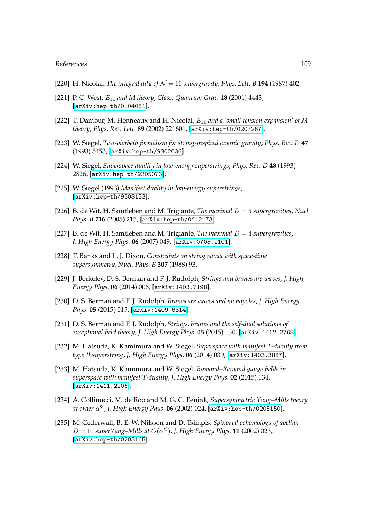## References 109

- [220] H. Nicolai, *The integrability of*  $\mathcal{N} = 16$  *supergravity*, *Phys. Lett. B* **194** (1987) 402.
- [221] P. C. West, E<sup>11</sup> *and M theory*, *Class. Quantum Grav.* **18** (2001) 4443, [[arXiv:hep-th/0104081](http://xxx.lanl.gov/abs/arXiv:hep-th/0104081)].
- [222] T. Damour, M. Henneaux and H. Nicolai, E<sup>10</sup> *and a 'small tension expansion' of M theory*, *Phys. Rev. Lett.* **89** (2002) 221601, [[arXiv:hep-th/0207267](http://xxx.lanl.gov/abs/arXiv:hep-th/0207267)].
- [223] W. Siegel, *Two-vierbein formalism for string-inspired axionic gravity*, *Phys. Rev. D* **47** (1993) 5453, [[arXiv:hep-th/9302036](http://xxx.lanl.gov/abs/arXiv:hep-th/9302036)].
- [224] W. Siegel, *Superspace duality in low-energy superstrings*, *Phys. Rev. D* **48** (1993) 2826, [[arXiv:hep-th/9305073](http://xxx.lanl.gov/abs/arXiv:hep-th/9305073)].
- [225] W. Siegel (1993) *Manifest duality in low-energy superstrings*, [[arXiv:hep-th/9308133](http://xxx.lanl.gov/abs/arXiv:hep-th/9308133)].
- [226] B. de Wit, H. Samtleben and M. Trigiante, *The maximal* D = 5 *supergravities*, *Nucl. Phys. B* **716** (2005) 215, [[arXiv:hep-th/0412173](http://xxx.lanl.gov/abs/arXiv:hep-th/0412173)].
- [227] B. de Wit, H. Samtleben and M. Trigiante, *The maximal* D = 4 *supergravities*, *J. High Energy Phys.* **06** (2007) 049, [[arXiv:0705.2101](http://xxx.lanl.gov/abs/0705.2101)].
- [228] T. Banks and L. J. Dixon, *Constraints on string vacua with space-time supersymmetry*, *Nucl. Phys. B* **307** (1988) 93.
- [229] J. Berkeley, D. S. Berman and F. J. Rudolph, *Strings and branes are waves*, *J. High Energy Phys.* **06** (2014) 006, [[arXiv:1403.7198](http://xxx.lanl.gov/abs/1403.7198)].
- [230] D. S. Berman and F. J. Rudolph, *Branes are waves and monopoles*, *J. High Energy Phys.* **05** (2015) 015, [[arXiv:1409.6314](http://xxx.lanl.gov/abs/1409.6314)].
- [231] D. S. Berman and F. J. Rudolph, *Strings, branes and the self-dual solutions of exceptional field theory*, *J. High Energy Phys.* **05** (2015) 130, [[arXiv:1412.2768](http://xxx.lanl.gov/abs/1412.2768)].
- [232] M. Hatsuda, K. Kamimura and W. Siegel, *Superspace with manifest T-duality from type II superstring*, *J. High Energy Phys.* **06** (2014) 039, [[arXiv:1403.3887](http://xxx.lanl.gov/abs/1403.3887)].
- [233] M. Hatsuda, K. Kamimura and W. Siegel, *Ramond–Ramond gauge fields in superspace with manifest T-duality*, *J. High Energy Phys.* **02** (2015) 134, [[arXiv:1411.2206](http://xxx.lanl.gov/abs/1411.2206)].
- [234] A. Collinucci, M. de Roo and M. G. C. Eenink, *Supersymmetric Yang–Mills theory at order* α 03 , *J. High Energy Phys.* **06** (2002) 024, [[arXiv:hep-th/0205150](http://xxx.lanl.gov/abs/arXiv:hep-th/0205150)].
- [235] M. Cederwall, B. E. W. Nilsson and D. Tsimpis, *Spinorial cohomology of abelian*  $D = 10$  superYang–Mills at  $O(\alpha'^3)$ , J. High Energy Phys. **11** (2002) 023, [[arXiv:hep-th/0205165](http://xxx.lanl.gov/abs/arXiv:hep-th/0205165)].